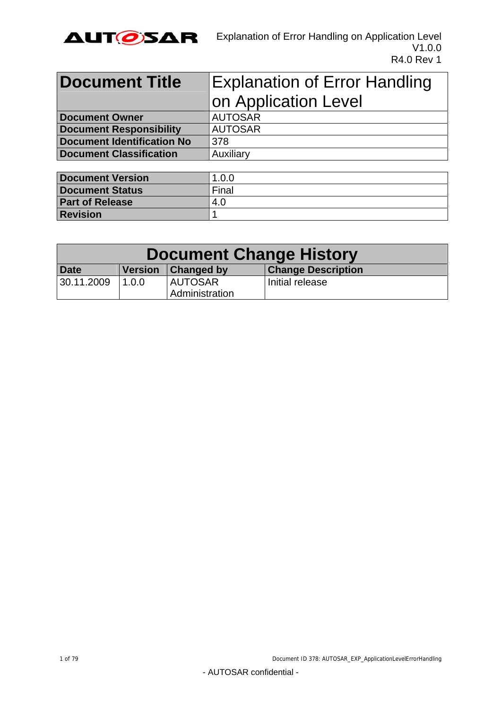

| <b>Document Title</b>             | <b>Explanation of Error Handling</b> |  |  |
|-----------------------------------|--------------------------------------|--|--|
|                                   | on Application Level                 |  |  |
| <b>Document Owner</b>             | <b>AUTOSAR</b>                       |  |  |
| <b>Document Responsibility</b>    | <b>AUTOSAR</b>                       |  |  |
| <b>Document Identification No</b> | 378                                  |  |  |
| <b>Document Classification</b>    | Auxiliary                            |  |  |
|                                   |                                      |  |  |

| Document Version       | 1.0.0 |
|------------------------|-------|
| <b>Document Status</b> | Final |
| <b>Part of Release</b> | 4.0   |
| Revision               |       |

| <b>Document Change History</b> |                |                       |                           |
|--------------------------------|----------------|-----------------------|---------------------------|
| <b>Date</b>                    | <b>Version</b> | <b>Changed by</b>     | <b>Change Description</b> |
| 30.11.2009                     | 1.0.0          | <b>AUTOSAR</b>        | Initial release           |
|                                |                | <b>Administration</b> |                           |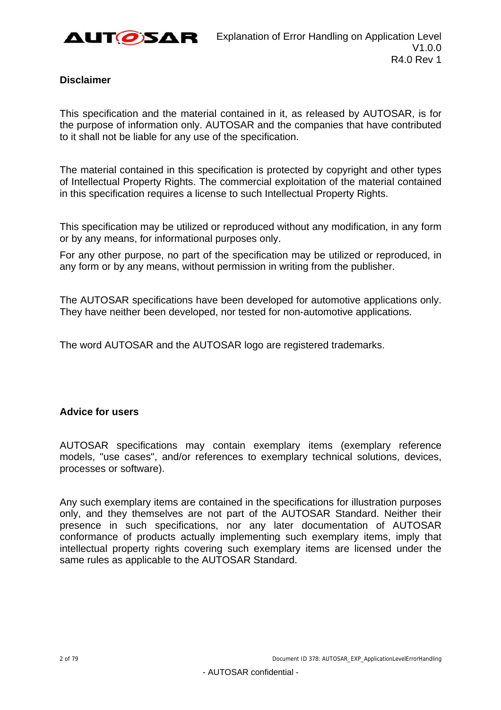

#### **Disclaimer**

This specification and the material contained in it, as released by AUTOSAR, is for the purpose of information only. AUTOSAR and the companies that have contributed to it shall not be liable for any use of the specification.

The material contained in this specification is protected by copyright and other types of Intellectual Property Rights. The commercial exploitation of the material contained in this specification requires a license to such Intellectual Property Rights.

This specification may be utilized or reproduced without any modification, in any form or by any means, for informational purposes only.

For any other purpose, no part of the specification may be utilized or reproduced, in any form or by any means, without permission in writing from the publisher.

The AUTOSAR specifications have been developed for automotive applications only. They have neither been developed, nor tested for non-automotive applications.

The word AUTOSAR and the AUTOSAR logo are registered trademarks.

#### **Advice for users**

AUTOSAR specifications may contain exemplary items (exemplary reference models, "use cases", and/or references to exemplary technical solutions, devices, processes or software).

Any such exemplary items are contained in the specifications for illustration purposes only, and they themselves are not part of the AUTOSAR Standard. Neither their presence in such specifications, nor any later documentation of AUTOSAR conformance of products actually implementing such exemplary items, imply that intellectual property rights covering such exemplary items are licensed under the same rules as applicable to the AUTOSAR Standard.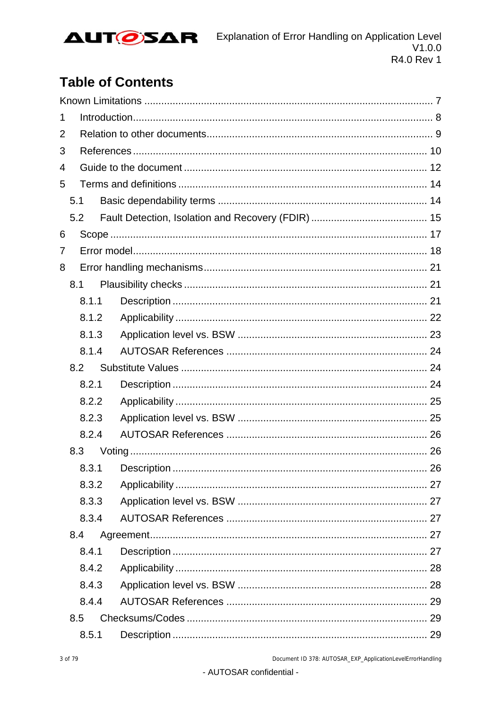

# **Table of Contents**

| 1 |       |    |  |
|---|-------|----|--|
| 2 |       |    |  |
| 3 |       |    |  |
| 4 |       |    |  |
| 5 |       |    |  |
|   | 5.1   |    |  |
|   | 5.2   |    |  |
| 6 |       |    |  |
| 7 |       |    |  |
| 8 |       |    |  |
|   | 8.1   |    |  |
|   | 8.1.1 |    |  |
|   | 8.1.2 |    |  |
|   | 8.1.3 |    |  |
|   | 8.1.4 |    |  |
|   | 8.2   |    |  |
|   | 8.2.1 |    |  |
|   | 8.2.2 |    |  |
|   | 8.2.3 |    |  |
|   | 8.2.4 |    |  |
|   | 8.3   |    |  |
|   | 8.3.1 | 26 |  |
|   | 8.3.2 |    |  |
|   | 8.3.3 |    |  |
|   | 8.3.4 |    |  |
|   | 8.4   |    |  |
|   | 8.4.1 |    |  |
|   | 8.4.2 |    |  |
|   | 8.4.3 |    |  |
|   | 8.4.4 |    |  |
|   | 8.5   |    |  |
|   | 8.5.1 |    |  |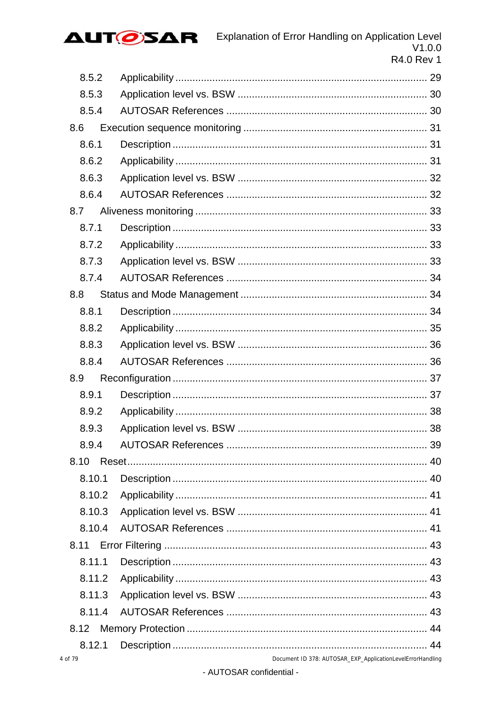

| 8.5.2  |  |
|--------|--|
| 8.5.3  |  |
| 8.5.4  |  |
| 8.6    |  |
| 8.6.1  |  |
| 8.6.2  |  |
| 8.6.3  |  |
| 8.6.4  |  |
| 8.7    |  |
| 8.7.1  |  |
| 8.7.2  |  |
| 8.7.3  |  |
| 8.7.4  |  |
| 8.8    |  |
| 8.8.1  |  |
| 8.8.2  |  |
| 8.8.3  |  |
|        |  |
| 8.8.4  |  |
| 8.9    |  |
| 8.9.1  |  |
| 8.9.2  |  |
| 8.9.3  |  |
| 8.9.4  |  |
| 8.10   |  |
| 8.10.1 |  |
| 8.10.2 |  |
| 8.10.3 |  |
| 8.10.4 |  |
| 8.11   |  |
| 8.11.1 |  |
| 8.11.2 |  |
| 8.11.3 |  |
| 8.11.4 |  |
| 8.12   |  |
| 8.12.1 |  |

 $\overline{4}$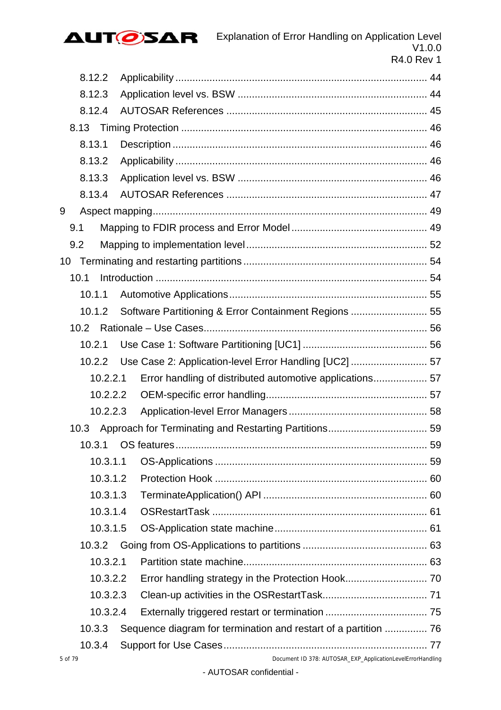

| 8.12.2   |                                                            |  |
|----------|------------------------------------------------------------|--|
| 8.12.3   |                                                            |  |
| 8.12.4   |                                                            |  |
|          |                                                            |  |
| 8.13.1   |                                                            |  |
| 8.13.2   |                                                            |  |
| 8.13.3   |                                                            |  |
| 8.13.4   |                                                            |  |
| 9        |                                                            |  |
| 9.1      |                                                            |  |
| 9.2      |                                                            |  |
|          |                                                            |  |
| 10.1     |                                                            |  |
| 10.1.1   |                                                            |  |
| 10.1.2   |                                                            |  |
| 10.2     |                                                            |  |
| 10.2.1   |                                                            |  |
| 10.2.2   | Use Case 2: Application-level Error Handling [UC2]  57     |  |
| 10.2.2.1 |                                                            |  |
| 10.2.2.2 |                                                            |  |
| 10.2.2.3 |                                                            |  |
| 10.3     |                                                            |  |
| 10.3.1   |                                                            |  |
| 10.3.1.1 |                                                            |  |
| 10.3.1.2 |                                                            |  |
| 10.3.1.3 |                                                            |  |
| 10.3.1.4 |                                                            |  |
| 10.3.1.5 |                                                            |  |
| 10.3.2   |                                                            |  |
| 10.3.2.1 |                                                            |  |
| 10.3.2.2 |                                                            |  |
| 10.3.2.3 |                                                            |  |
| 10.3.2.4 |                                                            |  |
| 10.3.3   |                                                            |  |
| 10.3.4   |                                                            |  |
| 5 of 79  | Document ID 378: AUTOSAR_EXP_ApplicationLevelErrorHandling |  |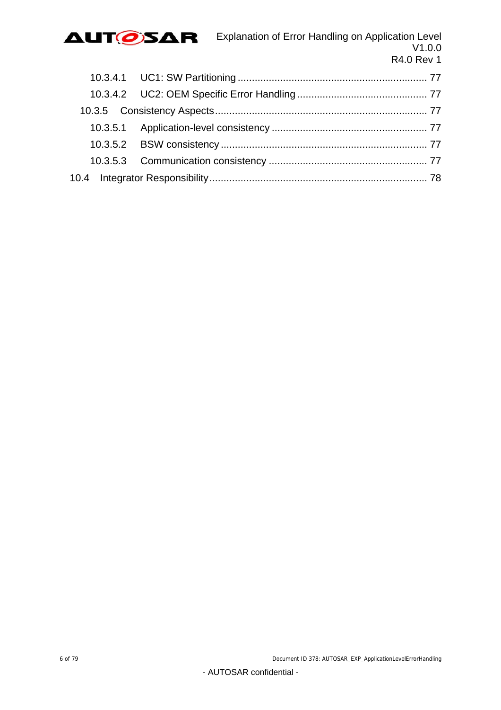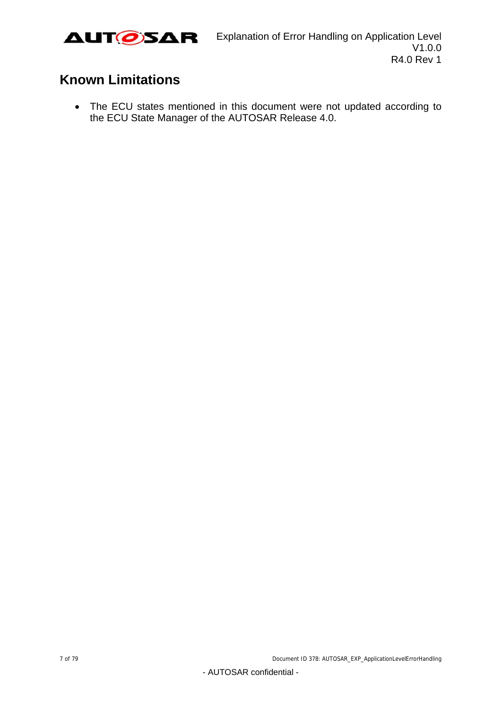

# <span id="page-6-0"></span>**Known Limitations**

 The ECU states mentioned in this document were not updated according to the ECU State Manager of the AUTOSAR Release 4.0.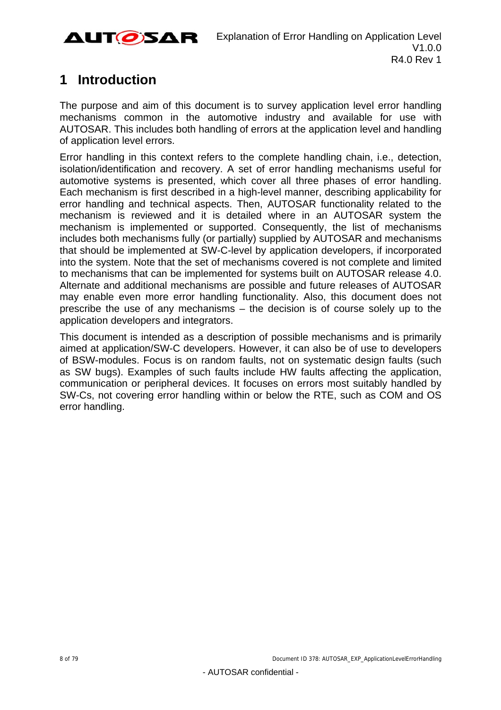

# <span id="page-7-0"></span>**1 Introduction**

The purpose and aim of this document is to survey application level error handling mechanisms common in the automotive industry and available for use with AUTOSAR. This includes both handling of errors at the application level and handling of application level errors.

Error handling in this context refers to the complete handling chain, i.e., detection, isolation/identification and recovery. A set of error handling mechanisms useful for automotive systems is presented, which cover all three phases of error handling. Each mechanism is first described in a high-level manner, describing applicability for error handling and technical aspects. Then, AUTOSAR functionality related to the mechanism is reviewed and it is detailed where in an AUTOSAR system the mechanism is implemented or supported. Consequently, the list of mechanisms includes both mechanisms fully (or partially) supplied by AUTOSAR and mechanisms that should be implemented at SW-C-level by application developers, if incorporated into the system. Note that the set of mechanisms covered is not complete and limited to mechanisms that can be implemented for systems built on AUTOSAR release 4.0. Alternate and additional mechanisms are possible and future releases of AUTOSAR may enable even more error handling functionality. Also, this document does not prescribe the use of any mechanisms – the decision is of course solely up to the application developers and integrators.

This document is intended as a description of possible mechanisms and is primarily aimed at application/SW-C developers. However, it can also be of use to developers of BSW-modules. Focus is on random faults, not on systematic design faults (such as SW bugs). Examples of such faults include HW faults affecting the application, communication or peripheral devices. It focuses on errors most suitably handled by SW-Cs, not covering error handling within or below the RTE, such as COM and OS error handling.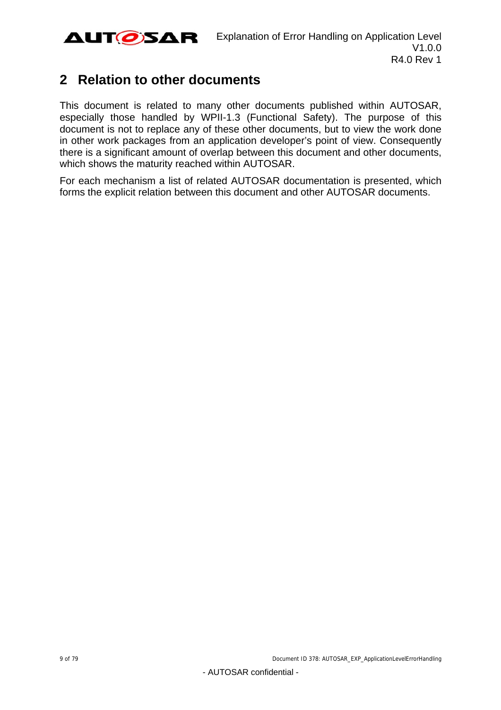

## <span id="page-8-0"></span>**2 Relation to other documents**

This document is related to many other documents published within AUTOSAR, especially those handled by WPII-1.3 (Functional Safety). The purpose of this document is not to replace any of these other documents, but to view the work done in other work packages from an application developer's point of view. Consequently there is a significant amount of overlap between this document and other documents, which shows the maturity reached within AUTOSAR.

For each mechanism a list of related AUTOSAR documentation is presented, which forms the explicit relation between this document and other AUTOSAR documents.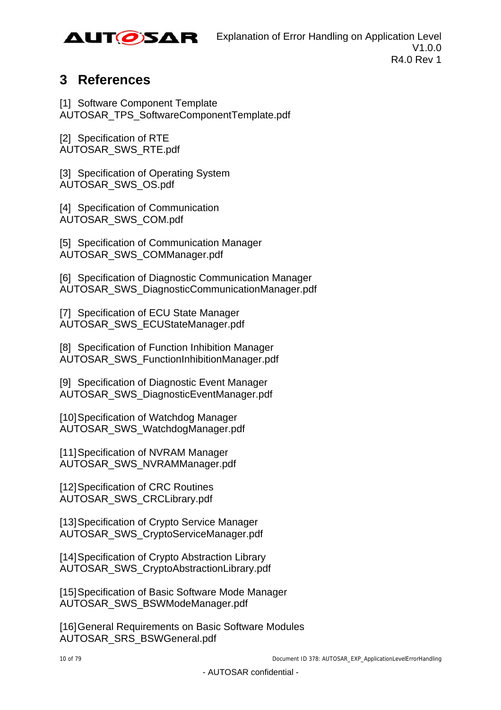

# <span id="page-9-0"></span>**3 References**

<span id="page-9-3"></span>[1] Software Component Template AUTOSAR\_TPS\_SoftwareComponentTemplate.pdf

<span id="page-9-1"></span>[2] Specification of RTE AUTOSAR\_SWS\_RTE.pdf

<span id="page-9-9"></span>[3] Specification of Operating System AUTOSAR\_SWS\_OS.pdf

<span id="page-9-2"></span>[4] Specification of Communication AUTOSAR\_SWS\_COM.pdf

<span id="page-9-10"></span>[5] Specification of Communication Manager AUTOSAR\_SWS\_COMManager.pdf

[6] Specification of Diagnostic Communication Manager AUTOSAR\_SWS\_DiagnosticCommunicationManager.pdf

<span id="page-9-12"></span>[7] Specification of ECU State Manager AUTOSAR\_SWS\_ECUStateManager.pdf

[8] Specification of Function Inhibition Manager AUTOSAR\_SWS\_FunctionInhibitionManager.pdf

[9] Specification of Diagnostic Event Manager AUTOSAR\_SWS\_DiagnosticEventManager.pdf

<span id="page-9-8"></span>[10] Specification of Watchdog Manager AUTOSAR\_SWS\_WatchdogManager.pdf

<span id="page-9-4"></span>[11] Specification of NVRAM Manager AUTOSAR\_SWS\_NVRAMManager.pdf

<span id="page-9-7"></span>[12] Specification of CRC Routines AUTOSAR\_SWS\_CRCLibrary.pdf

<span id="page-9-5"></span>[13] Specification of Crypto Service Manager AUTOSAR\_SWS\_CryptoServiceManager.pdf

<span id="page-9-6"></span>[14] Specification of Crypto Abstraction Library AUTOSAR\_SWS\_CryptoAbstractionLibrary.pdf

<span id="page-9-11"></span>[15] Specification of Basic Software Mode Manager AUTOSAR\_SWS\_BSWModeManager.pdf

[16] General Requirements on Basic Software Modules AUTOSAR\_SRS\_BSWGeneral.pdf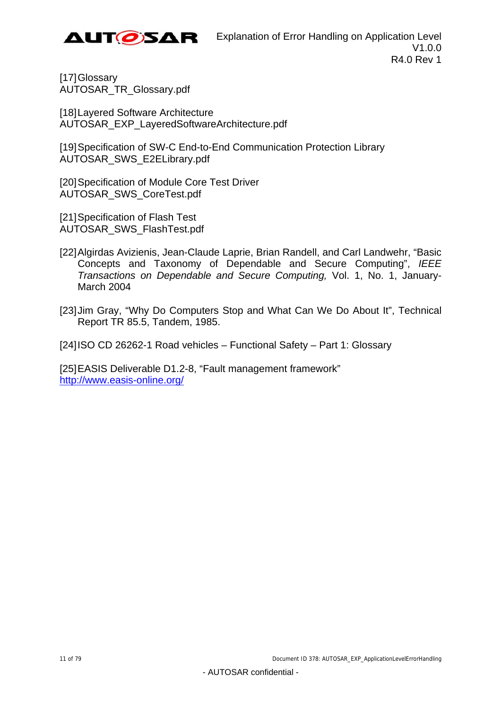

[17] Glossary AUTOSAR\_TR\_Glossary.pdf

[18] Layered Software Architecture AUTOSAR\_EXP\_LayeredSoftwareArchitecture.pdf

<span id="page-10-1"></span>[19] Specification of SW-C End-to-End Communication Protection Library AUTOSAR\_SWS\_E2ELibrary.pdf

<span id="page-10-3"></span>[20] Specification of Module Core Test Driver AUTOSAR\_SWS\_CoreTest.pdf

<span id="page-10-2"></span>[21] Specification of Flash Test AUTOSAR\_SWS\_FlashTest.pdf

- <span id="page-10-0"></span>[22] Algirdas Avizienis, Jean-Claude Laprie, Brian Randell, and Carl Landwehr, "Basic Concepts and Taxonomy of Dependable and Secure Computing", *IEEE Transactions on Dependable and Secure Computing,* Vol. 1, No. 1, January-March 2004
- [23] Jim Gray, "Why Do Computers Stop and What Can We Do About It", Technical Report TR 85.5, Tandem, 1985.

[24] ISO CD 26262-1 Road vehicles – Functional Safety – Part 1: Glossary

[25] EASIS Deliverable D1.2-8, "Fault management framework" [http://www.easis-online](http://www.easis-online.org/).org/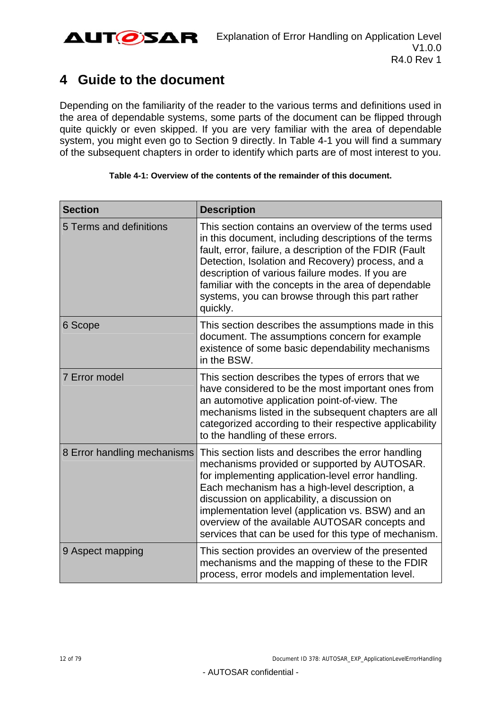

# <span id="page-11-0"></span>**4 Guide to the document**

Depending on the familiarity of the reader to the various terms and definitions used in the area of dependable systems, some parts of the document can be flipped through quite quickly or even skipped. If you are very familiar with the area of dependable system, you might even go to Section [9](#page-48-0) directly. In [Table 4-1](#page-11-1) you will find a summary of the subsequent chapters in order to identify which parts are of most interest to you.

<span id="page-11-1"></span>

| <b>Section</b>              | <b>Description</b>                                                                                                                                                                                                                                                                                                                                                                                                          |
|-----------------------------|-----------------------------------------------------------------------------------------------------------------------------------------------------------------------------------------------------------------------------------------------------------------------------------------------------------------------------------------------------------------------------------------------------------------------------|
| 5 Terms and definitions     | This section contains an overview of the terms used<br>in this document, including descriptions of the terms<br>fault, error, failure, a description of the FDIR (Fault<br>Detection, Isolation and Recovery) process, and a<br>description of various failure modes. If you are<br>familiar with the concepts in the area of dependable<br>systems, you can browse through this part rather<br>quickly.                    |
| 6 Scope                     | This section describes the assumptions made in this<br>document. The assumptions concern for example<br>existence of some basic dependability mechanisms<br>in the BSW.                                                                                                                                                                                                                                                     |
| <b>7 Error model</b>        | This section describes the types of errors that we<br>have considered to be the most important ones from<br>an automotive application point-of-view. The<br>mechanisms listed in the subsequent chapters are all<br>categorized according to their respective applicability<br>to the handling of these errors.                                                                                                             |
| 8 Error handling mechanisms | This section lists and describes the error handling<br>mechanisms provided or supported by AUTOSAR.<br>for implementing application-level error handling.<br>Each mechanism has a high-level description, a<br>discussion on applicability, a discussion on<br>implementation level (application vs. BSW) and an<br>overview of the available AUTOSAR concepts and<br>services that can be used for this type of mechanism. |
| 9 Aspect mapping            | This section provides an overview of the presented<br>mechanisms and the mapping of these to the FDIR<br>process, error models and implementation level.                                                                                                                                                                                                                                                                    |

#### **Table 4-1: Overview of the contents of the remainder of this document.**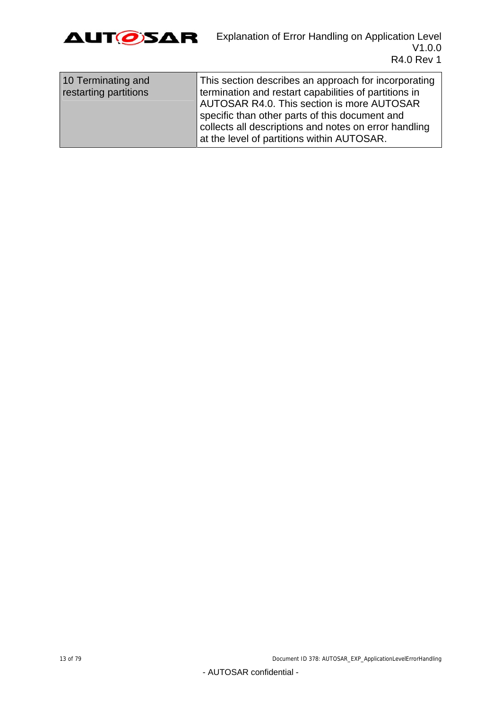

| collects all descriptions and notes on error handling<br>at the level of partitions within AUTOSAR. | 10 Terminating and<br>restarting partitions | This section describes an approach for incorporating<br>termination and restart capabilities of partitions in<br>AUTOSAR R4.0. This section is more AUTOSAR<br>specific than other parts of this document and |
|-----------------------------------------------------------------------------------------------------|---------------------------------------------|---------------------------------------------------------------------------------------------------------------------------------------------------------------------------------------------------------------|
|-----------------------------------------------------------------------------------------------------|---------------------------------------------|---------------------------------------------------------------------------------------------------------------------------------------------------------------------------------------------------------------|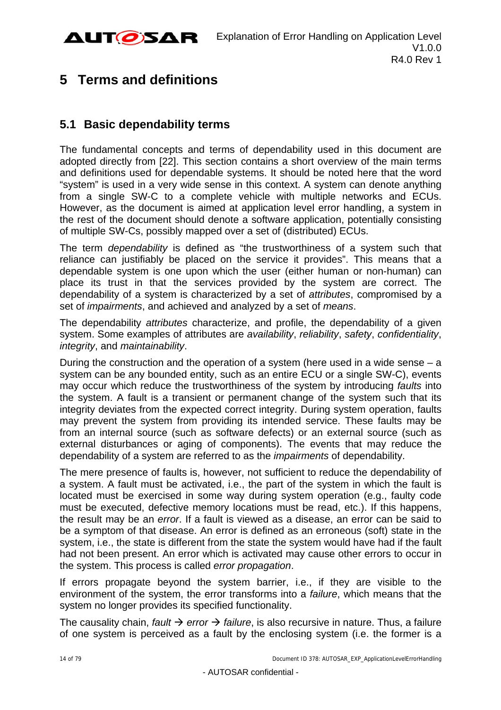

# <span id="page-13-0"></span>**5 Terms and definitions**

## <span id="page-13-1"></span>**5.1 Basic dependability terms**

The fundamental concepts and terms of dependability used in this document are adopted directly from [\[22\]](#page-10-0). This section contains a short overview of the main terms and definitions used for dependable systems. It should be noted here that the word "system" is used in a very wide sense in this context. A system can denote anything from a single SW-C to a complete vehicle with multiple networks and ECUs. However, as the document is aimed at application level error handling, a system in the rest of the document should denote a software application, potentially consisting of multiple SW-Cs, possibly mapped over a set of (distributed) ECUs.

The term *dependability* is defined as "the trustworthiness of a system such that reliance can justifiably be placed on the service it provides". This means that a dependable system is one upon which the user (either human or non-human) can place its trust in that the services provided by the system are correct. The dependability of a system is characterized by a set of *attributes*, compromised by a set of *impairments*, and achieved and analyzed by a set of *means*.

The dependability *attributes* characterize, and profile, the dependability of a given system. Some examples of attributes are *availability*, *reliability*, *safety*, *confidentiality*, *integrity*, and *maintainability*.

During the construction and the operation of a system (here used in a wide sense – a system can be any bounded entity, such as an entire ECU or a single SW-C), events may occur which reduce the trustworthiness of the system by introducing *faults* into the system. A fault is a transient or permanent change of the system such that its integrity deviates from the expected correct integrity. During system operation, faults may prevent the system from providing its intended service. These faults may be from an internal source (such as software defects) or an external source (such as external disturbances or aging of components). The events that may reduce the dependability of a system are referred to as the *impairments* of dependability.

The mere presence of faults is, however, not sufficient to reduce the dependability of a system. A fault must be activated, i.e., the part of the system in which the fault is located must be exercised in some way during system operation (e.g., faulty code must be executed, defective memory locations must be read, etc.). If this happens, the result may be an *error*. If a fault is viewed as a disease, an error can be said to be a symptom of that disease. An error is defined as an erroneous (soft) state in the system, i.e., the state is different from the state the system would have had if the fault had not been present. An error which is activated may cause other errors to occur in the system. This process is called *error propagation*.

If errors propagate beyond the system barrier, i.e., if they are visible to the environment of the system, the error transforms into a *failure*, which means that the system no longer provides its specified functionality.

The causality chain, *fault*  $\rightarrow$  error  $\rightarrow$  *failure*, is also recursive in nature. Thus, a failure of one system is perceived as a fault by the enclosing system (i.e. the former is a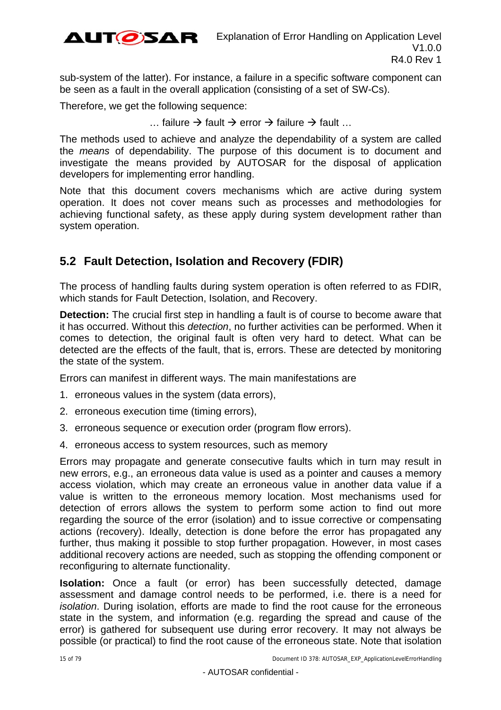

sub-system of the latter). For instance, a failure in a specific software component can be seen as a fault in the overall application (consisting of a set of SW-Cs).

Therefore, we get the following sequence:

... failure  $\rightarrow$  fault  $\rightarrow$  error  $\rightarrow$  failure  $\rightarrow$  fault ...

The methods used to achieve and analyze the dependability of a system are called the *means* of dependability. The purpose of this document is to document and investigate the means provided by AUTOSAR for the disposal of application developers for implementing error handling.

Note that this document covers mechanisms which are active during system operation. It does not cover means such as processes and methodologies for achieving functional safety, as these apply during system development rather than system operation.

## <span id="page-14-0"></span>**5.2 Fault Detection, Isolation and Recovery (FDIR)**

The process of handling faults during system operation is often referred to as FDIR, which stands for Fault Detection, Isolation, and Recovery.

**Detection:** The crucial first step in handling a fault is of course to become aware that it has occurred. Without this *detection*, no further activities can be performed. When it comes to detection, the original fault is often very hard to detect. What can be detected are the effects of the fault, that is, errors. These are detected by monitoring the state of the system.

Errors can manifest in different ways. The main manifestations are

- 1. erroneous values in the system (data errors),
- 2. erroneous execution time (timing errors),
- 3. erroneous sequence or execution order (program flow errors).
- 4. erroneous access to system resources, such as memory

Errors may propagate and generate consecutive faults which in turn may result in new errors, e.g., an erroneous data value is used as a pointer and causes a memory access violation, which may create an erroneous value in another data value if a value is written to the erroneous memory location. Most mechanisms used for detection of errors allows the system to perform some action to find out more regarding the source of the error (isolation) and to issue corrective or compensating actions (recovery). Ideally, detection is done before the error has propagated any further, thus making it possible to stop further propagation. However, in most cases additional recovery actions are needed, such as stopping the offending component or reconfiguring to alternate functionality.

**Isolation:** Once a fault (or error) has been successfully detected, damage assessment and damage control needs to be performed, i.e. there is a need for *isolation*. During isolation, efforts are made to find the root cause for the erroneous state in the system, and information (e.g. regarding the spread and cause of the error) is gathered for subsequent use during error recovery. It may not always be possible (or practical) to find the root cause of the erroneous state. Note that isolation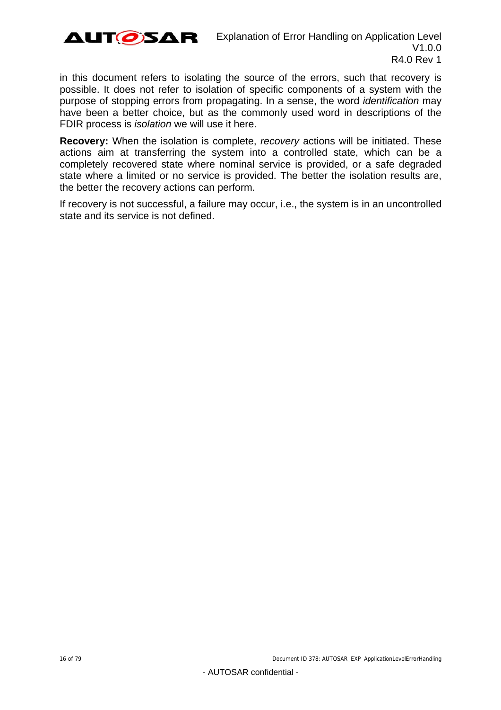

in this document refers to isolating the source of the errors, such that recovery is possible. It does not refer to isolation of specific components of a system with the purpose of stopping errors from propagating. In a sense, the word *identification* may have been a better choice, but as the commonly used word in descriptions of the FDIR process is *isolation* we will use it here.

**Recovery:** When the isolation is complete, *recovery* actions will be initiated. These actions aim at transferring the system into a controlled state, which can be a completely recovered state where nominal service is provided, or a safe degraded state where a limited or no service is provided. The better the isolation results are, the better the recovery actions can perform.

If recovery is not successful, a failure may occur, i.e., the system is in an uncontrolled state and its service is not defined.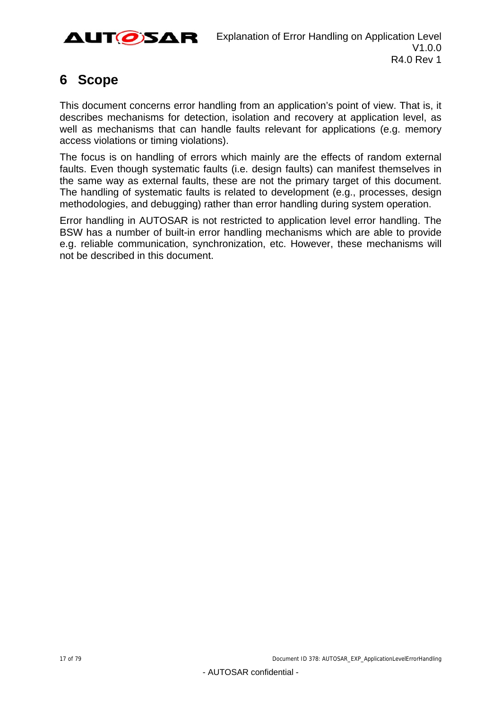

# <span id="page-16-0"></span>**6 Scope**

This document concerns error handling from an application's point of view. That is, it describes mechanisms for detection, isolation and recovery at application level, as well as mechanisms that can handle faults relevant for applications (e.g. memory access violations or timing violations).

The focus is on handling of errors which mainly are the effects of random external faults. Even though systematic faults (i.e. design faults) can manifest themselves in the same way as external faults, these are not the primary target of this document. The handling of systematic faults is related to development (e.g., processes, design methodologies, and debugging) rather than error handling during system operation.

Error handling in AUTOSAR is not restricted to application level error handling. The BSW has a number of built-in error handling mechanisms which are able to provide e.g. reliable communication, synchronization, etc. However, these mechanisms will not be described in this document.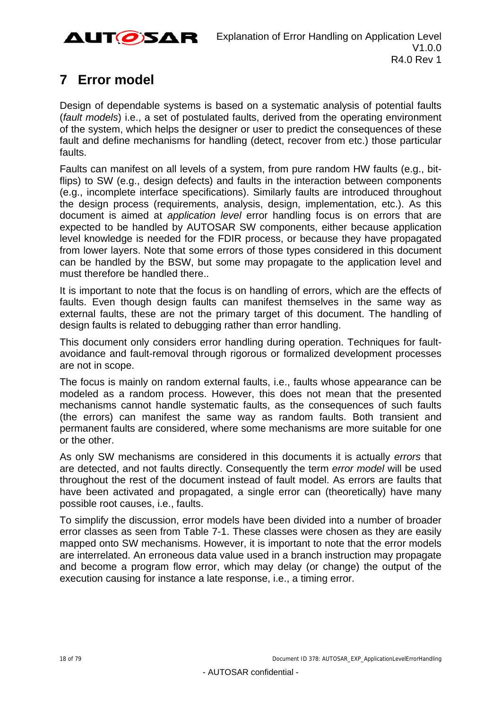

# <span id="page-17-0"></span>**7 Error model**

Design of dependable systems is based on a systematic analysis of potential faults (*fault models*) i.e., a set of postulated faults, derived from the operating environment of the system, which helps the designer or user to predict the consequences of these fault and define mechanisms for handling (detect, recover from etc.) those particular faults.

Faults can manifest on all levels of a system, from pure random HW faults (e.g., bitflips) to SW (e.g., design defects) and faults in the interaction between components (e.g., incomplete interface specifications). Similarly faults are introduced throughout the design process (requirements, analysis, design, implementation, etc.). As this document is aimed at *application level* error handling focus is on errors that are expected to be handled by AUTOSAR SW components, either because application level knowledge is needed for the FDIR process, or because they have propagated from lower layers. Note that some errors of those types considered in this document can be handled by the BSW, but some may propagate to the application level and must therefore be handled there..

It is important to note that the focus is on handling of errors, which are the effects of faults. Even though design faults can manifest themselves in the same way as external faults, these are not the primary target of this document. The handling of design faults is related to debugging rather than error handling.

This document only considers error handling during operation. Techniques for faultavoidance and fault-removal through rigorous or formalized development processes are not in scope.

The focus is mainly on random external faults, i.e., faults whose appearance can be modeled as a random process. However, this does not mean that the presented mechanisms cannot handle systematic faults, as the consequences of such faults (the errors) can manifest the same way as random faults. Both transient and permanent faults are considered, where some mechanisms are more suitable for one or the other.

As only SW mechanisms are considered in this documents it is actually *errors* that are detected, and not faults directly. Consequently the term *error model* will be used throughout the rest of the document instead of fault model. As errors are faults that have been activated and propagated, a single error can (theoretically) have many possible root causes, i.e., faults.

To simplify the discussion, error models have been divided into a number of broader error classes as seen from [Table 7-1](#page-18-0). These classes were chosen as they are easily mapped onto SW mechanisms. However, it is important to note that the error models are interrelated. An erroneous data value used in a branch instruction may propagate and become a program flow error, which may delay (or change) the output of the execution causing for instance a late response, i.e., a timing error.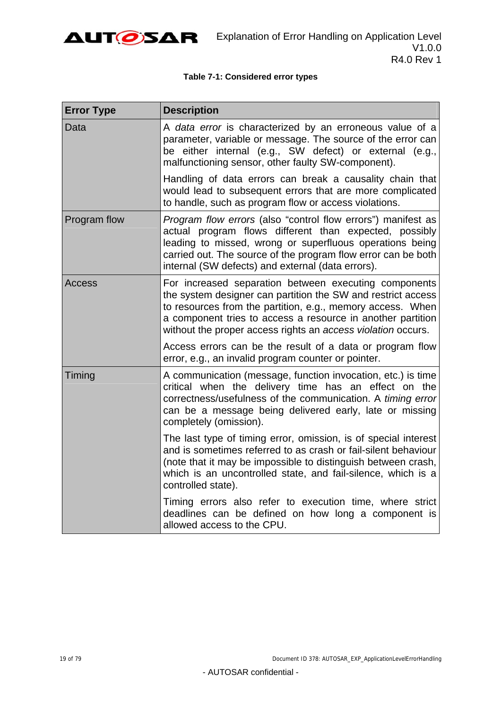

#### **Table 7-1: Considered error types**

<span id="page-18-0"></span>

| <b>Error Type</b> | <b>Description</b>                                                                                                                                                                                                                                                                                                 |
|-------------------|--------------------------------------------------------------------------------------------------------------------------------------------------------------------------------------------------------------------------------------------------------------------------------------------------------------------|
| Data              | A data error is characterized by an erroneous value of a<br>parameter, variable or message. The source of the error can<br>be either internal (e.g., SW defect) or external (e.g.,<br>malfunctioning sensor, other faulty SW-component).                                                                           |
|                   | Handling of data errors can break a causality chain that<br>would lead to subsequent errors that are more complicated<br>to handle, such as program flow or access violations.                                                                                                                                     |
| Program flow      | Program flow errors (also "control flow errors") manifest as<br>actual program flows different than expected, possibly<br>leading to missed, wrong or superfluous operations being<br>carried out. The source of the program flow error can be both<br>internal (SW defects) and external (data errors).           |
| Access            | For increased separation between executing components<br>the system designer can partition the SW and restrict access<br>to resources from the partition, e.g., memory access. When<br>a component tries to access a resource in another partition<br>without the proper access rights an access violation occurs. |
|                   | Access errors can be the result of a data or program flow<br>error, e.g., an invalid program counter or pointer.                                                                                                                                                                                                   |
| Timing            | A communication (message, function invocation, etc.) is time<br>critical when the delivery time has an effect on the<br>correctness/usefulness of the communication. A timing error<br>can be a message being delivered early, late or missing<br>completely (omission).                                           |
|                   | The last type of timing error, omission, is of special interest<br>and is sometimes referred to as crash or fail-silent behaviour<br>(note that it may be impossible to distinguish between crash,<br>which is an uncontrolled state, and fail-silence, which is a<br>controlled state).                           |
|                   | Timing errors also refer to execution time, where strict<br>deadlines can be defined on how long a component is<br>allowed access to the CPU.                                                                                                                                                                      |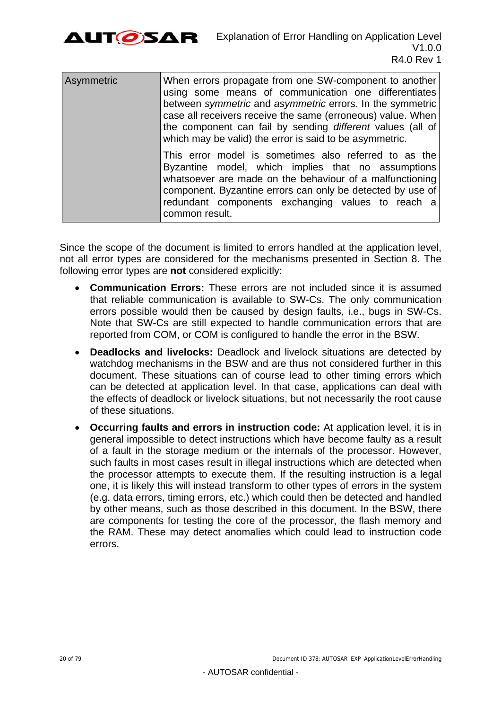

| Asymmetric | When errors propagate from one SW-component to another<br>using some means of communication one differentiates<br>between symmetric and asymmetric errors. In the symmetric<br>case all receivers receive the same (erroneous) value. When<br>the component can fail by sending different values (all of<br>which may be valid) the error is said to be asymmetric. |
|------------|---------------------------------------------------------------------------------------------------------------------------------------------------------------------------------------------------------------------------------------------------------------------------------------------------------------------------------------------------------------------|
|            | This error model is sometimes also referred to as the<br>Byzantine model, which implies that no assumptions<br>whatsoever are made on the behaviour of a malfunctioning<br>component. Byzantine errors can only be detected by use of<br>redundant components exchanging values to reach a<br>common result.                                                        |

Since the scope of the document is limited to errors handled at the application level, not all error types are considered for the mechanisms presented in Section [8](#page-20-0). The following error types are **not** considered explicitly:

- **Communication Errors:** These errors are not included since it is assumed that reliable communication is available to SW-Cs. The only communication errors possible would then be caused by design faults, i.e., bugs in SW-Cs. Note that SW-Cs are still expected to handle communication errors that are reported from COM, or COM is configured to handle the error in the BSW.
- **Deadlocks and livelocks:** Deadlock and livelock situations are detected by watchdog mechanisms in the BSW and are thus not considered further in this document. These situations can of course lead to other timing errors which can be detected at application level. In that case, applications can deal with the effects of deadlock or livelock situations, but not necessarily the root cause of these situations.
- **Occurring faults and errors in instruction code:** At application level, it is in general impossible to detect instructions which have become faulty as a result of a fault in the storage medium or the internals of the processor. However, such faults in most cases result in illegal instructions which are detected when the processor attempts to execute them. If the resulting instruction is a legal one, it is likely this will instead transform to other types of errors in the system (e.g. data errors, timing errors, etc.) which could then be detected and handled by other means, such as those described in this document. In the BSW, there are components for testing the core of the processor, the flash memory and the RAM. These may detect anomalies which could lead to instruction code errors.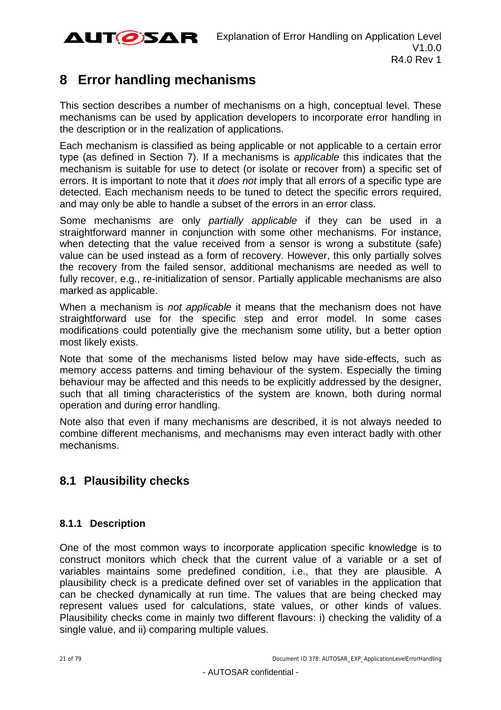

# <span id="page-20-0"></span>**8 Error handling mechanisms**

This section describes a number of mechanisms on a high, conceptual level. These mechanisms can be used by application developers to incorporate error handling in the description or in the realization of applications.

Each mechanism is classified as being applicable or not applicable to a certain error type (as defined in Section [7\)](#page-17-0). If a mechanisms is *applicable* this indicates that the mechanism is suitable for use to detect (or isolate or recover from) a specific set of errors. It is important to note that it *does not* imply that all errors of a specific type are detected. Each mechanism needs to be tuned to detect the specific errors required, and may only be able to handle a subset of the errors in an error class.

Some mechanisms are only *partially applicable* if they can be used in a straightforward manner in conjunction with some other mechanisms. For instance, when detecting that the value received from a sensor is wrong a substitute (safe) value can be used instead as a form of recovery. However, this only partially solves the recovery from the failed sensor, additional mechanisms are needed as well to fully recover, e.g., re-initialization of sensor. Partially applicable mechanisms are also marked as applicable.

When a mechanism is *not applicable* it means that the mechanism does not have straightforward use for the specific step and error model. In some cases modifications could potentially give the mechanism some utility, but a better option most likely exists.

Note that some of the mechanisms listed below may have side-effects, such as memory access patterns and timing behaviour of the system. Especially the timing behaviour may be affected and this needs to be explicitly addressed by the designer, such that all timing characteristics of the system are known, both during normal operation and during error handling.

Note also that even if many mechanisms are described, it is not always needed to combine different mechanisms, and mechanisms may even interact badly with other mechanisms.

## <span id="page-20-1"></span>**8.1 Plausibility checks**

## <span id="page-20-2"></span>**8.1.1 Description**

One of the most common ways to incorporate application specific knowledge is to construct monitors which check that the current value of a variable or a set of variables maintains some predefined condition, i.e., that they are plausible. A plausibility check is a predicate defined over set of variables in the application that can be checked dynamically at run time. The values that are being checked may represent values used for calculations, state values, or other kinds of values. Plausibility checks come in mainly two different flavours: i) checking the validity of a single value, and ii) comparing multiple values.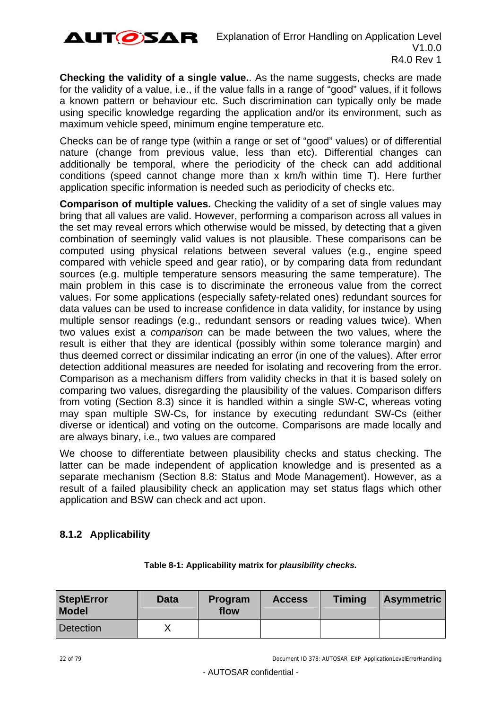

**Checking the validity of a single value.**. As the name suggests, checks are made for the validity of a value, i.e., if the value falls in a range of "good" values, if it follows a known pattern or behaviour etc. Such discrimination can typically only be made using specific knowledge regarding the application and/or its environment, such as maximum vehicle speed, minimum engine temperature etc.

Checks can be of range type (within a range or set of "good" values) or of differential nature (change from previous value, less than etc). Differential changes can additionally be temporal, where the periodicity of the check can add additional conditions (speed cannot change more than x km/h within time T). Here further application specific information is needed such as periodicity of checks etc.

**Comparison of multiple values.** Checking the validity of a set of single values may bring that all values are valid. However, performing a comparison across all values in the set may reveal errors which otherwise would be missed, by detecting that a given combination of seemingly valid values is not plausible. These comparisons can be computed using physical relations between several values (e.g., engine speed compared with vehicle speed and gear ratio), or by comparing data from redundant sources (e.g. multiple temperature sensors measuring the same temperature). The main problem in this case is to discriminate the erroneous value from the correct values. For some applications (especially safety-related ones) redundant sources for data values can be used to increase confidence in data validity, for instance by using multiple sensor readings (e.g., redundant sensors or reading values twice). When two values exist a *comparison* can be made between the two values, where the result is either that they are identical (possibly within some tolerance margin) and thus deemed correct or dissimilar indicating an error (in one of the values). After error detection additional measures are needed for isolating and recovering from the error. Comparison as a mechanism differs from validity checks in that it is based solely on comparing two values, disregarding the plausibility of the values. Comparison differs from voting (Section [8.3\)](#page-25-1) since it is handled within a single SW-C, whereas voting may span multiple SW-Cs, for instance by executing redundant SW-Cs (either diverse or identical) and voting on the outcome. Comparisons are made locally and are always binary, i.e., two values are compared

We choose to differentiate between plausibility checks and status checking. The latter can be made independent of application knowledge and is presented as a separate mechanism (Section [8.8:](#page-33-1) [Status and Mode Management\)](#page-33-1). However, as a result of a failed plausibility check an application may set status flags which other application and BSW can check and act upon.

## <span id="page-21-0"></span>**8.1.2 Applicability**

| <b>Step\Error</b><br><b>Model</b> | <b>Data</b> | Program<br>flow | <b>Access</b> | <b>Timing</b> | <b>Asymmetric</b> |
|-----------------------------------|-------------|-----------------|---------------|---------------|-------------------|
| <b>Detection</b>                  |             |                 |               |               |                   |

#### **Table 8-1: Applicability matrix for** *plausibility checks.*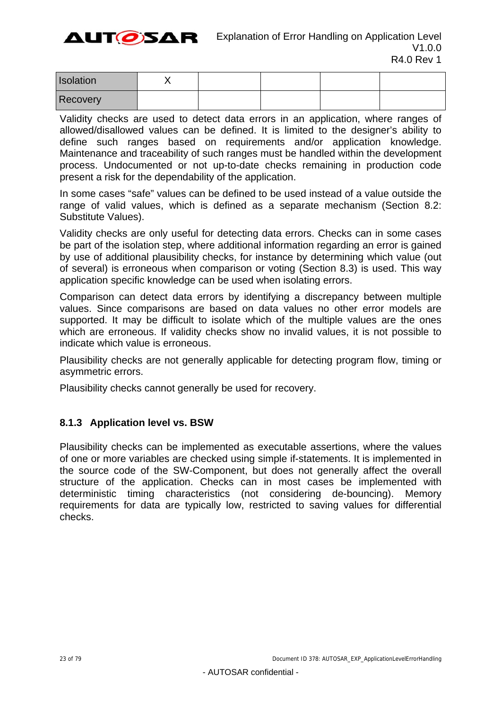AUTØSAR

| Isolation |  |  |  |
|-----------|--|--|--|
| Recovery  |  |  |  |

Validity checks are used to detect data errors in an application, where ranges of allowed/disallowed values can be defined. It is limited to the designer's ability to define such ranges based on requirements and/or application knowledge. Maintenance and traceability of such ranges must be handled within the development process. Undocumented or not up-to-date checks remaining in production code present a risk for the dependability of the application.

In some cases "safe" values can be defined to be used instead of a value outside the range of valid values, which is defined as a separate mechanism (Section [8.2:](#page-23-1) [Substitute Values](#page-23-1)).

Validity checks are only useful for detecting data errors. Checks can in some cases be part of the isolation step, where additional information regarding an error is gained by use of additional plausibility checks, for instance by determining which value (out of several) is erroneous when comparison or voting (Section [8.3](#page-25-1)) is used. This way application specific knowledge can be used when isolating errors.

Comparison can detect data errors by identifying a discrepancy between multiple values. Since comparisons are based on data values no other error models are supported. It may be difficult to isolate which of the multiple values are the ones which are erroneous. If validity checks show no invalid values, it is not possible to indicate which value is erroneous.

Plausibility checks are not generally applicable for detecting program flow, timing or asymmetric errors.

Plausibility checks cannot generally be used for recovery.

## <span id="page-22-0"></span>**8.1.3 Application level vs. BSW**

Plausibility checks can be implemented as executable assertions, where the values of one or more variables are checked using simple if-statements. It is implemented in the source code of the SW-Component, but does not generally affect the overall structure of the application. Checks can in most cases be implemented with deterministic timing characteristics (not considering de-bouncing). Memory requirements for data are typically low, restricted to saving values for differential checks.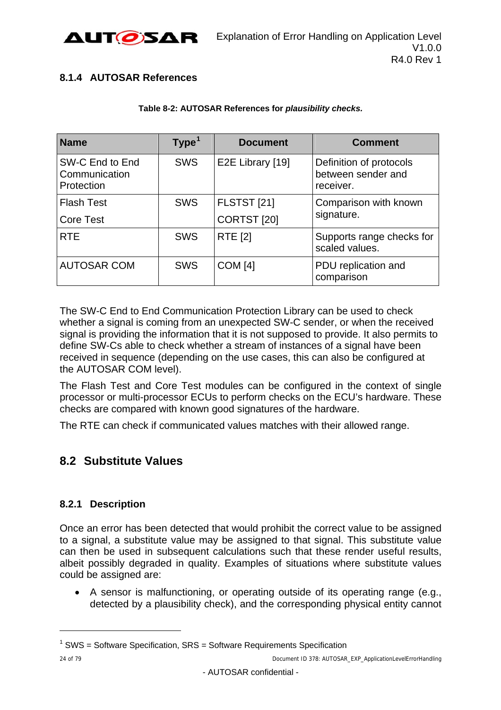

## <span id="page-23-0"></span>**8.1.4 AUTOSAR References**

#### **Table 8-2: AUTOSAR References for** *plausibility checks.*

| <b>Name</b>                                    | Type <sup>1</sup> | <b>Document</b>        | <b>Comment</b>                                             |
|------------------------------------------------|-------------------|------------------------|------------------------------------------------------------|
| SW-C End to End<br>Communication<br>Protection | <b>SWS</b>        | E2E Library [19]       | Definition of protocols<br>between sender and<br>receiver. |
| <b>Flash Test</b>                              | <b>SWS</b>        | <b>FLSTST [21]</b>     | Comparison with known                                      |
| <b>Core Test</b>                               |                   | CORTST <sub>[20]</sub> | signature.                                                 |
| <b>RTE</b>                                     | <b>SWS</b>        | <b>RTE [2]</b>         | Supports range checks for<br>scaled values.                |
| <b>AUTOSAR COM</b>                             | <b>SWS</b>        | <b>COM</b> [4]         | PDU replication and<br>comparison                          |

The SW-C End to End Communication Protection Library can be used to check whether a signal is coming from an unexpected SW-C sender, or when the received signal is providing the information that it is not supposed to provide. It also permits to define SW-Cs able to check whether a stream of instances of a signal have been received in sequence (depending on the use cases, this can also be configured at the AUTOSAR COM level).

The Flash Test and Core Test modules can be configured in the context of single processor or multi-processor ECUs to perform checks on the ECU's hardware. These checks are compared with known good signatures of the hardware.

The RTE can check if communicated values matches with their allowed range.

## <span id="page-23-1"></span>**8.2 Substitute Values**

## <span id="page-23-2"></span>**8.2.1 Description**

Once an error has been detected that would prohibit the correct value to be assigned to a signal, a substitute value may be assigned to that signal. This substitute value can then be used in subsequent calculations such that these render useful results, albeit possibly degraded in quality. Examples of situations where substitute values could be assigned are:

 A sensor is malfunctioning, or operating outside of its operating range (e.g., detected by a plausibility check), and the corresponding physical entity cannot

l

 $1$  SWS = Software Specification, SRS = Software Requirements Specification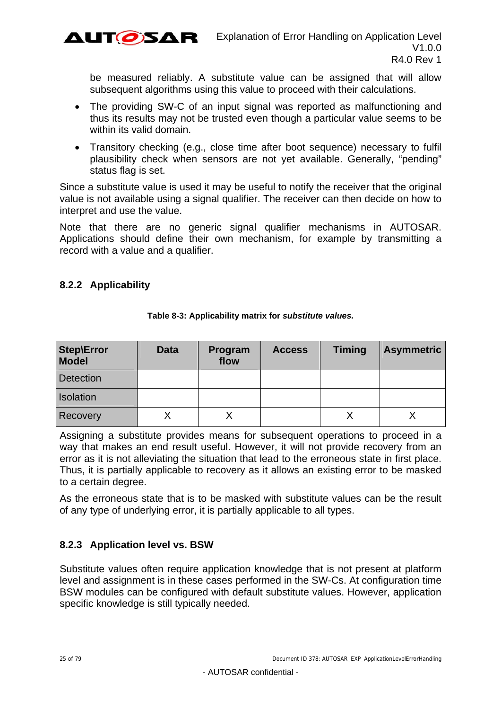

be measured reliably. A substitute value can be assigned that will allow subsequent algorithms using this value to proceed with their calculations.

- The providing SW-C of an input signal was reported as malfunctioning and thus its results may not be trusted even though a particular value seems to be within its valid domain.
- Transitory checking (e.g., close time after boot sequence) necessary to fulfil plausibility check when sensors are not yet available. Generally, "pending" status flag is set.

Since a substitute value is used it may be useful to notify the receiver that the original value is not available using a signal qualifier. The receiver can then decide on how to interpret and use the value.

Note that there are no generic signal qualifier mechanisms in AUTOSAR. Applications should define their own mechanism, for example by transmitting a record with a value and a qualifier.

## <span id="page-24-0"></span>**8.2.2 Applicability**

| Step\Error<br><b>Model</b> | <b>Data</b> | Program<br>flow | <b>Access</b> | <b>Timing</b> | <b>Asymmetric</b> |
|----------------------------|-------------|-----------------|---------------|---------------|-------------------|
| <b>Detection</b>           |             |                 |               |               |                   |
| Isolation                  |             |                 |               |               |                   |
| <b>Recovery</b>            |             |                 |               |               |                   |

**Table 8-3: Applicability matrix for** *substitute values.* 

Assigning a substitute provides means for subsequent operations to proceed in a way that makes an end result useful. However, it will not provide recovery from an error as it is not alleviating the situation that lead to the erroneous state in first place. Thus, it is partially applicable to recovery as it allows an existing error to be masked to a certain degree.

As the erroneous state that is to be masked with substitute values can be the result of any type of underlying error, it is partially applicable to all types.

## <span id="page-24-1"></span>**8.2.3 Application level vs. BSW**

Substitute values often require application knowledge that is not present at platform level and assignment is in these cases performed in the SW-Cs. At configuration time BSW modules can be configured with default substitute values. However, application specific knowledge is still typically needed.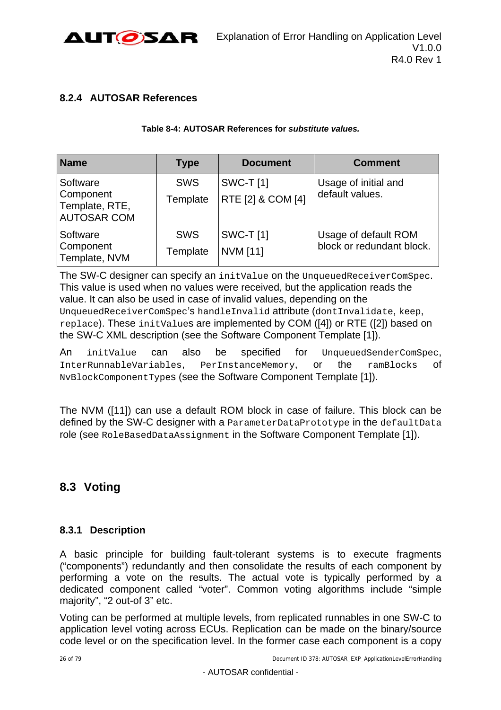

## <span id="page-25-0"></span>**8.2.4 AUTOSAR References**

#### **Table 8-4: AUTOSAR References for** *substitute values.*

| <b>Name</b>                                                   | <b>Type</b>            | <b>Document</b>                      | <b>Comment</b>                                    |
|---------------------------------------------------------------|------------------------|--------------------------------------|---------------------------------------------------|
| Software<br>Component<br>Template, RTE,<br><b>AUTOSAR COM</b> | <b>SWS</b><br>Template | <b>SWC-T[1]</b><br>RTE [2] & COM [4] | Usage of initial and<br>default values.           |
| Software<br>Component<br>Template, NVM                        | <b>SWS</b><br>Template | <b>SWC-T[1]</b><br><b>NVM [11]</b>   | Usage of default ROM<br>block or redundant block. |

The SW-C designer can specify an initValue on the UnqueuedReceiverComSpec. This value is used when no values were received, but the application reads the value. It can also be used in case of invalid values, depending on the UnqueuedReceiverComSpec's handleInvalid attribute (dontInvalidate, keep, replace). These initValues are implemented by COM [\(\[4\]\)](#page-9-2) or RTE [\(\[2\]\)](#page-9-1) based on the SW-C XML description (see the [Software Component Template](#page-9-3) [\[1\]](#page-9-3)).

An initValue can also be specified for UnqueuedSenderComSpec, InterRunnableVariables, PerInstanceMemory, or the ramBlocks of NvBlockComponentTypes (see the [Software Component Template](#page-9-3) [\[1\]\)](#page-9-3).

The NVM ([\[11\]\)](#page-9-4) can use a default ROM block in case of failure. This block can be defined by the SW-C designer with a ParameterDataPrototype in the defaultData role (see RoleBasedDataAssignment in the [Software Component Template](#page-9-3) [\[1\]\)](#page-9-3).

## <span id="page-25-1"></span>**8.3 Voting**

## <span id="page-25-2"></span>**8.3.1 Description**

A basic principle for building fault-tolerant systems is to execute fragments ("components") redundantly and then consolidate the results of each component by performing a vote on the results. The actual vote is typically performed by a dedicated component called "voter". Common voting algorithms include "simple majority", "2 out-of 3" etc.

Voting can be performed at multiple levels, from replicated runnables in one SW-C to application level voting across ECUs. Replication can be made on the binary/source code level or on the specification level. In the former case each component is a copy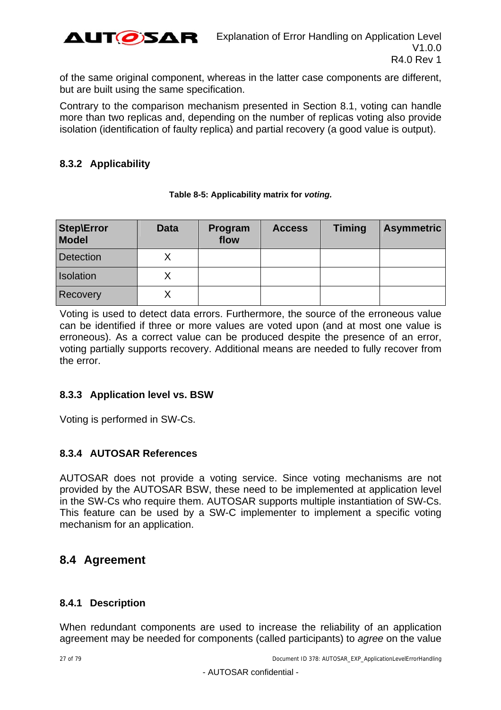

of the same original component, whereas in the latter case components are different, but are built using the same specification.

Contrary to the comparison mechanism presented in Section [8.1,](#page-20-1) voting can handle more than two replicas and, depending on the number of replicas voting also provide isolation (identification of faulty replica) and partial recovery (a good value is output).

## <span id="page-26-0"></span>**8.3.2 Applicability**

| Step\Error<br><b>Model</b> | <b>Data</b> | Program<br>flow | <b>Access</b> | <b>Timing</b> | <b>Asymmetric</b> |
|----------------------------|-------------|-----------------|---------------|---------------|-------------------|
| Detection                  |             |                 |               |               |                   |
| Isolation                  |             |                 |               |               |                   |
| Recovery                   |             |                 |               |               |                   |

#### **Table 8-5: Applicability matrix for** *voting.*

Voting is used to detect data errors. Furthermore, the source of the erroneous value can be identified if three or more values are voted upon (and at most one value is erroneous). As a correct value can be produced despite the presence of an error, voting partially supports recovery. Additional means are needed to fully recover from the error.

## <span id="page-26-1"></span>**8.3.3 Application level vs. BSW**

Voting is performed in SW-Cs.

## <span id="page-26-2"></span>**8.3.4 AUTOSAR References**

AUTOSAR does not provide a voting service. Since voting mechanisms are not provided by the AUTOSAR BSW, these need to be implemented at application level in the SW-Cs who require them. AUTOSAR supports multiple instantiation of SW-Cs. This feature can be used by a SW-C implementer to implement a specific voting mechanism for an application.

## <span id="page-26-3"></span>**8.4 Agreement**

## <span id="page-26-4"></span>**8.4.1 Description**

<span id="page-26-5"></span>When redundant components are used to increase the reliability of an application agreement may be needed for components (called participants) to *agree* on the value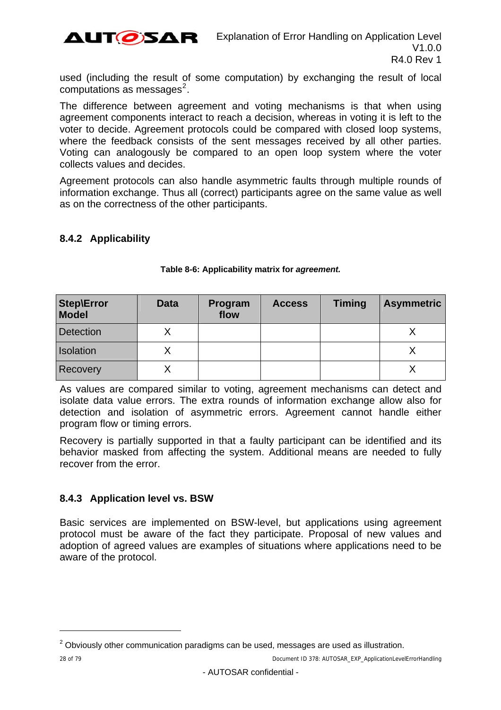

used (including the result of some computation) by exchanging the result of local  $compulations$  as messages<sup>[2](#page-30-3)</sup>.

The difference between agreement and voting mechanisms is that when using agreement components interact to reach a decision, whereas in voting it is left to the voter to decide. Agreement protocols could be compared with closed loop systems, where the feedback consists of the sent messages received by all other parties. Voting can analogously be compared to an open loop system where the voter collects values and decides.

Agreement protocols can also handle asymmetric faults through multiple rounds of information exchange. Thus all (correct) participants agree on the same value as well as on the correctness of the other participants.

### <span id="page-27-0"></span>**8.4.2 Applicability**

| <b>Step\Error</b><br>Model | <b>Data</b> | Program<br>flow | <b>Access</b> | <b>Timing</b> | <b>Asymmetric</b> |
|----------------------------|-------------|-----------------|---------------|---------------|-------------------|
| <b>Detection</b>           |             |                 |               |               |                   |
| Isolation                  |             |                 |               |               |                   |
| Recovery                   |             |                 |               |               |                   |

#### **Table 8-6: Applicability matrix for** *agreement.*

As values are compared similar to voting, agreement mechanisms can detect and isolate data value errors. The extra rounds of information exchange allow also for detection and isolation of asymmetric errors. Agreement cannot handle either program flow or timing errors.

Recovery is partially supported in that a faulty participant can be identified and its behavior masked from affecting the system. Additional means are needed to fully recover from the error.

## <span id="page-27-1"></span>**8.4.3 Application level vs. BSW**

Basic services are implemented on BSW-level, but applications using agreement protocol must be aware of the fact they participate. Proposal of new values and adoption of agreed values are examples of situations where applications need to be aware of the protocol.

l

 $2$  Obviously other communication paradigms can be used, messages are used as illustration.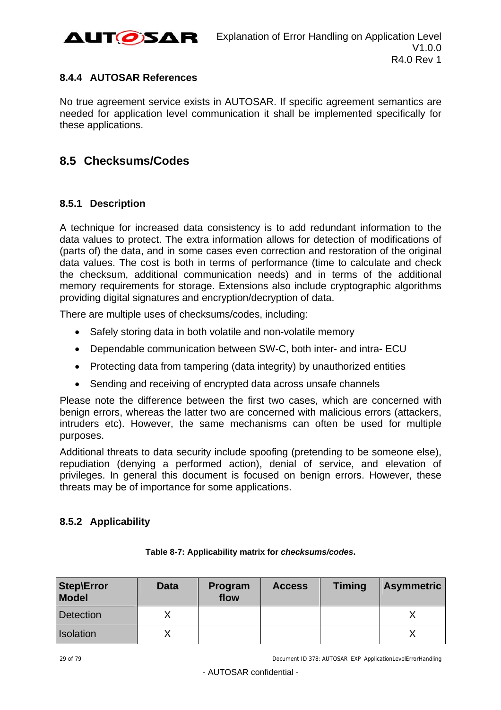

### <span id="page-28-0"></span>**8.4.4 AUTOSAR References**

No true agreement service exists in AUTOSAR. If specific agreement semantics are needed for application level communication it shall be implemented specifically for these applications.

## <span id="page-28-1"></span>**8.5 Checksums/Codes**

### <span id="page-28-2"></span>**8.5.1 Description**

A technique for increased data consistency is to add redundant information to the data values to protect. The extra information allows for detection of modifications of (parts of) the data, and in some cases even correction and restoration of the original data values. The cost is both in terms of performance (time to calculate and check the checksum, additional communication needs) and in terms of the additional memory requirements for storage. Extensions also include cryptographic algorithms providing digital signatures and encryption/decryption of data.

There are multiple uses of checksums/codes, including:

- Safely storing data in both volatile and non-volatile memory
- Dependable communication between SW-C, both inter- and intra- ECU
- Protecting data from tampering (data integrity) by unauthorized entities
- Sending and receiving of encrypted data across unsafe channels

Please note the difference between the first two cases, which are concerned with benign errors, whereas the latter two are concerned with malicious errors (attackers, intruders etc). However, the same mechanisms can often be used for multiple purposes.

Additional threats to data security include spoofing (pretending to be someone else), repudiation (denying a performed action), denial of service, and elevation of privileges. In general this document is focused on benign errors. However, these threats may be of importance for some applications.

## <span id="page-28-3"></span>**8.5.2 Applicability**

| <b>Step\Error</b><br><b>Model</b> | <b>Data</b> | Program<br>flow | <b>Access</b> | <b>Timing</b> | <b>Asymmetric</b> |
|-----------------------------------|-------------|-----------------|---------------|---------------|-------------------|
| <b>Detection</b>                  |             |                 |               |               |                   |
| Isolation                         |             |                 |               |               |                   |

| Table 8-7: Applicability matrix for checksums/codes. |
|------------------------------------------------------|
|------------------------------------------------------|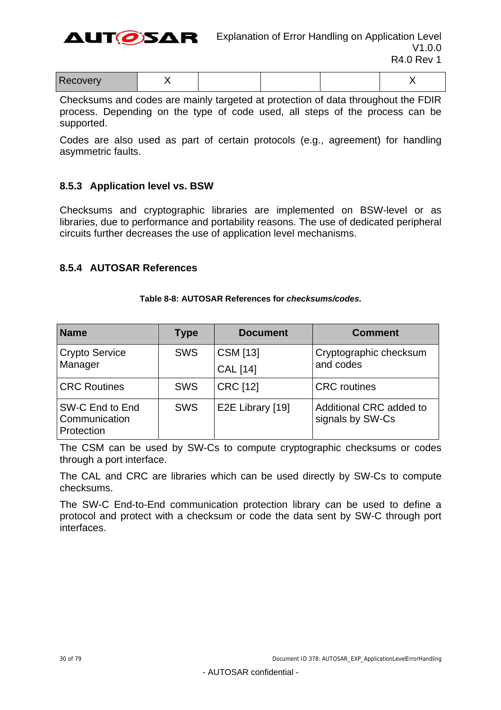

| - -<br>________ |  |  |  |
|-----------------|--|--|--|

Checksums and codes are mainly targeted at protection of data throughout the FDIR process. Depending on the type of code used, all steps of the process can be supported.

Codes are also used as part of certain protocols (e.g., agreement) for handling asymmetric faults.

#### <span id="page-29-0"></span>**8.5.3 Application level vs. BSW**

Checksums and cryptographic libraries are implemented on BSW-level or as libraries, due to performance and portability reasons. The use of dedicated peripheral circuits further decreases the use of application level mechanisms.

#### <span id="page-29-1"></span>**8.5.4 AUTOSAR References**

| <b>Name</b>                                    | <b>Type</b> | <b>Document</b>  | <b>Comment</b>                              |
|------------------------------------------------|-------------|------------------|---------------------------------------------|
| <b>Crypto Service</b>                          | <b>SWS</b>  | CSM [13]         | Cryptographic checksum                      |
| Manager                                        |             | <b>CAL</b> [14]  | and codes                                   |
| <b>CRC Routines</b>                            | <b>SWS</b>  | <b>CRC [12]</b>  | <b>CRC</b> routines                         |
| SW-C End to End<br>Communication<br>Protection | <b>SWS</b>  | E2E Library [19] | Additional CRC added to<br>signals by SW-Cs |

#### **Table 8-8: AUTOSAR References for** *checksums/codes.*

The CSM can be used by SW-Cs to compute cryptographic checksums or codes through a port interface.

The CAL and CRC are libraries which can be used directly by SW-Cs to compute checksums.

The SW-C End-to-End communication protection library can be used to define a protocol and protect with a checksum or code the data sent by SW-C through port interfaces.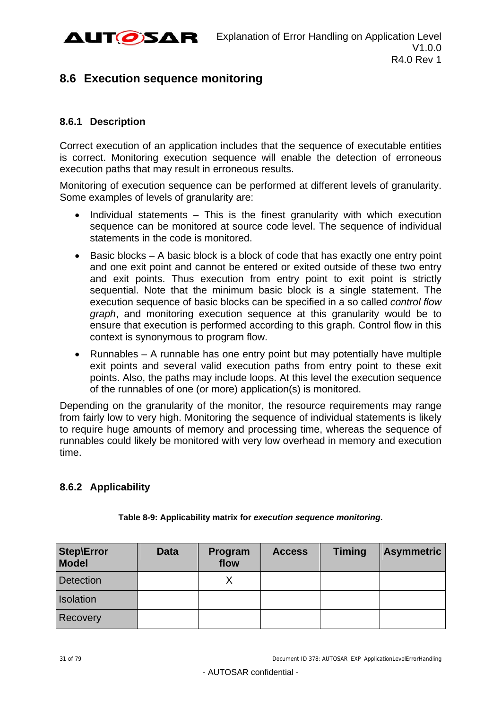

## <span id="page-30-0"></span>**8.6 Execution sequence monitoring**

## <span id="page-30-1"></span>**8.6.1 Description**

Correct execution of an application includes that the sequence of executable entities is correct. Monitoring execution sequence will enable the detection of erroneous execution paths that may result in erroneous results.

Monitoring of execution sequence can be performed at different levels of granularity. Some examples of levels of granularity are:

- $\bullet$  Individual statements This is the finest granularity with which execution sequence can be monitored at source code level. The sequence of individual statements in the code is monitored.
- $\bullet$  Basic blocks A basic block is a block of code that has exactly one entry point and one exit point and cannot be entered or exited outside of these two entry and exit points. Thus execution from entry point to exit point is strictly sequential. Note that the minimum basic block is a single statement. The execution sequence of basic blocks can be specified in a so called *control flow graph*, and monitoring execution sequence at this granularity would be to ensure that execution is performed according to this graph. Control flow in this context is synonymous to program flow.
- Runnables A runnable has one entry point but may potentially have multiple exit points and several valid execution paths from entry point to these exit points. Also, the paths may include loops. At this level the execution sequence of the runnables of one (or more) application(s) is monitored.

Depending on the granularity of the monitor, the resource requirements may range from fairly low to very high. Monitoring the sequence of individual statements is likely to require huge amounts of memory and processing time, whereas the sequence of runnables could likely be monitored with very low overhead in memory and execution time.

## <span id="page-30-2"></span>**8.6.2 Applicability**

<span id="page-30-3"></span>

| <b>Step\Error</b><br><b>Model</b> | <b>Data</b> | Program<br>flow | <b>Access</b> | <b>Timing</b> | <b>Asymmetric</b> |
|-----------------------------------|-------------|-----------------|---------------|---------------|-------------------|
| <b>Detection</b>                  |             |                 |               |               |                   |
| Isolation                         |             |                 |               |               |                   |
| <b>Recovery</b>                   |             |                 |               |               |                   |

#### **Table 8-9: Applicability matrix for** *execution sequence monitoring***.**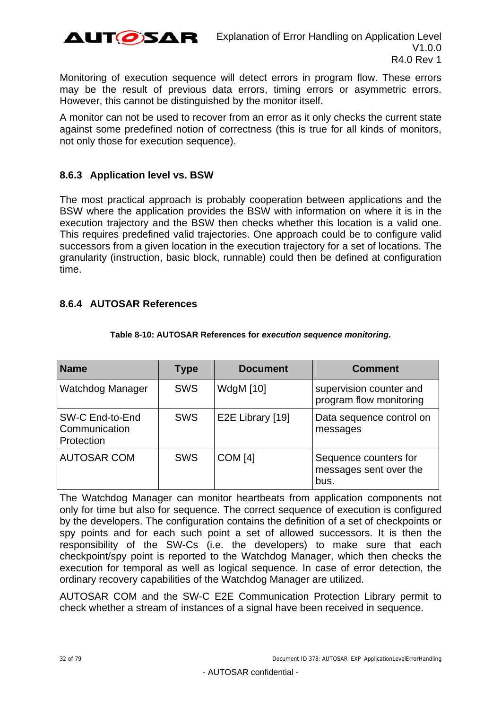

Monitoring of execution sequence will detect errors in program flow. These errors may be the result of previous data errors, timing errors or asymmetric errors. However, this cannot be distinguished by the monitor itself.

A monitor can not be used to recover from an error as it only checks the current state against some predefined notion of correctness (this is true for all kinds of monitors, not only those for execution sequence).

### <span id="page-31-0"></span>**8.6.3 Application level vs. BSW**

The most practical approach is probably cooperation between applications and the BSW where the application provides the BSW with information on where it is in the execution trajectory and the BSW then checks whether this location is a valid one. This requires predefined valid trajectories. One approach could be to configure valid successors from a given location in the execution trajectory for a set of locations. The granularity (instruction, basic block, runnable) could then be defined at configuration time.

### <span id="page-31-1"></span>**8.6.4 AUTOSAR References**

| <b>Name</b>                                    | <b>Type</b> | <b>Document</b>  | <b>Comment</b>                                          |
|------------------------------------------------|-------------|------------------|---------------------------------------------------------|
| Watchdog Manager                               | <b>SWS</b>  | <b>WdgM</b> [10] | supervision counter and<br>program flow monitoring      |
| SW-C End-to-End<br>Communication<br>Protection | <b>SWS</b>  | E2E Library [19] | Data sequence control on<br>messages                    |
| <b>AUTOSAR COM</b>                             | <b>SWS</b>  | <b>COM [4]</b>   | Sequence counters for<br>messages sent over the<br>bus. |

#### **Table 8-10: AUTOSAR References for** *execution sequence monitoring.*

The Watchdog Manager can monitor heartbeats from application components not only for time but also for sequence. The correct sequence of execution is configured by the developers. The configuration contains the definition of a set of checkpoints or spy points and for each such point a set of allowed successors. It is then the responsibility of the SW-Cs (i.e. the developers) to make sure that each checkpoint/spy point is reported to the Watchdog Manager, which then checks the execution for temporal as well as logical sequence. In case of error detection, the ordinary recovery capabilities of the Watchdog Manager are utilized.

AUTOSAR COM and the SW-C E2E Communication Protection Library permit to check whether a stream of instances of a signal have been received in sequence.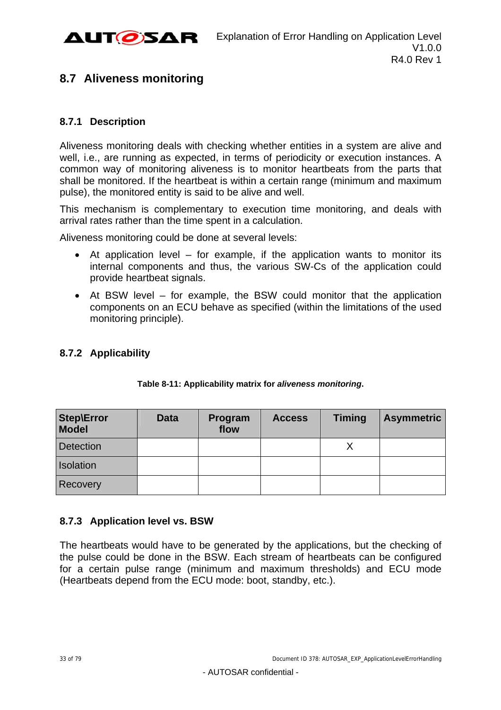

## <span id="page-32-0"></span>**8.7 Aliveness monitoring**

## <span id="page-32-1"></span>**8.7.1 Description**

Aliveness monitoring deals with checking whether entities in a system are alive and well, i.e., are running as expected, in terms of periodicity or execution instances. A common way of monitoring aliveness is to monitor heartbeats from the parts that shall be monitored. If the heartbeat is within a certain range (minimum and maximum pulse), the monitored entity is said to be alive and well.

This mechanism is complementary to execution time monitoring, and deals with arrival rates rather than the time spent in a calculation.

Aliveness monitoring could be done at several levels:

- $\bullet$  At application level for example, if the application wants to monitor its internal components and thus, the various SW-Cs of the application could provide heartbeat signals.
- At BSW level for example, the BSW could monitor that the application components on an ECU behave as specified (within the limitations of the used monitoring principle).

## <span id="page-32-2"></span>**8.7.2 Applicability**

| <b>Step\Error</b><br><b>Model</b> | <b>Data</b> | Program<br>flow | <b>Access</b> | <b>Timing</b> | <b>Asymmetric</b> |
|-----------------------------------|-------------|-----------------|---------------|---------------|-------------------|
| <b>Detection</b>                  |             |                 |               |               |                   |
| <b>Isolation</b>                  |             |                 |               |               |                   |
| Recovery                          |             |                 |               |               |                   |

#### **Table 8-11: Applicability matrix for** *aliveness monitoring***.**

## <span id="page-32-3"></span>**8.7.3 Application level vs. BSW**

The heartbeats would have to be generated by the applications, but the checking of the pulse could be done in the BSW. Each stream of heartbeats can be configured for a certain pulse range (minimum and maximum thresholds) and ECU mode (Heartbeats depend from the ECU mode: boot, standby, etc.).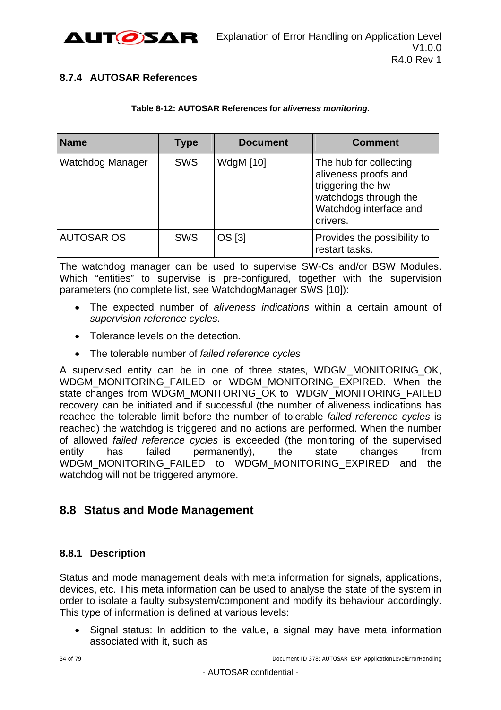

## <span id="page-33-0"></span>**8.7.4 AUTOSAR References**

#### **Table 8-12: AUTOSAR References for** *aliveness monitoring.*

| <b>Name</b>       | <b>Type</b> | <b>Document</b>  | <b>Comment</b>                                                                                                                     |
|-------------------|-------------|------------------|------------------------------------------------------------------------------------------------------------------------------------|
| Watchdog Manager  | <b>SWS</b>  | <b>WdgM</b> [10] | The hub for collecting<br>aliveness proofs and<br>triggering the hw<br>watchdogs through the<br>Watchdog interface and<br>drivers. |
| <b>AUTOSAR OS</b> | <b>SWS</b>  | OS [3]           | Provides the possibility to<br>restart tasks.                                                                                      |

The watchdog manager can be used to supervise SW-Cs and/or BSW Modules. Which "entities" to supervise is pre-configured, together with the supervision parameters (no complete list, see WatchdogManager SWS [\[10\]](#page-9-8)):

- The expected number of *aliveness indications* within a certain amount of *supervision reference cycles*.
- Tolerance levels on the detection.
- The tolerable number of *failed reference cycles*

A supervised entity can be in one of three states, WDGM\_MONITORING\_OK, WDGM\_MONITORING\_FAILED\_or WDGM\_MONITORING\_EXPIRED. When the state changes from WDGM\_MONITORING\_OK to WDGM\_MONITORING\_FAILED recovery can be initiated and if successful (the number of aliveness indications has reached the tolerable limit before the number of tolerable *failed reference cycles* is reached) the watchdog is triggered and no actions are performed. When the number of allowed *failed reference cycles* is exceeded (the monitoring of the supervised entity has failed permanently), the state changes from WDGM\_MONITORING\_FAILED to WDGM\_MONITORING\_EXPIRED and the watchdog will not be triggered anymore.

## <span id="page-33-1"></span>**8.8 Status and Mode Management**

## <span id="page-33-2"></span>**8.8.1 Description**

Status and mode management deals with meta information for signals, applications, devices, etc. This meta information can be used to analyse the state of the system in order to isolate a faulty subsystem/component and modify its behaviour accordingly. This type of information is defined at various levels:

• Signal status: In addition to the value, a signal may have meta information associated with it, such as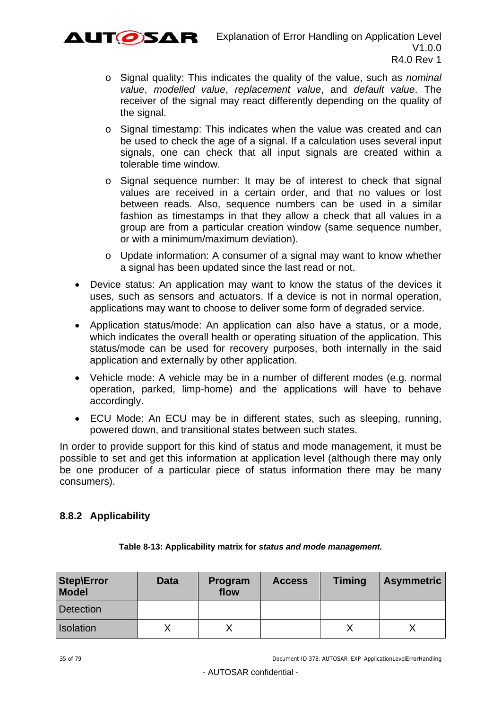

- o Signal quality: This indicates the quality of the value, such as *nominal value*, *modelled value*, *replacement value*, and *default value*. The receiver of the signal may react differently depending on the quality of the signal.
- o Signal timestamp: This indicates when the value was created and can be used to check the age of a signal. If a calculation uses several input signals, one can check that all input signals are created within a tolerable time window.
- o Signal sequence number: It may be of interest to check that signal values are received in a certain order, and that no values or lost between reads. Also, sequence numbers can be used in a similar fashion as timestamps in that they allow a check that all values in a group are from a particular creation window (same sequence number, or with a minimum/maximum deviation).
- o Update information: A consumer of a signal may want to know whether a signal has been updated since the last read or not.
- Device status: An application may want to know the status of the devices it uses, such as sensors and actuators. If a device is not in normal operation, applications may want to choose to deliver some form of degraded service.
- Application status/mode: An application can also have a status, or a mode, which indicates the overall health or operating situation of the application. This status/mode can be used for recovery purposes, both internally in the said application and externally by other application.
- Vehicle mode: A vehicle may be in a number of different modes (e.g. normal operation, parked, limp-home) and the applications will have to behave accordingly.
- ECU Mode: An ECU may be in different states, such as sleeping, running, powered down, and transitional states between such states.

In order to provide support for this kind of status and mode management, it must be possible to set and get this information at application level (although there may only be one producer of a particular piece of status information there may be many consumers).

## <span id="page-34-0"></span>**8.8.2 Applicability**

| <b>Step\Error</b><br><b>Model</b> | <b>Data</b> | Program<br>flow | <b>Access</b> | <b>Timing</b> | <b>Asymmetric</b> |
|-----------------------------------|-------------|-----------------|---------------|---------------|-------------------|
| Detection                         |             |                 |               |               |                   |
| Isolation                         |             |                 |               |               |                   |

#### **Table 8-13: Applicability matrix for** *status and mode management.*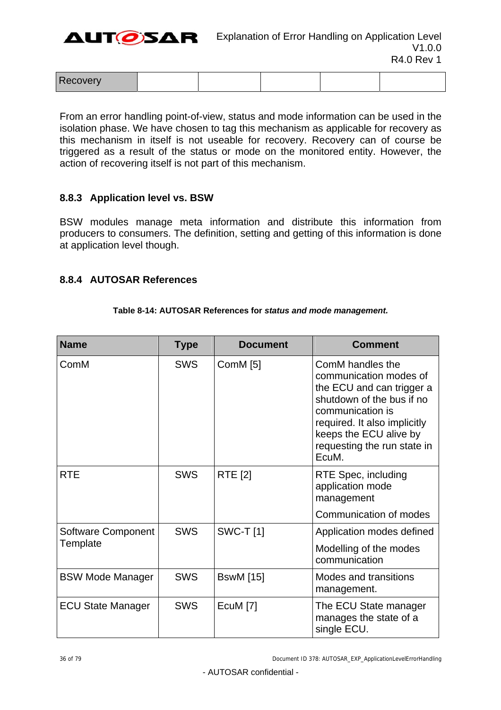AUTØSAR

| Recovery<br>$\cdots$ |  |  |  |  |
|----------------------|--|--|--|--|
|----------------------|--|--|--|--|

From an error handling point-of-view, status and mode information can be used in the isolation phase. We have chosen to tag this mechanism as applicable for recovery as this mechanism in itself is not useable for recovery. Recovery can of course be triggered as a result of the status or mode on the monitored entity. However, the action of recovering itself is not part of this mechanism.

### <span id="page-35-0"></span>**8.8.3 Application level vs. BSW**

BSW modules manage meta information and distribute this information from producers to consumers. The definition, setting and getting of this information is done at application level though.

#### <span id="page-35-1"></span>**8.8.4 AUTOSAR References**

#### **Table 8-14: AUTOSAR References for** *status and mode management.*

| <b>Name</b>              | <b>Type</b> | <b>Document</b>  | <b>Comment</b>                                                                                                                                                                                                             |
|--------------------------|-------------|------------------|----------------------------------------------------------------------------------------------------------------------------------------------------------------------------------------------------------------------------|
| ComM                     | <b>SWS</b>  | ComM $[5]$       | ComM handles the<br>communication modes of<br>the ECU and can trigger a<br>shutdown of the bus if no<br>communication is<br>required. It also implicitly<br>keeps the ECU alive by<br>requesting the run state in<br>EcuM. |
| <b>RTE</b>               | <b>SWS</b>  | <b>RTE</b> [2]   | RTE Spec, including<br>application mode<br>management                                                                                                                                                                      |
|                          |             |                  | Communication of modes                                                                                                                                                                                                     |
| Software Component       | <b>SWS</b>  | <b>SWC-T</b> [1] | Application modes defined                                                                                                                                                                                                  |
| Template                 |             |                  | Modelling of the modes<br>communication                                                                                                                                                                                    |
| <b>BSW Mode Manager</b>  | <b>SWS</b>  | <b>BswM</b> [15] | Modes and transitions<br>management.                                                                                                                                                                                       |
| <b>ECU State Manager</b> | <b>SWS</b>  | EcuM [7]         | The ECU State manager<br>manages the state of a<br>single ECU.                                                                                                                                                             |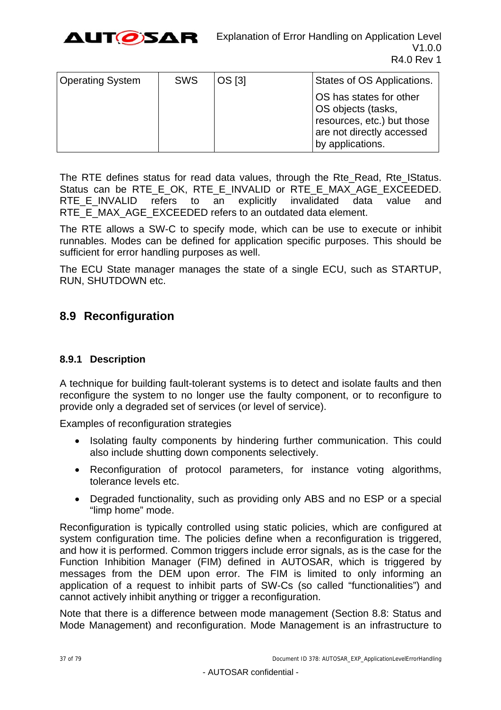

| <b>Operating System</b> | <b>SWS</b> | OS [3] | States of OS Applications.                                                                                                   |
|-------------------------|------------|--------|------------------------------------------------------------------------------------------------------------------------------|
|                         |            |        | OS has states for other<br>OS objects (tasks,<br>resources, etc.) but those<br>are not directly accessed<br>by applications. |

The RTE defines status for read data values, through the Rte\_Read, Rte\_IStatus. Status can be RTE E\_OK, RTE E\_INVALID or RTE E\_MAX\_AGE\_EXCEEDED. RTE E INVALID refers to an explicitly invalidated data value and RTE\_E\_MAX\_AGE\_EXCEEDED refers to an outdated data element.

The RTE allows a SW-C to specify mode, which can be use to execute or inhibit runnables. Modes can be defined for application specific purposes. This should be sufficient for error handling purposes as well.

The ECU State manager manages the state of a single ECU, such as STARTUP, RUN, SHUTDOWN etc.

## <span id="page-36-0"></span>**8.9 Reconfiguration**

## **8.9.1 Description**

A technique for building fault-tolerant systems is to detect and isolate faults and then reconfigure the system to no longer use the faulty component, or to reconfigure to provide only a degraded set of services (or level of service).

Examples of reconfiguration strategies

- Isolating faulty components by hindering further communication. This could also include shutting down components selectively.
- Reconfiguration of protocol parameters, for instance voting algorithms, tolerance levels etc.
- Degraded functionality, such as providing only ABS and no ESP or a special "limp home" mode.

Reconfiguration is typically controlled using static policies, which are configured at system configuration time. The policies define when a reconfiguration is triggered, and how it is performed. Common triggers include error signals, as is the case for the Function Inhibition Manager (FIM) defined in AUTOSAR, which is triggered by messages from the DEM upon error. The FIM is limited to only informing an application of a request to inhibit parts of SW-Cs (so called "functionalities") and cannot actively inhibit anything or trigger a reconfiguration.

Note that there is a difference between mode management (Section [8.8:](#page-33-0) [Status and](#page-33-0)  [Mode Management\)](#page-33-0) and reconfiguration. Mode Management is an infrastructure to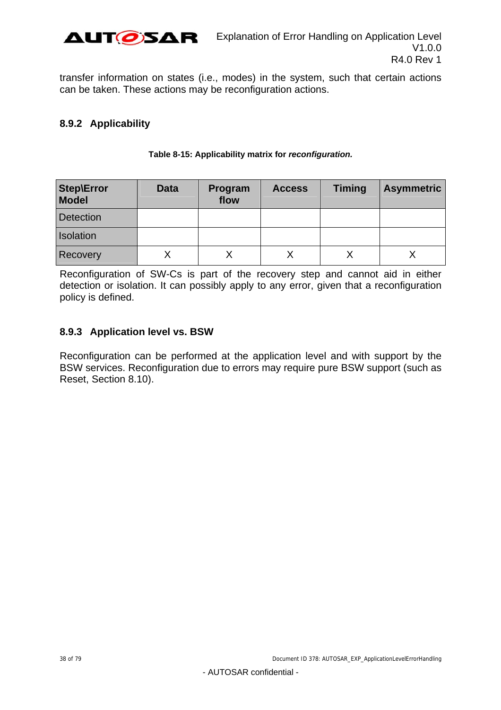

transfer information on states (i.e., modes) in the system, such that certain actions can be taken. These actions may be reconfiguration actions.

## **8.9.2 Applicability**

| <b>Step\Error</b><br><b>Model</b> | <b>Data</b> | Program<br>flow | <b>Access</b> | <b>Timing</b> | <b>Asymmetric</b> |
|-----------------------------------|-------------|-----------------|---------------|---------------|-------------------|
| <b>Detection</b>                  |             |                 |               |               |                   |
| <b>Isolation</b>                  |             |                 |               |               |                   |
| Recovery                          |             |                 |               |               |                   |

#### **Table 8-15: Applicability matrix for** *reconfiguration.*

Reconfiguration of SW-Cs is part of the recovery step and cannot aid in either detection or isolation. It can possibly apply to any error, given that a reconfiguration policy is defined.

## **8.9.3 Application level vs. BSW**

Reconfiguration can be performed at the application level and with support by the BSW services. Reconfiguration due to errors may require pure BSW support (such as Reset, Section [8.10\)](#page-39-0).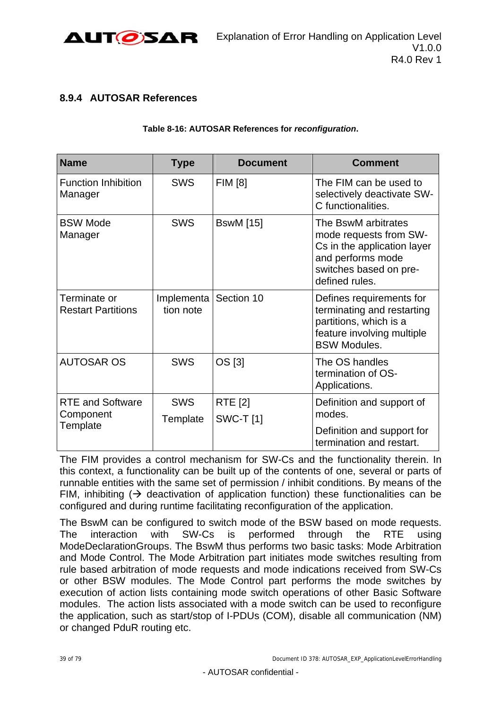

## **8.9.4 AUTOSAR References**

#### **Table 8-16: AUTOSAR References for** *reconfiguration***.**

| <b>Name</b>                               | <b>Type</b>             | <b>Document</b>                   | <b>Comment</b>                                                                                                                                |
|-------------------------------------------|-------------------------|-----------------------------------|-----------------------------------------------------------------------------------------------------------------------------------------------|
| <b>Function Inhibition</b><br>Manager     | <b>SWS</b>              | <b>FIM [8]</b>                    | The FIM can be used to<br>selectively deactivate SW-<br>C functionalities.                                                                    |
| <b>BSW Mode</b><br>Manager                | <b>SWS</b>              | <b>BswM</b> [15]                  | The BswM arbitrates<br>mode requests from SW-<br>Cs in the application layer<br>and performs mode<br>switches based on pre-<br>defined rules. |
| Terminate or<br><b>Restart Partitions</b> | Implementa<br>tion note | Section 10                        | Defines requirements for<br>terminating and restarting<br>partitions, which is a<br>feature involving multiple<br><b>BSW Modules.</b>         |
| <b>AUTOSAR OS</b>                         | <b>SWS</b>              | OS [3]                            | The OS handles<br>termination of OS-<br>Applications.                                                                                         |
| <b>RTE and Software</b><br>Component      | <b>SWS</b><br>Template  | <b>RTE</b> [2]<br><b>SWC-T[1]</b> | Definition and support of<br>modes.                                                                                                           |
| Template                                  |                         |                                   | Definition and support for<br>termination and restart.                                                                                        |

The FIM provides a control mechanism for SW-Cs and the functionality therein. In this context, a functionality can be built up of the contents of one, several or parts of runnable entities with the same set of permission / inhibit conditions. By means of the FIM, inhibiting  $($   $\rightarrow$  deactivation of application function) these functionalities can be configured and during runtime facilitating reconfiguration of the application.

The BswM can be configured to switch mode of the BSW based on mode requests. The interaction with SW-Cs is performed through the RTE using ModeDeclarationGroups. The BswM thus performs two basic tasks: Mode Arbitration and Mode Control. The Mode Arbitration part initiates mode switches resulting from rule based arbitration of mode requests and mode indications received from SW-Cs or other BSW modules. The Mode Control part performs the mode switches by execution of action lists containing mode switch operations of other Basic Software modules. The action lists associated with a mode switch can be used to reconfigure the application, such as start/stop of I-PDUs (COM), disable all communication (NM) or changed PduR routing etc.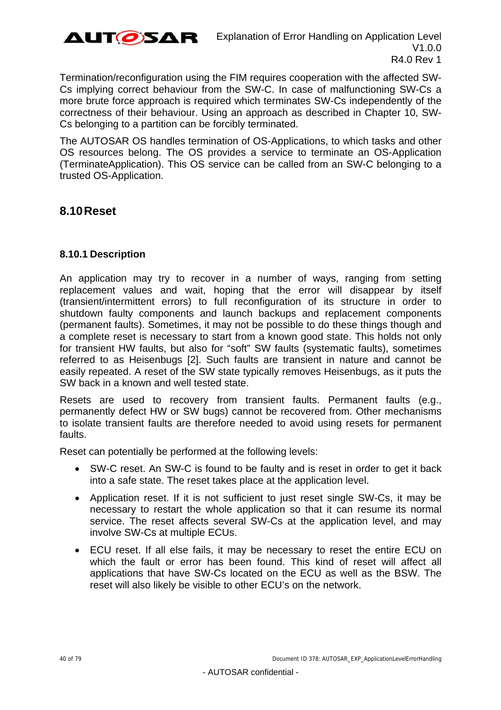

Termination/reconfiguration using the FIM requires cooperation with the affected SW-Cs implying correct behaviour from the SW-C. In case of malfunctioning SW-Cs a more brute force approach is required which terminates SW-Cs independently of the correctness of their behaviour. Using an approach as described in Chapter [10](#page-53-0), SW-Cs belonging to a partition can be forcibly terminated.

The AUTOSAR OS handles termination of OS-Applications, to which tasks and other OS resources belong. The OS provides a service to terminate an OS-Application (TerminateApplication). This OS service can be called from an SW-C belonging to a trusted OS-Application.

## <span id="page-39-0"></span>**8.10 Reset**

## **8.10.1 Description**

An application may try to recover in a number of ways, ranging from setting replacement values and wait, hoping that the error will disappear by itself (transient/intermittent errors) to full reconfiguration of its structure in order to shutdown faulty components and launch backups and replacement components (permanent faults). Sometimes, it may not be possible to do these things though and a complete reset is necessary to start from a known good state. This holds not only for transient HW faults, but also for "soft" SW faults (systematic faults), sometimes referred to as Heisenbugs [2]. Such faults are transient in nature and cannot be easily repeated. A reset of the SW state typically removes Heisenbugs, as it puts the SW back in a known and well tested state.

Resets are used to recovery from transient faults. Permanent faults (e.g., permanently defect HW or SW bugs) cannot be recovered from. Other mechanisms to isolate transient faults are therefore needed to avoid using resets for permanent faults.

Reset can potentially be performed at the following levels:

- SW-C reset. An SW-C is found to be faulty and is reset in order to get it back into a safe state. The reset takes place at the application level.
- Application reset. If it is not sufficient to just reset single SW-Cs, it may be necessary to restart the whole application so that it can resume its normal service. The reset affects several SW-Cs at the application level, and may involve SW-Cs at multiple ECUs.
- ECU reset. If all else fails, it may be necessary to reset the entire ECU on which the fault or error has been found. This kind of reset will affect all applications that have SW-Cs located on the ECU as well as the BSW. The reset will also likely be visible to other ECU's on the network.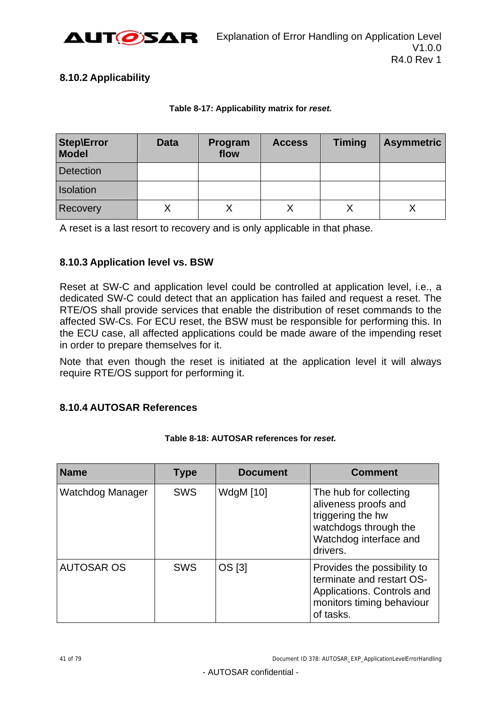

## **8.10.2 Applicability**

#### **Table 8-17: Applicability matrix for** *reset.*

| <b>Step\Error</b><br><b>Model</b> | <b>Data</b> | Program<br>flow | <b>Access</b> | <b>Timing</b> | <b>Asymmetric</b> |
|-----------------------------------|-------------|-----------------|---------------|---------------|-------------------|
| <b>Detection</b>                  |             |                 |               |               |                   |
| Isolation                         |             |                 |               |               |                   |
| Recovery                          |             |                 |               |               |                   |

A reset is a last resort to recovery and is only applicable in that phase.

## **8.10.3 Application level vs. BSW**

Reset at SW-C and application level could be controlled at application level, i.e., a dedicated SW-C could detect that an application has failed and request a reset. The RTE/OS shall provide services that enable the distribution of reset commands to the affected SW-Cs. For ECU reset, the BSW must be responsible for performing this. In the ECU case, all affected applications could be made aware of the impending reset in order to prepare themselves for it.

Note that even though the reset is initiated at the application level it will always require RTE/OS support for performing it.

### **8.10.4 AUTOSAR References**

| <b>Name</b>       | <b>Type</b> | <b>Document</b>  | <b>Comment</b>                                                                                                                     |
|-------------------|-------------|------------------|------------------------------------------------------------------------------------------------------------------------------------|
| Watchdog Manager  | <b>SWS</b>  | <b>WdgM</b> [10] | The hub for collecting<br>aliveness proofs and<br>triggering the hw<br>watchdogs through the<br>Watchdog interface and<br>drivers. |
| <b>AUTOSAR OS</b> | <b>SWS</b>  | OS [3]           | Provides the possibility to<br>terminate and restart OS-<br>Applications. Controls and<br>monitors timing behaviour<br>of tasks.   |

#### **Table 8-18: AUTOSAR references for** *reset.*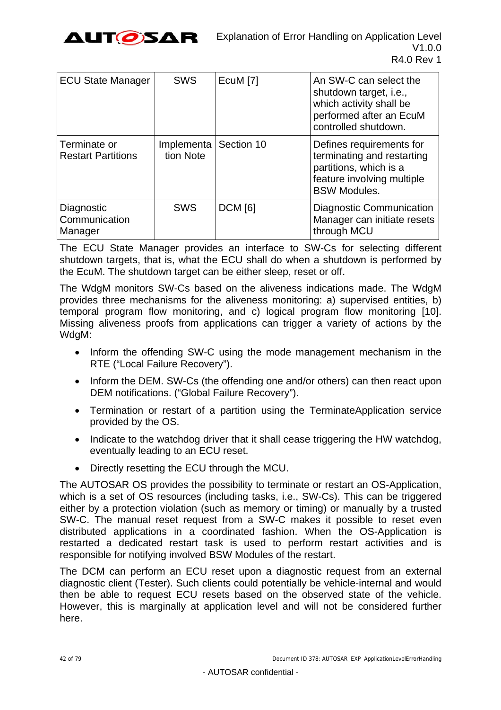

| <b>ECU State Manager</b>                  | <b>SWS</b>                           | EcuM <sub>[7]</sub> | An SW-C can select the<br>shutdown target, i.e.,<br>which activity shall be<br>performed after an EcuM<br>controlled shutdown.        |
|-------------------------------------------|--------------------------------------|---------------------|---------------------------------------------------------------------------------------------------------------------------------------|
| Terminate or<br><b>Restart Partitions</b> | Implementa   Section 10<br>tion Note |                     | Defines requirements for<br>terminating and restarting<br>partitions, which is a<br>feature involving multiple<br><b>BSW Modules.</b> |
| Diagnostic<br>Communication<br>Manager    | <b>SWS</b>                           | <b>DCM</b> [6]      | Diagnostic Communication<br>Manager can initiate resets<br>through MCU                                                                |

The ECU State Manager provides an interface to SW-Cs for selecting different shutdown targets, that is, what the ECU shall do when a shutdown is performed by the EcuM. The shutdown target can be either sleep, reset or off.

The WdgM monitors SW-Cs based on the aliveness indications made. The WdgM provides three mechanisms for the aliveness monitoring: a) supervised entities, b) temporal program flow monitoring, and c) logical program flow monitoring [\[10\]](#page-9-5). Missing aliveness proofs from applications can trigger a variety of actions by the WdgM:

- Inform the offending SW-C using the mode management mechanism in the RTE ("Local Failure Recovery").
- Inform the DEM. SW-Cs (the offending one and/or others) can then react upon DEM notifications. ("Global Failure Recovery").
- Termination or restart of a partition using the TerminateApplication service provided by the OS.
- Indicate to the watchdog driver that it shall cease triggering the HW watchdog, eventually leading to an ECU reset.
- Directly resetting the ECU through the MCU.

The AUTOSAR OS provides the possibility to terminate or restart an OS-Application, which is a set of OS resources (including tasks, i.e., SW-Cs). This can be triggered either by a protection violation (such as memory or timing) or manually by a trusted SW-C. The manual reset request from a SW-C makes it possible to reset even distributed applications in a coordinated fashion. When the OS-Application is restarted a dedicated restart task is used to perform restart activities and is responsible for notifying involved BSW Modules of the restart.

The DCM can perform an ECU reset upon a diagnostic request from an external diagnostic client (Tester). Such clients could potentially be vehicle-internal and would then be able to request ECU resets based on the observed state of the vehicle. However, this is marginally at application level and will not be considered further here.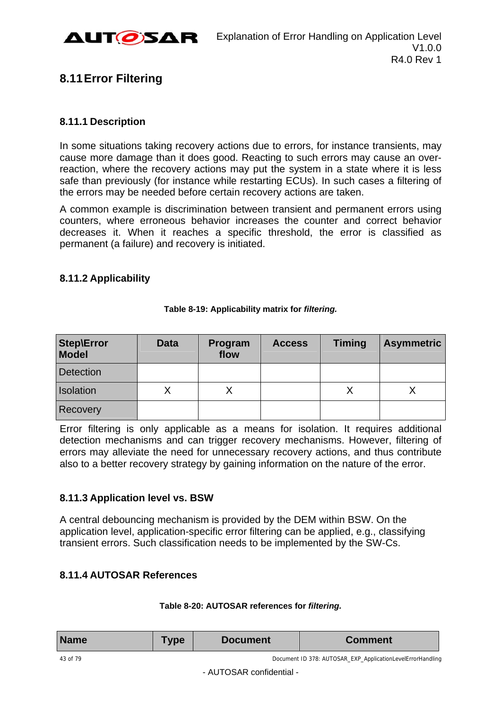

## <span id="page-42-0"></span>**8.11 Error Filtering**

## **8.11.1 Description**

In some situations taking recovery actions due to errors, for instance transients, may cause more damage than it does good. Reacting to such errors may cause an overreaction, where the recovery actions may put the system in a state where it is less safe than previously (for instance while restarting ECUs). In such cases a filtering of the errors may be needed before certain recovery actions are taken.

A common example is discrimination between transient and permanent errors using counters, where erroneous behavior increases the counter and correct behavior decreases it. When it reaches a specific threshold, the error is classified as permanent (a failure) and recovery is initiated.

## **8.11.2 Applicability**

| <b>Step\Error</b><br><b>Model</b> | <b>Data</b> | Program<br>flow | <b>Access</b> | <b>Timing</b> | <b>Asymmetric</b> |
|-----------------------------------|-------------|-----------------|---------------|---------------|-------------------|
| <b>Detection</b>                  |             |                 |               |               |                   |
| Isolation                         |             |                 |               | Χ             | ↗                 |
| Recovery                          |             |                 |               |               |                   |

#### **Table 8-19: Applicability matrix for** *filtering.*

Error filtering is only applicable as a means for isolation. It requires additional detection mechanisms and can trigger recovery mechanisms. However, filtering of errors may alleviate the need for unnecessary recovery actions, and thus contribute also to a better recovery strategy by gaining information on the nature of the error.

## **8.11.3 Application level vs. BSW**

A central debouncing mechanism is provided by the DEM within BSW. On the application level, application-specific error filtering can be applied, e.g., classifying transient errors. Such classification needs to be implemented by the SW-Cs.

## **8.11.4 AUTOSAR References**

### **Table 8-20: AUTOSAR references for** *filtering.*

| <b>Name</b> | <b>Type</b> | <b>Document</b> | <b>Comment</b>                                             |
|-------------|-------------|-----------------|------------------------------------------------------------|
| 43 of 79    |             |                 | Document ID 378: AUTOSAR_EXP_ApplicationLevelErrorHandling |

- AUTOSAR confidential -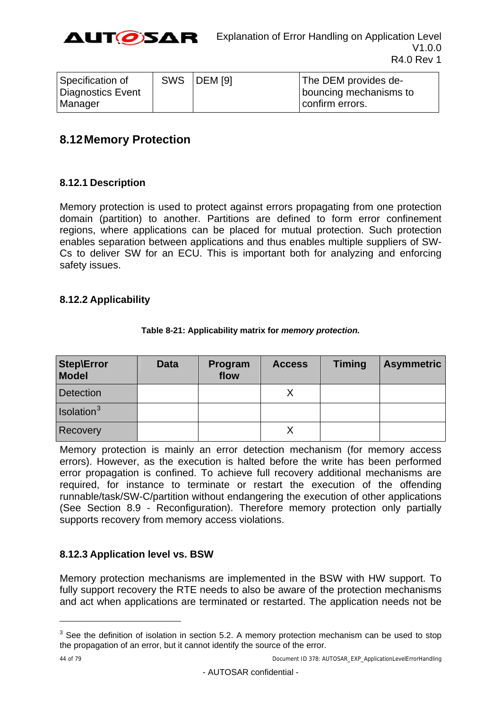

| Specification of  | <b>SWS DEM</b> [9] | The DEM provides de-   |
|-------------------|--------------------|------------------------|
| Diagnostics Event |                    | bouncing mechanisms to |
| Manager           |                    | confirm errors.        |

## <span id="page-43-0"></span>**8.12 Memory Protection**

## **8.12.1 Description**

Memory protection is used to protect against errors propagating from one protection domain (partition) to another. Partitions are defined to form error confinement regions, where applications can be placed for mutual protection. Such protection enables separation between applications and thus enables multiple suppliers of SW-Cs to deliver SW for an ECU. This is important both for analyzing and enforcing safety issues.

### **8.12.2 Applicability**

| <b>Step\Error</b><br><b>Model</b> | <b>Data</b> | Program<br>flow | <b>Access</b> | <b>Timing</b> | <b>Asymmetric</b> |
|-----------------------------------|-------------|-----------------|---------------|---------------|-------------------|
| <b>Detection</b>                  |             |                 |               |               |                   |
| Isolation <sup>3</sup>            |             |                 |               |               |                   |
| Recovery                          |             |                 |               |               |                   |

#### **Table 8-21: Applicability matrix for** *memory protection.*

Memory protection is mainly an error detection mechanism (for memory access errors). However, as the execution is halted before the write has been performed error propagation is confined. To achieve full recovery additional mechanisms are required, for instance to terminate or restart the execution of the offending runnable/task/SW-C/partition without endangering the execution of other applications (See Section [8.9](#page-36-0) - [Reconfiguration\)](#page-36-0). Therefore memory protection only partially supports recovery from memory access violations.

## **8.12.3 Application level vs. BSW**

Memory protection mechanisms are implemented in the BSW with HW support. To fully support recovery the RTE needs to also be aware of the protection mechanisms and act when applications are terminated or restarted. The application needs not be

l

 $3$  See the definition of isolation in section 5.2. A memory protection mechanism can be used to stop the propagation of an error, but it cannot identify the source of the error.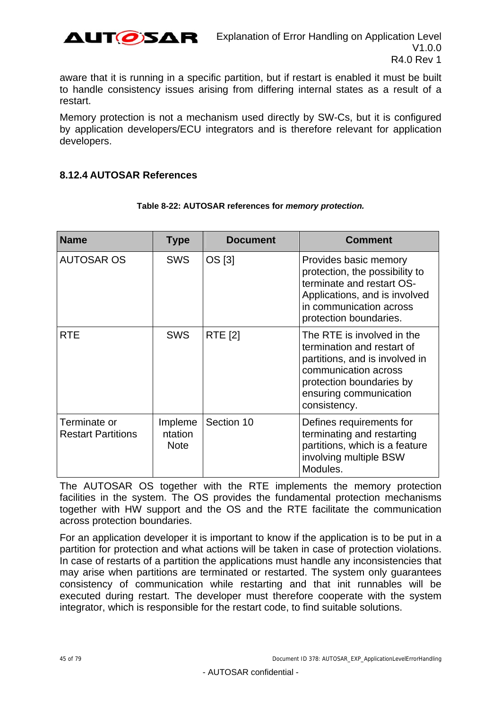

aware that it is running in a specific partition, but if restart is enabled it must be built to handle consistency issues arising from differing internal states as a result of a restart.

Memory protection is not a mechanism used directly by SW-Cs, but it is configured by application developers/ECU integrators and is therefore relevant for application developers.

### **8.12.4 AUTOSAR References**

| <b>Name</b>                               | <b>Type</b>                       | <b>Document</b> | <b>Comment</b>                                                                                                                                                                           |
|-------------------------------------------|-----------------------------------|-----------------|------------------------------------------------------------------------------------------------------------------------------------------------------------------------------------------|
| <b>AUTOSAR OS</b>                         | <b>SWS</b>                        | OS [3]          | Provides basic memory<br>protection, the possibility to<br>terminate and restart OS-<br>Applications, and is involved<br>in communication across<br>protection boundaries.               |
| <b>RTE</b>                                | <b>SWS</b>                        | <b>RTE [2]</b>  | The RTE is involved in the<br>termination and restart of<br>partitions, and is involved in<br>communication across<br>protection boundaries by<br>ensuring communication<br>consistency. |
| Terminate or<br><b>Restart Partitions</b> | Impleme<br>ntation<br><b>Note</b> | Section 10      | Defines requirements for<br>terminating and restarting<br>partitions, which is a feature<br>involving multiple BSW<br>Modules.                                                           |

#### **Table 8-22: AUTOSAR references for** *memory protection.*

The AUTOSAR OS together with the RTE implements the memory protection facilities in the system. The OS provides the fundamental protection mechanisms together with HW support and the OS and the RTE facilitate the communication across protection boundaries.

For an application developer it is important to know if the application is to be put in a partition for protection and what actions will be taken in case of protection violations. In case of restarts of a partition the applications must handle any inconsistencies that may arise when partitions are terminated or restarted. The system only guarantees consistency of communication while restarting and that init runnables will be executed during restart. The developer must therefore cooperate with the system integrator, which is responsible for the restart code, to find suitable solutions.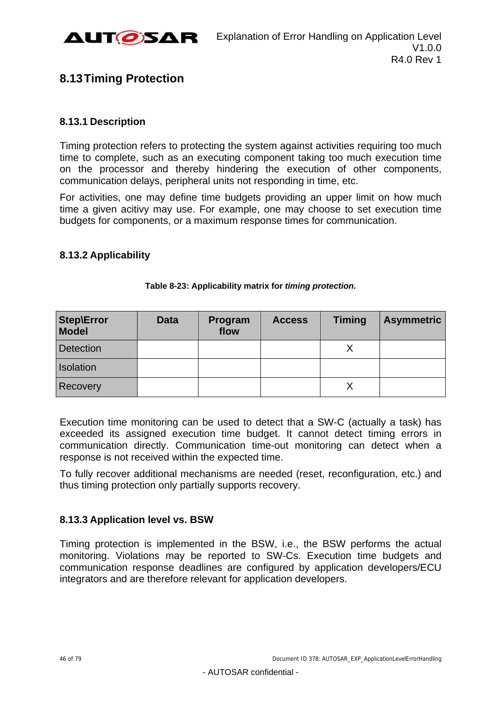

## <span id="page-45-0"></span>**8.13 Timing Protection**

## **8.13.1 Description**

Timing protection refers to protecting the system against activities requiring too much time to complete, such as an executing component taking too much execution time on the processor and thereby hindering the execution of other components, communication delays, peripheral units not responding in time, etc.

For activities, one may define time budgets providing an upper limit on how much time a given acitivy may use. For example, one may choose to set execution time budgets for components, or a maximum response times for communication.

## **8.13.2 Applicability**

| <b>Step\Error</b><br><b>Model</b> | <b>Data</b> | Program<br>flow | <b>Access</b> | <b>Timing</b> | <b>Asymmetric</b> |
|-----------------------------------|-------------|-----------------|---------------|---------------|-------------------|
| <b>Detection</b>                  |             |                 |               |               |                   |
| Isolation                         |             |                 |               |               |                   |
| Recovery                          |             |                 |               |               |                   |

#### **Table 8-23: Applicability matrix for** *timing protection.*

Execution time monitoring can be used to detect that a SW-C (actually a task) has exceeded its assigned execution time budget. It cannot detect timing errors in communication directly. Communication time-out monitoring can detect when a response is not received within the expected time.

To fully recover additional mechanisms are needed (reset, reconfiguration, etc.) and thus timing protection only partially supports recovery.

## **8.13.3 Application level vs. BSW**

Timing protection is implemented in the BSW, i.e., the BSW performs the actual monitoring. Violations may be reported to SW-Cs. Execution time budgets and communication response deadlines are configured by application developers/ECU integrators and are therefore relevant for application developers.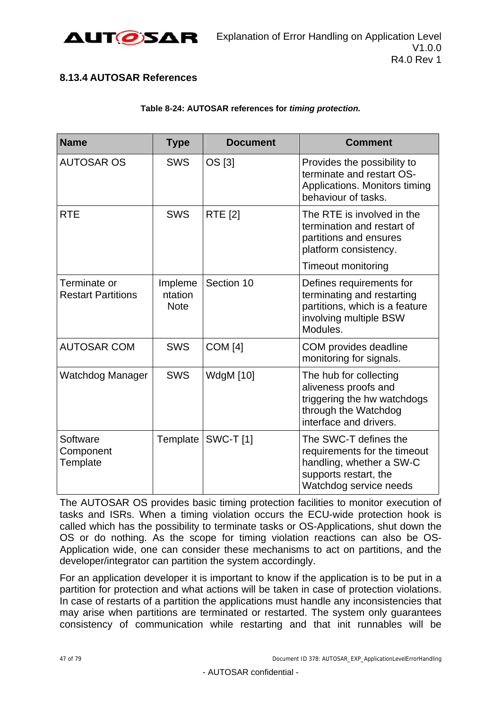

## **8.13.4 AUTOSAR References**

#### **Table 8-24: AUTOSAR references for** *timing protection.*

| <b>Name</b>                               | <b>Type</b>                       | <b>Document</b>  | <b>Comment</b>                                                                                                                       |
|-------------------------------------------|-----------------------------------|------------------|--------------------------------------------------------------------------------------------------------------------------------------|
| <b>AUTOSAR OS</b>                         | <b>SWS</b>                        | OS [3]           | Provides the possibility to<br>terminate and restart OS-<br>Applications. Monitors timing<br>behaviour of tasks.                     |
| <b>RTE</b>                                | <b>SWS</b>                        | <b>RTE</b> [2]   | The RTE is involved in the<br>termination and restart of<br>partitions and ensures<br>platform consistency.                          |
|                                           |                                   |                  | <b>Timeout monitoring</b>                                                                                                            |
| Terminate or<br><b>Restart Partitions</b> | Impleme<br>ntation<br><b>Note</b> | Section 10       | Defines requirements for<br>terminating and restarting<br>partitions, which is a feature<br>involving multiple BSW<br>Modules.       |
| <b>AUTOSAR COM</b>                        | <b>SWS</b>                        | <b>COM</b> [4]   | COM provides deadline<br>monitoring for signals.                                                                                     |
| Watchdog Manager                          | <b>SWS</b>                        | <b>WdgM</b> [10] | The hub for collecting<br>aliveness proofs and<br>triggering the hw watchdogs<br>through the Watchdog<br>interface and drivers.      |
| Software<br>Component<br>Template         | Template                          | <b>SWC-T[1]</b>  | The SWC-T defines the<br>requirements for the timeout<br>handling, whether a SW-C<br>supports restart, the<br>Watchdog service needs |

The AUTOSAR OS provides basic timing protection facilities to monitor execution of tasks and ISRs. When a timing violation occurs the ECU-wide protection hook is called which has the possibility to terminate tasks or OS-Applications, shut down the OS or do nothing. As the scope for timing violation reactions can also be OS-Application wide, one can consider these mechanisms to act on partitions, and the developer/integrator can partition the system accordingly.

<span id="page-46-0"></span>For an application developer it is important to know if the application is to be put in a partition for protection and what actions will be taken in case of protection violations. In case of restarts of a partition the applications must handle any inconsistencies that may arise when partitions are terminated or restarted. The system only guarantees consistency of communication while restarting and that init runnables will be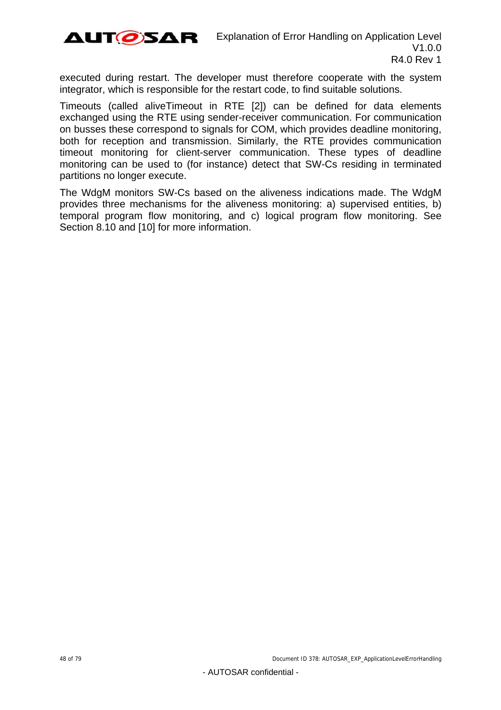

executed during restart. The developer must therefore cooperate with the system integrator, which is responsible for the restart code, to find suitable solutions.

Timeouts (called aliveTimeout in RTE [\[2\]](#page-9-3)) can be defined for data elements exchanged using the RTE using sender-receiver communication. For communication on busses these correspond to signals for COM, which provides deadline monitoring, both for reception and transmission. Similarly, the RTE provides communication timeout monitoring for client-server communication. These types of deadline monitoring can be used to (for instance) detect that SW-Cs residing in terminated partitions no longer execute.

The WdgM monitors SW-Cs based on the aliveness indications made. The WdgM provides three mechanisms for the aliveness monitoring: a) supervised entities, b) temporal program flow monitoring, and c) logical program flow monitoring. See Section [8.10](#page-39-0) and [\[10\]](#page-9-5) for more information.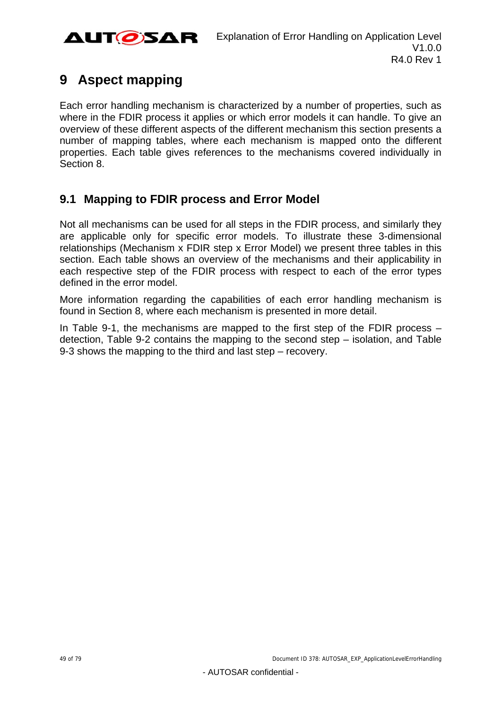

# **9 Aspect mapping**

Each error handling mechanism is characterized by a number of properties, such as where in the FDIR process it applies or which error models it can handle. To give an overview of these different aspects of the different mechanism this section presents a number of mapping tables, where each mechanism is mapped onto the different properties. Each table gives references to the mechanisms covered individually in Section [8.](#page-20-0)

## **9.1 Mapping to FDIR process and Error Model**

Not all mechanisms can be used for all steps in the FDIR process, and similarly they are applicable only for specific error models. To illustrate these 3-dimensional relationships (Mechanism x FDIR step x Error Model) we present three tables in this section. Each table shows an overview of the mechanisms and their applicability in each respective step of the FDIR process with respect to each of the error types defined in the error model.

More information regarding the capabilities of each error handling mechanism is found in Section [8,](#page-20-0) where each mechanism is presented in more detail.

In [Table 9-1](#page-49-0), the mechanisms are mapped to the first step of the FDIR process – detection, [Table 9-2](#page-50-0) contains the mapping to the second step – isolation, and [Table](#page-51-0)  [9-3](#page-51-0) shows the mapping to the third and last step – recovery.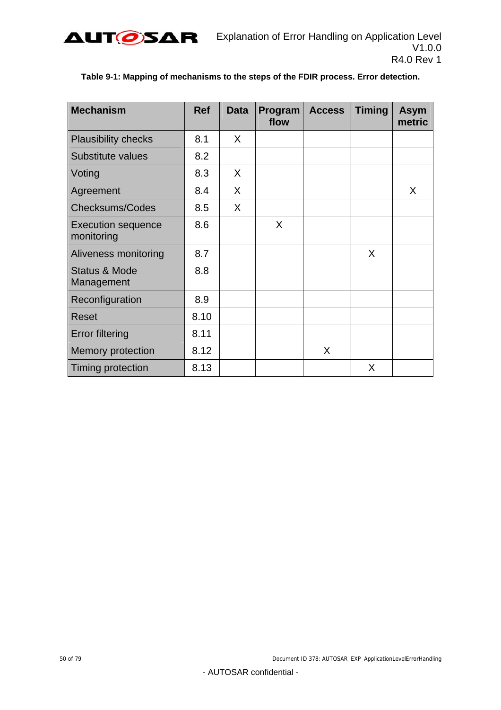<span id="page-49-0"></span>

| <b>Mechanism</b>                        | <b>Ref</b> | <b>Data</b> | Program<br>flow | <b>Access</b> | <b>Timing</b> | <b>Asym</b><br>metric |
|-----------------------------------------|------------|-------------|-----------------|---------------|---------------|-----------------------|
| <b>Plausibility checks</b>              | 8.1        | X.          |                 |               |               |                       |
| Substitute values                       | 8.2        |             |                 |               |               |                       |
| Voting                                  | 8.3        | X           |                 |               |               |                       |
| Agreement                               | 8.4        | X.          |                 |               |               | X                     |
| <b>Checksums/Codes</b>                  | 8.5        | $\sf X$     |                 |               |               |                       |
| <b>Execution sequence</b><br>monitoring | 8.6        |             | X               |               |               |                       |
| Aliveness monitoring                    | 8.7        |             |                 |               | X             |                       |
| <b>Status &amp; Mode</b><br>Management  | 8.8        |             |                 |               |               |                       |
| Reconfiguration                         | 8.9        |             |                 |               |               |                       |
| <b>Reset</b>                            | 8.10       |             |                 |               |               |                       |
| <b>Error filtering</b>                  | 8.11       |             |                 |               |               |                       |
| <b>Memory protection</b>                | 8.12       |             |                 | X             |               |                       |
| Timing protection                       | 8.13       |             |                 |               | X             |                       |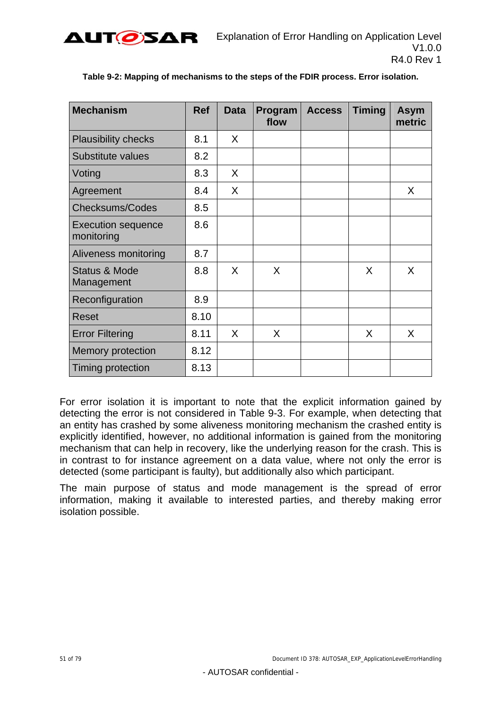<span id="page-50-0"></span>

| <b>Mechanism</b>                        | <b>Ref</b> | <b>Data</b> | Program<br>flow | <b>Access</b> | <b>Timing</b> | <b>Asym</b><br>metric |
|-----------------------------------------|------------|-------------|-----------------|---------------|---------------|-----------------------|
| <b>Plausibility checks</b>              | 8.1        | X.          |                 |               |               |                       |
| Substitute values                       | 8.2        |             |                 |               |               |                       |
| Voting                                  | 8.3        | X           |                 |               |               |                       |
| Agreement                               | 8.4        | X           |                 |               |               | X.                    |
| <b>Checksums/Codes</b>                  | 8.5        |             |                 |               |               |                       |
| <b>Execution sequence</b><br>monitoring | 8.6        |             |                 |               |               |                       |
| Aliveness monitoring                    | 8.7        |             |                 |               |               |                       |
| <b>Status &amp; Mode</b><br>Management  | 8.8        | X           | X               |               | X             | X                     |
| Reconfiguration                         | 8.9        |             |                 |               |               |                       |
| Reset                                   | 8.10       |             |                 |               |               |                       |
| <b>Error Filtering</b>                  | 8.11       | X           | X               |               | X             | X                     |
| Memory protection                       | 8.12       |             |                 |               |               |                       |
| Timing protection                       | 8.13       |             |                 |               |               |                       |

### **Table 9-2: Mapping of mechanisms to the steps of the FDIR process. Error isolation.**

For error isolation it is important to note that the explicit information gained by detecting the error is not considered in [Table 9-3.](#page-51-0) For example, when detecting that an entity has crashed by some aliveness monitoring mechanism the crashed entity is explicitly identified, however, no additional information is gained from the monitoring mechanism that can help in recovery, like the underlying reason for the crash. This is in contrast to for instance agreement on a data value, where not only the error is detected (some participant is faulty), but additionally also which participant.

The main purpose of status and mode management is the spread of error information, making it available to interested parties, and thereby making error isolation possible.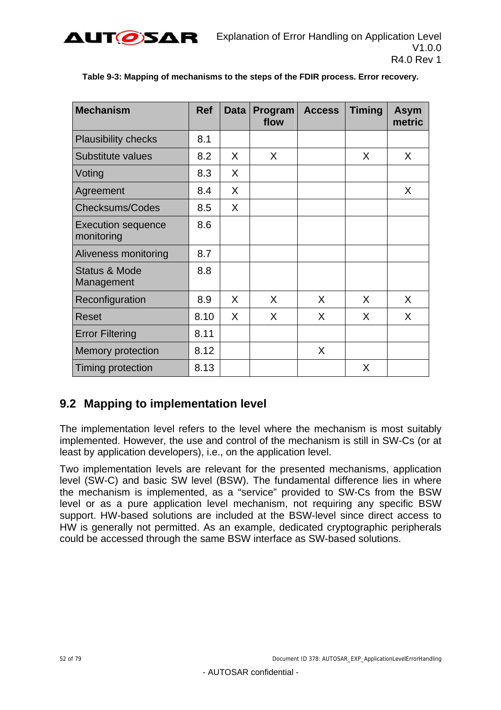<span id="page-51-0"></span>

| <b>Mechanism</b>                        | <b>Ref</b> | <b>Data</b> | Program<br>flow | <b>Access</b> | <b>Timing</b> | <b>Asym</b><br>metric |
|-----------------------------------------|------------|-------------|-----------------|---------------|---------------|-----------------------|
| <b>Plausibility checks</b>              | 8.1        |             |                 |               |               |                       |
| <b>Substitute values</b>                | 8.2        | X           | X.              |               | X             | X                     |
| Voting                                  | 8.3        | X           |                 |               |               |                       |
| Agreement                               | 8.4        | X           |                 |               |               | X                     |
| <b>Checksums/Codes</b>                  | 8.5        | X           |                 |               |               |                       |
| <b>Execution sequence</b><br>monitoring | 8.6        |             |                 |               |               |                       |
| Aliveness monitoring                    | 8.7        |             |                 |               |               |                       |
| <b>Status &amp; Mode</b><br>Management  | 8.8        |             |                 |               |               |                       |
| Reconfiguration                         | 8.9        | X           | X               | X             | X             | X                     |
| <b>Reset</b>                            | 8.10       | X           | X               | X             | X             | X                     |
| <b>Error Filtering</b>                  | 8.11       |             |                 |               |               |                       |
| <b>Memory protection</b>                | 8.12       |             |                 | X             |               |                       |
| Timing protection                       | 8.13       |             |                 |               | X             |                       |

**Table 9-3: Mapping of mechanisms to the steps of the FDIR process. Error recovery.** 

## **9.2 Mapping to implementation level**

The implementation level refers to the level where the mechanism is most suitably implemented. However, the use and control of the mechanism is still in SW-Cs (or at least by application developers), i.e., on the application level.

Two implementation levels are relevant for the presented mechanisms, application level (SW-C) and basic SW level (BSW). The fundamental difference lies in where the mechanism is implemented, as a "service" provided to SW-Cs from the BSW level or as a pure application level mechanism, not requiring any specific BSW support. HW-based solutions are included at the BSW-level since direct access to HW is generally not permitted. As an example, dedicated cryptographic peripherals could be accessed through the same BSW interface as SW-based solutions.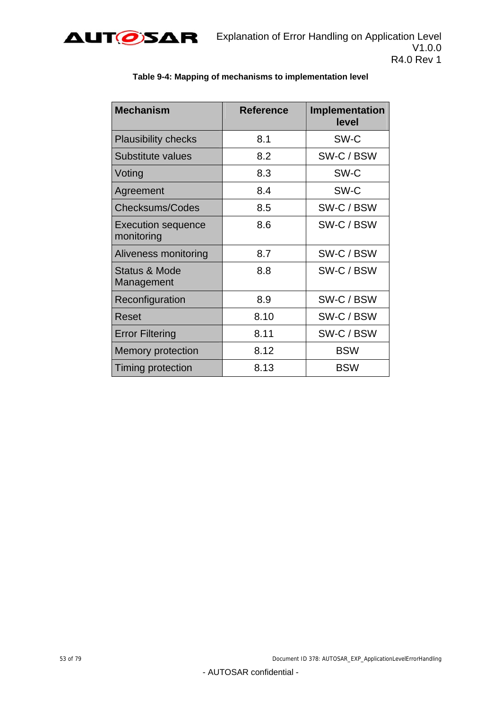

| <b>Mechanism</b>                        | <b>Reference</b> | Implementation<br>level |
|-----------------------------------------|------------------|-------------------------|
| <b>Plausibility checks</b>              | 8.1              | SW-C                    |
| Substitute values                       | 8.2              | SW-C / BSW              |
| Voting                                  | 8.3              | SW-C                    |
| Agreement                               | 8.4              | SW-C                    |
| <b>Checksums/Codes</b>                  | 8.5              | SW-C / BSW              |
| <b>Execution sequence</b><br>monitoring | 8.6              | SW-C / BSW              |
| Aliveness monitoring                    | 8.7              | SW-C / BSW              |
| Status & Mode<br>Management             | 8.8              | SW-C / BSW              |
| Reconfiguration                         | 8.9              | SW-C / BSW              |
| Reset                                   | 8.10             | SW-C / BSW              |
| <b>Error Filtering</b>                  | 8.11             | SW-C / BSW              |
| Memory protection                       | 8.12             | <b>BSW</b>              |
| Timing protection                       | 8.13             | <b>BSW</b>              |

#### **Table 9-4: Mapping of mechanisms to implementation level**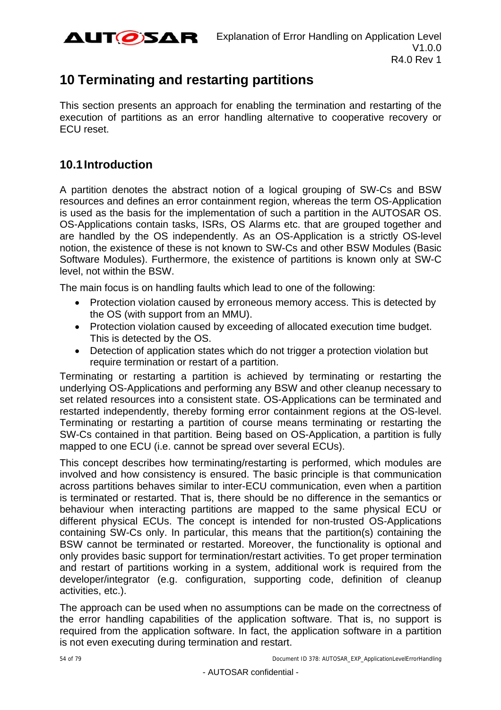

# <span id="page-53-0"></span>**10 Terminating and restarting partitions**

This section presents an approach for enabling the termination and restarting of the execution of partitions as an error handling alternative to cooperative recovery or ECU reset.

## **10.1 Introduction**

A partition denotes the abstract notion of a logical grouping of SW-Cs and BSW resources and defines an error containment region, whereas the term OS-Application is used as the basis for the implementation of such a partition in the AUTOSAR OS. OS-Applications contain tasks, ISRs, OS Alarms etc. that are grouped together and are handled by the OS independently. As an OS-Application is a strictly OS-level notion, the existence of these is not known to SW-Cs and other BSW Modules (Basic Software Modules). Furthermore, the existence of partitions is known only at SW-C level, not within the BSW.

The main focus is on handling faults which lead to one of the following:

- Protection violation caused by erroneous memory access. This is detected by the OS (with support from an MMU).
- Protection violation caused by exceeding of allocated execution time budget. This is detected by the OS.
- Detection of application states which do not trigger a protection violation but require termination or restart of a partition.

Terminating or restarting a partition is achieved by terminating or restarting the underlying OS-Applications and performing any BSW and other cleanup necessary to set related resources into a consistent state. OS-Applications can be terminated and restarted independently, thereby forming error containment regions at the OS-level. Terminating or restarting a partition of course means terminating or restarting the SW-Cs contained in that partition. Being based on OS-Application, a partition is fully mapped to one ECU (i.e. cannot be spread over several ECUs).

This concept describes how terminating/restarting is performed, which modules are involved and how consistency is ensured. The basic principle is that communication across partitions behaves similar to inter-ECU communication, even when a partition is terminated or restarted. That is, there should be no difference in the semantics or behaviour when interacting partitions are mapped to the same physical ECU or different physical ECUs. The concept is intended for non-trusted OS-Applications containing SW-Cs only. In particular, this means that the partition(s) containing the BSW cannot be terminated or restarted. Moreover, the functionality is optional and only provides basic support for termination/restart activities. To get proper termination and restart of partitions working in a system, additional work is required from the developer/integrator (e.g. configuration, supporting code, definition of cleanup activities, etc.).

The approach can be used when no assumptions can be made on the correctness of the error handling capabilities of the application software. That is, no support is required from the application software. In fact, the application software in a partition is not even executing during termination and restart.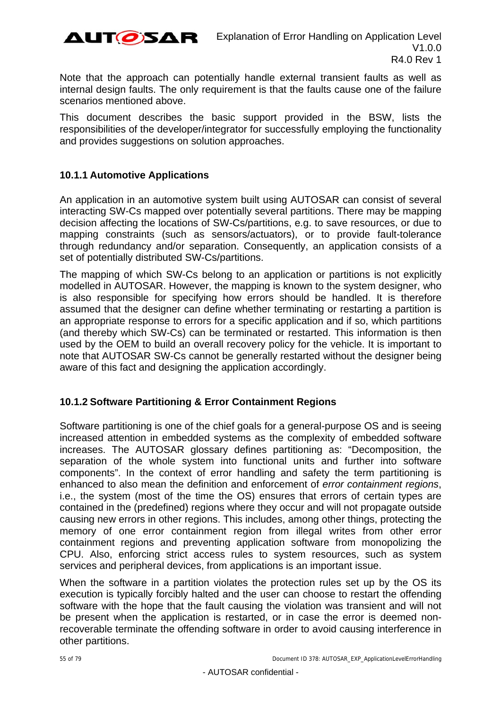

Note that the approach can potentially handle external transient faults as well as internal design faults. The only requirement is that the faults cause one of the failure scenarios mentioned above.

This document describes the basic support provided in the BSW, lists the responsibilities of the developer/integrator for successfully employing the functionality and provides suggestions on solution approaches.

## <span id="page-54-0"></span>**10.1.1 Automotive Applications**

An application in an automotive system built using AUTOSAR can consist of several interacting SW-Cs mapped over potentially several partitions. There may be mapping decision affecting the locations of SW-Cs/partitions, e.g. to save resources, or due to mapping constraints (such as sensors/actuators), or to provide fault-tolerance through redundancy and/or separation. Consequently, an application consists of a set of potentially distributed SW-Cs/partitions.

The mapping of which SW-Cs belong to an application or partitions is not explicitly modelled in AUTOSAR. However, the mapping is known to the system designer, who is also responsible for specifying how errors should be handled. It is therefore assumed that the designer can define whether terminating or restarting a partition is an appropriate response to errors for a specific application and if so, which partitions (and thereby which SW-Cs) can be terminated or restarted. This information is then used by the OEM to build an overall recovery policy for the vehicle. It is important to note that AUTOSAR SW-Cs cannot be generally restarted without the designer being aware of this fact and designing the application accordingly.

## **10.1.2 Software Partitioning & Error Containment Regions**

Software partitioning is one of the chief goals for a general-purpose OS and is seeing increased attention in embedded systems as the complexity of embedded software increases. The AUTOSAR glossary defines partitioning as: "Decomposition, the separation of the whole system into functional units and further into software components". In the context of error handling and safety the term partitioning is enhanced to also mean the definition and enforcement of *error containment regions*, i.e., the system (most of the time the OS) ensures that errors of certain types are contained in the (predefined) regions where they occur and will not propagate outside causing new errors in other regions. This includes, among other things, protecting the memory of one error containment region from illegal writes from other error containment regions and preventing application software from monopolizing the CPU. Also, enforcing strict access rules to system resources, such as system services and peripheral devices, from applications is an important issue.

When the software in a partition violates the protection rules set up by the OS its execution is typically forcibly halted and the user can choose to restart the offending software with the hope that the fault causing the violation was transient and will not be present when the application is restarted, or in case the error is deemed nonrecoverable terminate the offending software in order to avoid causing interference in other partitions.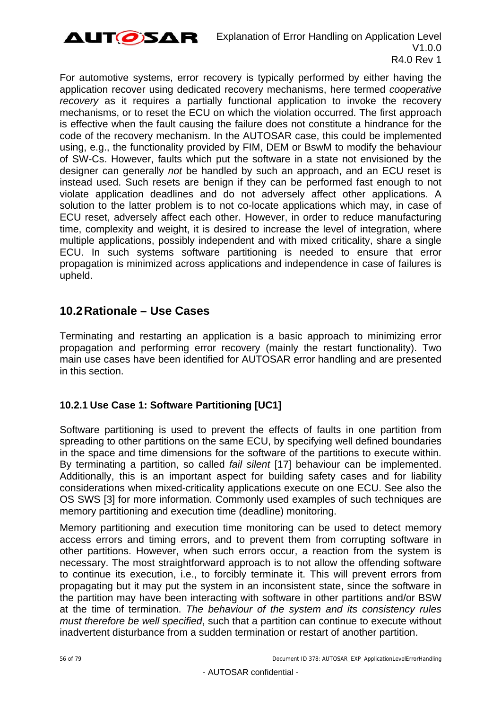

For automotive systems, error recovery is typically performed by either having the application recover using dedicated recovery mechanisms, here termed *cooperative recovery* as it requires a partially functional application to invoke the recovery mechanisms, or to reset the ECU on which the violation occurred. The first approach is effective when the fault causing the failure does not constitute a hindrance for the code of the recovery mechanism. In the AUTOSAR case, this could be implemented using, e.g., the functionality provided by FIM, DEM or BswM to modify the behaviour of SW-Cs. However, faults which put the software in a state not envisioned by the designer can generally *not* be handled by such an approach, and an ECU reset is instead used. Such resets are benign if they can be performed fast enough to not violate application deadlines and do not adversely affect other applications. A solution to the latter problem is to not co-locate applications which may, in case of ECU reset, adversely affect each other. However, in order to reduce manufacturing time, complexity and weight, it is desired to increase the level of integration, where multiple applications, possibly independent and with mixed criticality, share a single ECU. In such systems software partitioning is needed to ensure that error propagation is minimized across applications and independence in case of failures is upheld.

## **10.2 Rationale – Use Cases**

Terminating and restarting an application is a basic approach to minimizing error propagation and performing error recovery (mainly the restart functionality). Two main use cases have been identified for AUTOSAR error handling and are presented in this section.

## <span id="page-55-0"></span>**10.2.1 Use Case 1: Software Partitioning [UC1]**

Software partitioning is used to prevent the effects of faults in one partition from spreading to other partitions on the same ECU, by specifying well defined boundaries in the space and time dimensions for the software of the partitions to execute within. By terminating a partition, so called *fail silent* [\[17\]](#page-10-0) behaviour can be implemented. Additionally, this is an important aspect for building safety cases and for liability considerations when mixed-criticality applications execute on one ECU. See also the OS SWS [\[3\]](#page-9-0) for more information. Commonly used examples of such techniques are memory partitioning and execution time (deadline) monitoring.

Memory partitioning and execution time monitoring can be used to detect memory access errors and timing errors, and to prevent them from corrupting software in other partitions. However, when such errors occur, a reaction from the system is necessary. The most straightforward approach is to not allow the offending software to continue its execution, i.e., to forcibly terminate it. This will prevent errors from propagating but it may put the system in an inconsistent state, since the software in the partition may have been interacting with software in other partitions and/or BSW at the time of termination. *The behaviour of the system and its consistency rules must therefore be well specified*, such that a partition can continue to execute without inadvertent disturbance from a sudden termination or restart of another partition.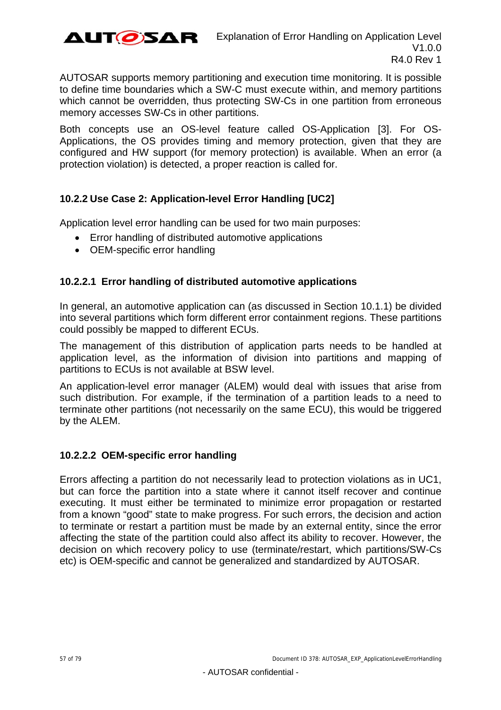

AUTOSAR supports memory partitioning and execution time monitoring. It is possible to define time boundaries which a SW-C must execute within, and memory partitions which cannot be overridden, thus protecting SW-Cs in one partition from erroneous memory accesses SW-Cs in other partitions.

Both concepts use an OS-level feature called OS-Application [\[3\]](#page-9-0). For OS-Applications, the OS provides timing and memory protection, given that they are configured and HW support (for memory protection) is available. When an error (a protection violation) is detected, a proper reaction is called for.

## <span id="page-56-0"></span>**10.2.2 Use Case 2: Application-level Error Handling [UC2]**

Application level error handling can be used for two main purposes:

- Error handling of distributed automotive applications
- OEM-specific error handling

## **10.2.2.1 Error handling of distributed automotive applications**

In general, an automotive application can (as discussed in Section [10.1.1\)](#page-54-0) be divided into several partitions which form different error containment regions. These partitions could possibly be mapped to different ECUs.

The management of this distribution of application parts needs to be handled at application level, as the information of division into partitions and mapping of partitions to ECUs is not available at BSW level.

An application-level error manager (ALEM) would deal with issues that arise from such distribution. For example, if the termination of a partition leads to a need to terminate other partitions (not necessarily on the same ECU), this would be triggered by the ALEM.

### **10.2.2.2 OEM-specific error handling**

Errors affecting a partition do not necessarily lead to protection violations as in UC1, but can force the partition into a state where it cannot itself recover and continue executing. It must either be terminated to minimize error propagation or restarted from a known "good" state to make progress. For such errors, the decision and action to terminate or restart a partition must be made by an external entity, since the error affecting the state of the partition could also affect its ability to recover. However, the decision on which recovery policy to use (terminate/restart, which partitions/SW-Cs etc) is OEM-specific and cannot be generalized and standardized by AUTOSAR.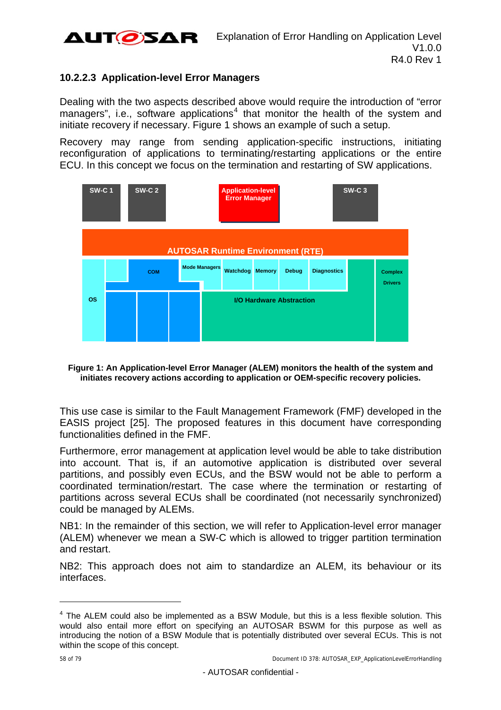

## **10.2.2.3 Application-level Error Managers**

Dealing with the two aspects described above would require the introduction of "error managers", i.e., software applications<sup>[4](#page-60-0)</sup> that monitor the health of the system and initiate recovery if necessary. [Figure 1](#page-57-0) shows an example of such a setup.

Recovery may range from sending application-specific instructions, initiating reconfiguration of applications to terminating/restarting applications or the entire ECU. In this concept we focus on the termination and restarting of SW applications.



<span id="page-57-0"></span>**Figure 1: An Application-level Error Manager (ALEM) monitors the health of the system and initiates recovery actions according to application or OEM-specific recovery policies.** 

This use case is similar to the Fault Management Framework (FMF) developed in the EASIS project [\[25\].](#page-10-1) The proposed features in this document have corresponding functionalities defined in the FMF.

Furthermore, error management at application level would be able to take distribution into account. That is, if an automotive application is distributed over several partitions, and possibly even ECUs, and the BSW would not be able to perform a coordinated termination/restart. The case where the termination or restarting of partitions across several ECUs shall be coordinated (not necessarily synchronized) could be managed by ALEMs.

NB1: In the remainder of this section, we will refer to Application-level error manager (ALEM) whenever we mean a SW-C which is allowed to trigger partition termination and restart.

NB2: This approach does not aim to standardize an ALEM, its behaviour or its interfaces.

l

 $4$  The ALEM could also be implemented as a BSW Module, but this is a less flexible solution. This would also entail more effort on specifying an AUTOSAR BSWM for this purpose as well as introducing the notion of a BSW Module that is potentially distributed over several ECUs. This is not within the scope of this concept.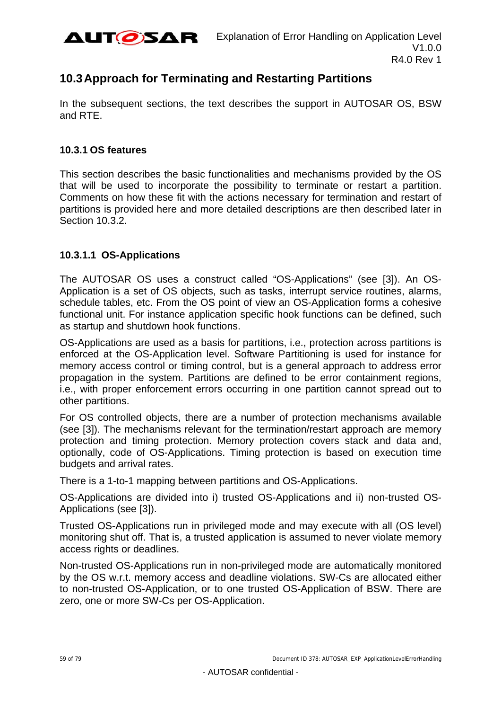

## **10.3 Approach for Terminating and Restarting Partitions**

In the subsequent sections, the text describes the support in AUTOSAR OS, BSW and RTE.

### **10.3.1 OS features**

This section describes the basic functionalities and mechanisms provided by the OS that will be used to incorporate the possibility to terminate or restart a partition. Comments on how these fit with the actions necessary for termination and restart of partitions is provided here and more detailed descriptions are then described later in Section [10.3.2.](#page-62-0)

## **10.3.1.1 OS-Applications**

The AUTOSAR OS uses a construct called "OS-Applications" (see [\[3\]](#page-9-0)). An OS-Application is a set of OS objects, such as tasks, interrupt service routines, alarms, schedule tables, etc. From the OS point of view an OS-Application forms a cohesive functional unit. For instance application specific hook functions can be defined, such as startup and shutdown hook functions.

OS-Applications are used as a basis for partitions, i.e., protection across partitions is enforced at the OS-Application level. Software Partitioning is used for instance for memory access control or timing control, but is a general approach to address error propagation in the system. Partitions are defined to be error containment regions, i.e., with proper enforcement errors occurring in one partition cannot spread out to other partitions.

For OS controlled objects, there are a number of protection mechanisms available (see [\[3\]\)](#page-9-0). The mechanisms relevant for the termination/restart approach are memory protection and timing protection. Memory protection covers stack and data and, optionally, code of OS-Applications. Timing protection is based on execution time budgets and arrival rates.

There is a 1-to-1 mapping between partitions and OS-Applications.

OS-Applications are divided into i) trusted OS-Applications and ii) non-trusted OS-Applications (see [\[3\]\)](#page-9-0).

Trusted OS-Applications run in privileged mode and may execute with all (OS level) monitoring shut off. That is, a trusted application is assumed to never violate memory access rights or deadlines.

Non-trusted OS-Applications run in non-privileged mode are automatically monitored by the OS w.r.t. memory access and deadline violations. SW-Cs are allocated either to non-trusted OS-Application, or to one trusted OS-Application of BSW. There are zero, one or more SW-Cs per OS-Application.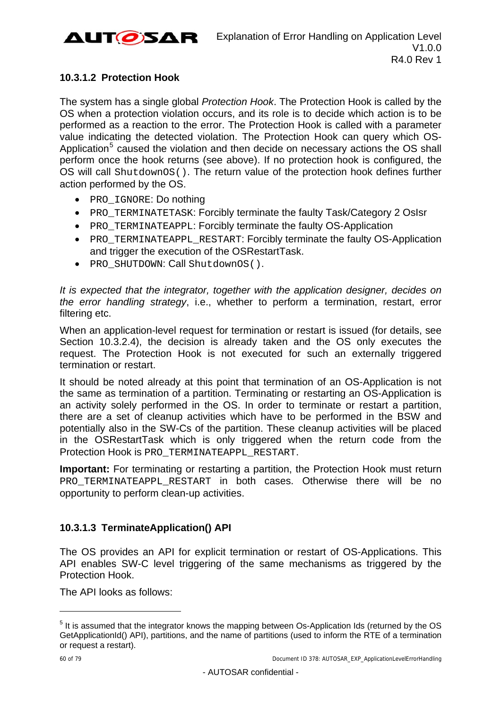

## **10.3.1.2 Protection Hook**

The system has a single global *Protection Hook*. The Protection Hook is called by the OS when a protection violation occurs, and its role is to decide which action is to be performed as a reaction to the error. The Protection Hook is called with a parameter value indicating the detected violation. The Protection Hook can query which OS-Application<sup>[5](#page-62-1)</sup> caused the violation and then decide on necessary actions the OS shall perform once the hook returns (see above). If no protection hook is configured, the OS will call ShutdownOS(). The return value of the protection hook defines further action performed by the OS.

- PRO IGNORE: Do nothing
- PRO TERMINATETASK: Forcibly terminate the faulty Task/Category 2 OsIsr
- PRO TERMINATEAPPL: Forcibly terminate the faulty OS-Application
- PRO TERMINATEAPPL RESTART: Forcibly terminate the faulty OS-Application and trigger the execution of the OSRestartTask.
- PRO SHUTDOWN: Call ShutdownOS().

*It is expected that the integrator, together with the application designer, decides on the error handling strategy*, i.e., whether to perform a termination, restart, error filtering etc.

When an application-level request for termination or restart is issued (for details, see Section [10.3.2.4](#page-74-0)), the decision is already taken and the OS only executes the request. The Protection Hook is not executed for such an externally triggered termination or restart.

It should be noted already at this point that termination of an OS-Application is not the same as termination of a partition. Terminating or restarting an OS-Application is an activity solely performed in the OS. In order to terminate or restart a partition, there are a set of cleanup activities which have to be performed in the BSW and potentially also in the SW-Cs of the partition. These cleanup activities will be placed in the OSRestartTask which is only triggered when the return code from the Protection Hook is PRO\_TERMINATEAPPL\_RESTART.

**Important:** For terminating or restarting a partition, the Protection Hook must return PRO TERMINATEAPPL RESTART in both cases. Otherwise there will be no opportunity to perform clean-up activities.

## **10.3.1.3 TerminateApplication() API**

The OS provides an API for explicit termination or restart of OS-Applications. This API enables SW-C level triggering of the same mechanisms as triggered by the Protection Hook.

The API looks as follows:

l

<sup>&</sup>lt;sup>5</sup> It is assumed that the integrator knows the mapping between Os-Application Ids (returned by the OS GetApplicationId() API), partitions, and the name of partitions (used to inform the RTE of a termination or request a restart).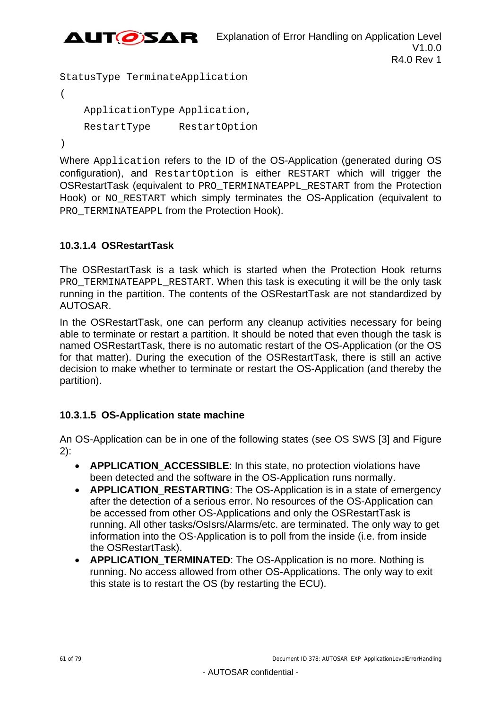

```
StatusType TerminateApplication 
( 
     ApplicationType Application, 
     RestartType RestartOption
```
)

Where Application refers to the ID of the OS-Application (generated during OS configuration), and RestartOption is either RESTART which will trigger the OSRestartTask (equivalent to PRO\_TERMINATEAPPL\_RESTART from the Protection Hook) or NO RESTART which simply terminates the OS-Application (equivalent to PRO\_TERMINATEAPPL from the Protection Hook).

## **10.3.1.4 OSRestartTask**

The OSRestartTask is a task which is started when the Protection Hook returns PRO\_TERMINATEAPPL\_RESTART. When this task is executing it will be the only task running in the partition. The contents of the OSRestartTask are not standardized by AUTOSAR.

In the OSRestartTask, one can perform any cleanup activities necessary for being able to terminate or restart a partition. It should be noted that even though the task is named OSRestartTask, there is no automatic restart of the OS-Application (or the OS for that matter). During the execution of the OSRestartTask, there is still an active decision to make whether to terminate or restart the OS-Application (and thereby the partition).

## **10.3.1.5 OS-Application state machine**

An OS-Application can be in one of the following states (see OS SWS [\[3\]](#page-9-0) and [Figure](#page-61-0)  [2\)](#page-61-0):

- **APPLICATION ACCESSIBLE:** In this state, no protection violations have been detected and the software in the OS-Application runs normally.
- **APPLICATION RESTARTING:** The OS-Application is in a state of emergency after the detection of a serious error. No resources of the OS-Application can be accessed from other OS-Applications and only the OSRestartTask is running. All other tasks/OsIsrs/Alarms/etc. are terminated. The only way to get information into the OS-Application is to poll from the inside (i.e. from inside the OSRestartTask).
- <span id="page-60-0"></span>**APPLICATION TERMINATED:** The OS-Application is no more. Nothing is running. No access allowed from other OS-Applications. The only way to exit this state is to restart the OS (by restarting the ECU).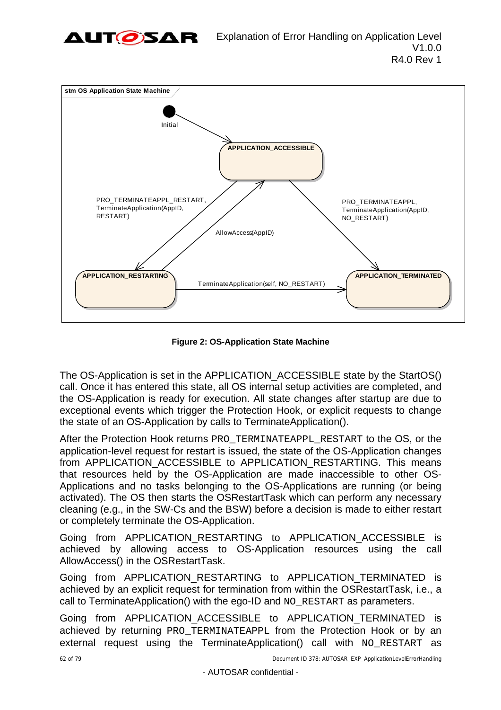



**Figure 2: OS-Application State Machine** 

<span id="page-61-0"></span>The OS-Application is set in the APPLICATION\_ACCESSIBLE state by the StartOS() call. Once it has entered this state, all OS internal setup activities are completed, and the OS-Application is ready for execution. All state changes after startup are due to exceptional events which trigger the Protection Hook, or explicit requests to change the state of an OS-Application by calls to TerminateApplication().

After the Protection Hook returns PRO\_TERMINATEAPPL\_RESTART to the OS, or the application-level request for restart is issued, the state of the OS-Application changes from APPLICATION ACCESSIBLE to APPLICATION RESTARTING. This means that resources held by the OS-Application are made inaccessible to other OS-Applications and no tasks belonging to the OS-Applications are running (or being activated). The OS then starts the OSRestartTask which can perform any necessary cleaning (e.g., in the SW-Cs and the BSW) before a decision is made to either restart or completely terminate the OS-Application.

Going from APPLICATION\_RESTARTING to APPLICATION\_ACCESSIBLE is achieved by allowing access to OS-Application resources using the call AllowAccess() in the OSRestartTask.

Going from APPLICATION\_RESTARTING to APPLICATION\_TERMINATED is achieved by an explicit request for termination from within the OSRestartTask, i.e., a call to TerminateApplication() with the ego-ID and NO\_RESTART as parameters.

Going from APPLICATION ACCESSIBLE to APPLICATION TERMINATED is achieved by returning PRO\_TERMINATEAPPL from the Protection Hook or by an external request using the TerminateApplication() call with NO RESTART as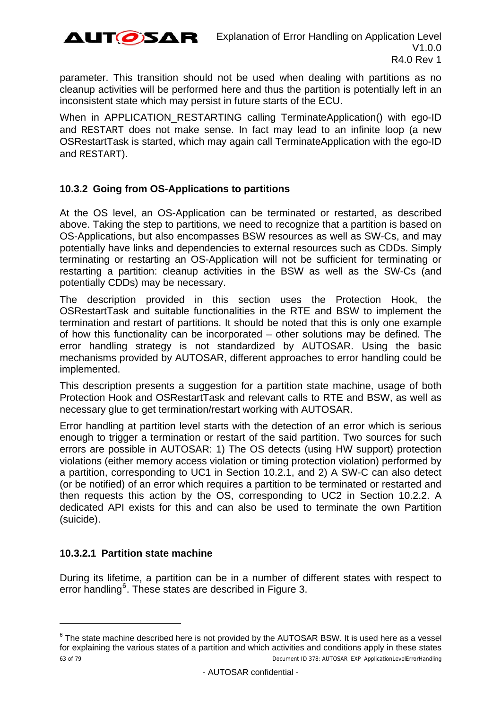

parameter. This transition should not be used when dealing with partitions as no cleanup activities will be performed here and thus the partition is potentially left in an inconsistent state which may persist in future starts of the ECU.

When in APPLICATION\_RESTARTING calling TerminateApplication() with ego-ID and RESTART does not make sense. In fact may lead to an infinite loop (a new OSRestartTask is started, which may again call TerminateApplication with the ego-ID and RESTART).

## <span id="page-62-0"></span>**10.3.2 Going from OS-Applications to partitions**

At the OS level, an OS-Application can be terminated or restarted, as described above. Taking the step to partitions, we need to recognize that a partition is based on OS-Applications, but also encompasses BSW resources as well as SW-Cs, and may potentially have links and dependencies to external resources such as CDDs. Simply terminating or restarting an OS-Application will not be sufficient for terminating or restarting a partition: cleanup activities in the BSW as well as the SW-Cs (and potentially CDDs) may be necessary.

The description provided in this section uses the Protection Hook, the OSRestartTask and suitable functionalities in the RTE and BSW to implement the termination and restart of partitions. It should be noted that this is only one example of how this functionality can be incorporated – other solutions may be defined. The error handling strategy is not standardized by AUTOSAR. Using the basic mechanisms provided by AUTOSAR, different approaches to error handling could be implemented.

This description presents a suggestion for a partition state machine, usage of both Protection Hook and OSRestartTask and relevant calls to RTE and BSW, as well as necessary glue to get termination/restart working with AUTOSAR.

Error handling at partition level starts with the detection of an error which is serious enough to trigger a termination or restart of the said partition. Two sources for such errors are possible in AUTOSAR: 1) The OS detects (using HW support) protection violations (either memory access violation or timing protection violation) performed by a partition, corresponding to UC1 in Section [10.2.1](#page-55-0), and 2) A SW-C can also detect (or be notified) of an error which requires a partition to be terminated or restarted and then requests this action by the OS, corresponding to UC2 in Section [10.2.2](#page-56-0). A dedicated API exists for this and can also be used to terminate the own Partition (suicide).

## **10.3.2.1 Partition state machine**

l

During its lifetime, a partition can be in a number of different states with respect to error handling<sup>[6](#page-65-0)</sup>. These states are described in [Figure 3.](#page-63-0)

<span id="page-62-1"></span> $^6$  The state machine described here is not provided by the AUTOSAR BSW. It is used here as a vessel for explaining the various states of a partition and which activities and conditions apply in these states 63 of 79 Document ID 378: AUTOSAR\_EXP\_ApplicationLevelErrorHandling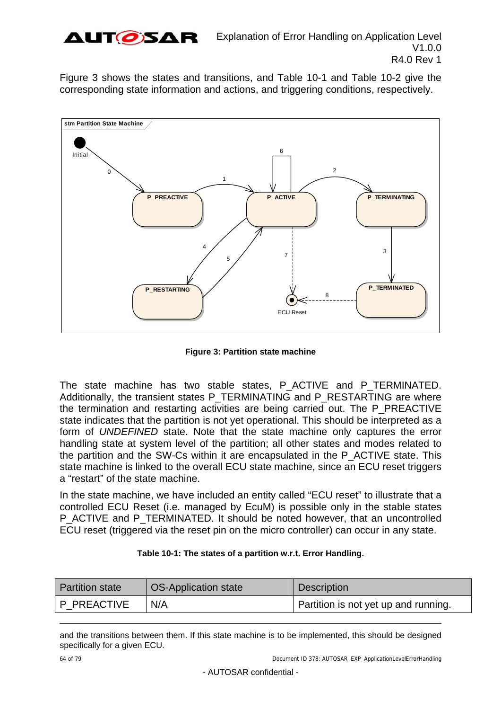

[Figure 3](#page-63-0) shows the states and transitions, and [Table 10-1](#page-63-1) and [Table 10-2](#page-67-0) give the corresponding state information and actions, and triggering conditions, respectively.



**Figure 3: Partition state machine** 

<span id="page-63-0"></span>The state machine has two stable states, P\_ACTIVE and P\_TERMINATED. Additionally, the transient states P\_TERMINATING and P\_RESTARTING are where the termination and restarting activities are being carried out. The P\_PREACTIVE state indicates that the partition is not yet operational. This should be interpreted as a form of *UNDEFINED* state. Note that the state machine only captures the error handling state at system level of the partition; all other states and modes related to the partition and the SW-Cs within it are encapsulated in the P\_ACTIVE state. This state machine is linked to the overall ECU state machine, since an ECU reset triggers a "restart" of the state machine.

In the state machine, we have included an entity called "ECU reset" to illustrate that a controlled ECU Reset (i.e. managed by EcuM) is possible only in the stable states P\_ACTIVE and P\_TERMINATED. It should be noted however, that an uncontrolled ECU reset (triggered via the reset pin on the micro controller) can occur in any state.

| Table 10-1: The states of a partition w.r.t. Error Handling. |
|--------------------------------------------------------------|
|--------------------------------------------------------------|

<span id="page-63-1"></span>

| <b>Partition state</b> | <b>OS-Application state</b> | <b>Description</b>                   |
|------------------------|-----------------------------|--------------------------------------|
| P PREACTIVE            | N/A                         | Partition is not yet up and running. |

and the transitions between them. If this state machine is to be implemented, this should be designed specifically for a given ECU.

64 of 79 Document ID 378: AUTOSAR\_EXP\_ApplicationLevelErrorHandling

l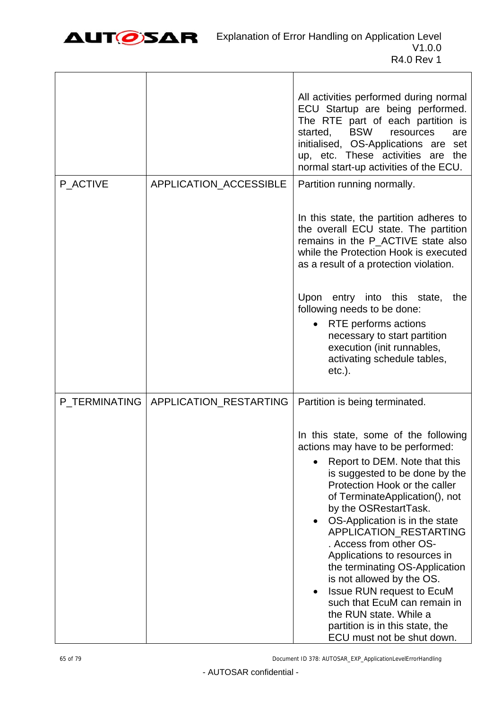

٦

|               |                        | All activities performed during normal<br>ECU Startup are being performed.<br>The RTE part of each partition is<br>started,<br><b>BSW</b><br>resources<br>are<br>initialised, OS-Applications are set<br>up, etc. These activities are the<br>normal start-up activities of the ECU.                                                                                                                                                                                                                                                                                                          |
|---------------|------------------------|-----------------------------------------------------------------------------------------------------------------------------------------------------------------------------------------------------------------------------------------------------------------------------------------------------------------------------------------------------------------------------------------------------------------------------------------------------------------------------------------------------------------------------------------------------------------------------------------------|
| P ACTIVE      | APPLICATION_ACCESSIBLE | Partition running normally.                                                                                                                                                                                                                                                                                                                                                                                                                                                                                                                                                                   |
|               |                        | In this state, the partition adheres to<br>the overall ECU state. The partition<br>remains in the P ACTIVE state also<br>while the Protection Hook is executed<br>as a result of a protection violation.                                                                                                                                                                                                                                                                                                                                                                                      |
|               |                        | Upon entry into this state,<br>the<br>following needs to be done:<br>RTE performs actions<br>necessary to start partition<br>execution (init runnables,<br>activating schedule tables,<br>$etc.$ ).                                                                                                                                                                                                                                                                                                                                                                                           |
| P TERMINATING | APPLICATION_RESTARTING | Partition is being terminated.                                                                                                                                                                                                                                                                                                                                                                                                                                                                                                                                                                |
|               |                        | In this state, some of the following<br>actions may have to be performed:<br>Report to DEM. Note that this<br>is suggested to be done by the<br>Protection Hook or the caller<br>of TerminateApplication(), not<br>by the OSRestartTask.<br>OS-Application is in the state<br>APPLICATION RESTARTING<br>. Access from other OS-<br>Applications to resources in<br>the terminating OS-Application<br>is not allowed by the OS.<br><b>Issue RUN request to EcuM</b><br>such that EcuM can remain in<br>the RUN state. While a<br>partition is in this state, the<br>ECU must not be shut down. |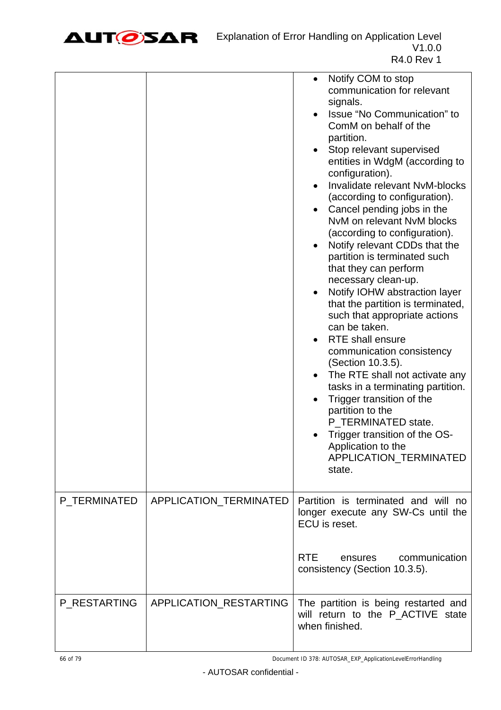

|              |                        | Notify COM to stop<br>$\bullet$<br>communication for relevant<br>signals.<br>Issue "No Communication" to<br>ComM on behalf of the<br>partition.<br>Stop relevant supervised<br>entities in WdgM (according to<br>configuration).<br>Invalidate relevant NvM-blocks<br>(according to configuration).<br>Cancel pending jobs in the<br>NvM on relevant NvM blocks<br>(according to configuration).<br>Notify relevant CDDs that the<br>$\bullet$<br>partition is terminated such<br>that they can perform<br>necessary clean-up.<br>Notify IOHW abstraction layer<br>$\bullet$<br>that the partition is terminated,<br>such that appropriate actions<br>can be taken.<br><b>RTE</b> shall ensure<br>communication consistency<br>(Section 10.3.5).<br>The RTE shall not activate any<br>tasks in a terminating partition.<br>Trigger transition of the<br>partition to the<br>P_TERMINATED state.<br>Trigger transition of the OS-<br>Application to the<br>APPLICATION_TERMINATED<br>state. |
|--------------|------------------------|--------------------------------------------------------------------------------------------------------------------------------------------------------------------------------------------------------------------------------------------------------------------------------------------------------------------------------------------------------------------------------------------------------------------------------------------------------------------------------------------------------------------------------------------------------------------------------------------------------------------------------------------------------------------------------------------------------------------------------------------------------------------------------------------------------------------------------------------------------------------------------------------------------------------------------------------------------------------------------------------|
| P_TERMINATED | APPLICATION_TERMINATED | Partition is terminated and will no<br>longer execute any SW-Cs until the<br>ECU is reset.                                                                                                                                                                                                                                                                                                                                                                                                                                                                                                                                                                                                                                                                                                                                                                                                                                                                                                 |
|              |                        | <b>RTE</b><br>communication<br>ensures<br>consistency (Section 10.3.5).                                                                                                                                                                                                                                                                                                                                                                                                                                                                                                                                                                                                                                                                                                                                                                                                                                                                                                                    |
| P_RESTARTING | APPLICATION_RESTARTING | The partition is being restarted and<br>will return to the P_ACTIVE state<br>when finished.                                                                                                                                                                                                                                                                                                                                                                                                                                                                                                                                                                                                                                                                                                                                                                                                                                                                                                |

<span id="page-65-0"></span>66 of 79 Document ID 378: AUTOSAR\_EXP\_ApplicationLevelErrorHandling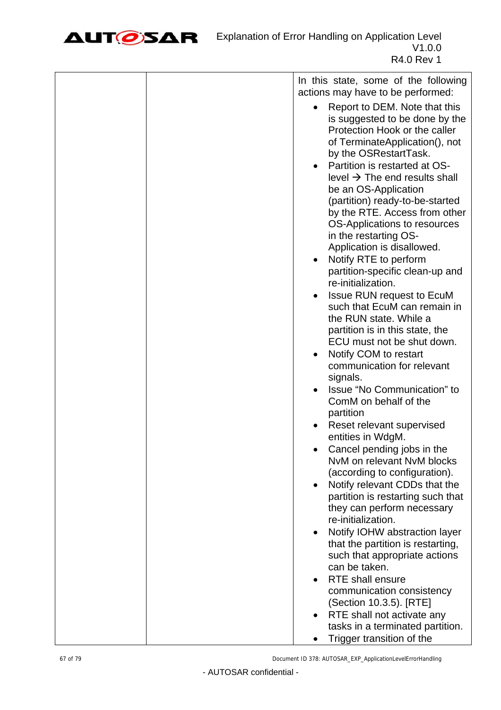

| In this state, some of the following                                                                                                                                                                                                                                                                                                                                                                                                                                                                                                                                                    |
|-----------------------------------------------------------------------------------------------------------------------------------------------------------------------------------------------------------------------------------------------------------------------------------------------------------------------------------------------------------------------------------------------------------------------------------------------------------------------------------------------------------------------------------------------------------------------------------------|
| actions may have to be performed:<br>Report to DEM. Note that this<br>is suggested to be done by the<br>Protection Hook or the caller<br>of TerminateApplication(), not<br>by the OSRestartTask.<br>Partition is restarted at OS-<br>level $\rightarrow$ The end results shall<br>be an OS-Application<br>(partition) ready-to-be-started<br>by the RTE. Access from other<br>OS-Applications to resources<br>in the restarting OS-<br>Application is disallowed.<br>Notify RTE to perform<br>partition-specific clean-up and<br>re-initialization.<br><b>Issue RUN request to EcuM</b> |
| such that EcuM can remain in<br>the RUN state. While a<br>partition is in this state, the<br>ECU must not be shut down.<br>Notify COM to restart<br>communication for relevant<br>signals.<br>Issue "No Communication" to                                                                                                                                                                                                                                                                                                                                                               |
| ComM on behalf of the<br>partition<br>Reset relevant supervised                                                                                                                                                                                                                                                                                                                                                                                                                                                                                                                         |
| entities in WdgM.<br>Cancel pending jobs in the<br>NvM on relevant NvM blocks<br>(according to configuration).                                                                                                                                                                                                                                                                                                                                                                                                                                                                          |
| Notify relevant CDDs that the<br>partition is restarting such that<br>they can perform necessary<br>re-initialization.                                                                                                                                                                                                                                                                                                                                                                                                                                                                  |
| Notify IOHW abstraction layer<br>that the partition is restarting,<br>such that appropriate actions<br>can be taken.                                                                                                                                                                                                                                                                                                                                                                                                                                                                    |
| <b>RTE</b> shall ensure<br>communication consistency<br>(Section 10.3.5). [RTE]                                                                                                                                                                                                                                                                                                                                                                                                                                                                                                         |
| RTE shall not activate any<br>tasks in a terminated partition.<br>Trigger transition of the<br>$\bullet$                                                                                                                                                                                                                                                                                                                                                                                                                                                                                |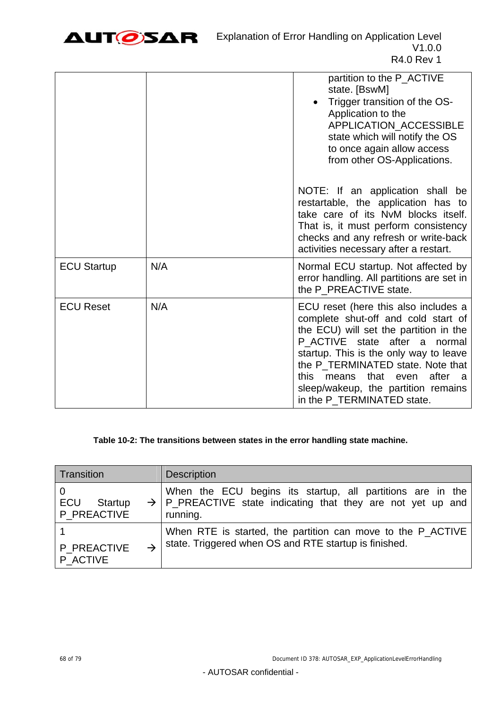

|                    |     | partition to the P_ACTIVE<br>state. [BswM]<br>Trigger transition of the OS-<br>Application to the<br>APPLICATION_ACCESSIBLE<br>state which will notify the OS<br>to once again allow access<br>from other OS-Applications.                                                                                                                                  |
|--------------------|-----|-------------------------------------------------------------------------------------------------------------------------------------------------------------------------------------------------------------------------------------------------------------------------------------------------------------------------------------------------------------|
|                    |     | NOTE: If an application shall be<br>restartable, the application has to<br>take care of its NvM blocks itself.<br>That is, it must perform consistency<br>checks and any refresh or write-back<br>activities necessary after a restart.                                                                                                                     |
| <b>ECU Startup</b> | N/A | Normal ECU startup. Not affected by<br>error handling. All partitions are set in<br>the P_PREACTIVE state.                                                                                                                                                                                                                                                  |
| <b>ECU Reset</b>   | N/A | ECU reset (here this also includes a<br>complete shut-off and cold start of<br>the ECU) will set the partition in the<br>P ACTIVE state after a normal<br>startup. This is the only way to leave<br>the P_TERMINATED state. Note that<br>after<br>that<br>this<br>means<br>even<br>- a<br>sleep/wakeup, the partition remains<br>in the P_TERMINATED state. |

#### **Table 10-2: The transitions between states in the error handling state machine.**

<span id="page-67-0"></span>

| Transition  | <b>Description</b>                                                      |
|-------------|-------------------------------------------------------------------------|
| ECU         | When the ECU begins its startup, all partitions are in the              |
| Startup     | $\rightarrow$ P_PREACTIVE state indicating that they are not yet up and |
| P PREACTIVE | running.                                                                |
| P PREACTIVE | When RTE is started, the partition can move to the P_ACTIVE             |
| P ACTIVE    | state. Triggered when OS and RTE startup is finished.                   |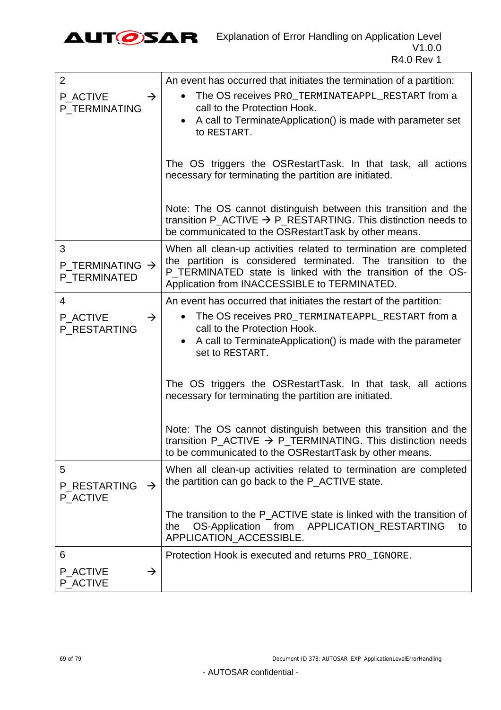

| $\overline{2}$                                   | An event has occurred that initiates the termination of a partition:                                                                                                                                                                              |
|--------------------------------------------------|---------------------------------------------------------------------------------------------------------------------------------------------------------------------------------------------------------------------------------------------------|
| P_ACTIVE<br>$\rightarrow$<br>P_TERMINATING       | The OS receives PRO_TERMINATEAPPL_RESTART from a<br>$\bullet$<br>call to the Protection Hook.<br>A call to TerminateApplication() is made with parameter set<br>$\bullet$<br>to RESTART.                                                          |
|                                                  | The OS triggers the OSRestartTask. In that task, all actions<br>necessary for terminating the partition are initiated.                                                                                                                            |
|                                                  | Note: The OS cannot distinguish between this transition and the<br>transition P_ACTIVE $\rightarrow$ P_RESTARTING. This distinction needs to<br>be communicated to the OSRestartTask by other means.                                              |
| 3<br>P_TERMINATING $\rightarrow$<br>P_TERMINATED | When all clean-up activities related to termination are completed<br>the partition is considered terminated. The transition to the<br>P_TERMINATED state is linked with the transition of the OS-<br>Application from INACCESSIBLE to TERMINATED. |
| 4                                                | An event has occurred that initiates the restart of the partition:                                                                                                                                                                                |
| P ACTIVE<br>$\rightarrow$<br>P_RESTARTING        | The OS receives PRO TERMINATEAPPL RESTART from a<br>$\bullet$<br>call to the Protection Hook.<br>A call to TerminateApplication() is made with the parameter<br>Set to RESTART.                                                                   |
|                                                  | The OS triggers the OSRestartTask. In that task, all actions<br>necessary for terminating the partition are initiated.                                                                                                                            |
|                                                  | Note: The OS cannot distinguish between this transition and the<br>transition P_ACTIVE $\rightarrow$ P_TERMINATING. This distinction needs<br>to be communicated to the OSRestartTask by other means.                                             |
| 5<br>P RESTARTING<br>$\rightarrow$<br>P_ACTIVE   | When all clean-up activities related to termination are completed<br>the partition can go back to the P_ACTIVE state.                                                                                                                             |
|                                                  | The transition to the P ACTIVE state is linked with the transition of<br>OS-Application from<br>APPLICATION_RESTARTING<br>the<br>to<br>APPLICATION ACCESSIBLE.                                                                                    |
| 6                                                | Protection Hook is executed and returns PRO_IGNORE.                                                                                                                                                                                               |
| P ACTIVE<br>$\rightarrow$<br>P ACTIVE            |                                                                                                                                                                                                                                                   |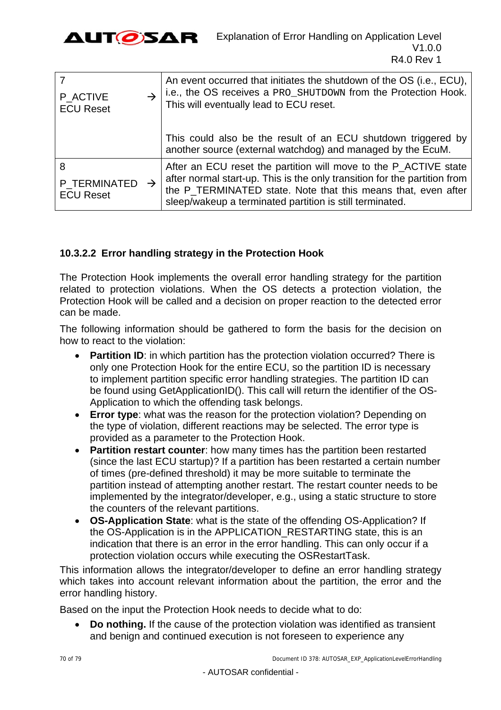

| P ACTIVE<br><b>ECU Reset</b>                        | An event occurred that initiates the shutdown of the OS (i.e., ECU),<br>i.e., the OS receives a PRO_SHUTDOWN from the Protection Hook.<br>This will eventually lead to ECU reset.                                                                                          |
|-----------------------------------------------------|----------------------------------------------------------------------------------------------------------------------------------------------------------------------------------------------------------------------------------------------------------------------------|
|                                                     | This could also be the result of an ECU shutdown triggered by<br>another source (external watchdog) and managed by the EcuM.                                                                                                                                               |
| 8<br>P TERMINATED $\rightarrow$<br><b>ECU Reset</b> | After an ECU reset the partition will move to the P_ACTIVE state<br>after normal start-up. This is the only transition for the partition from<br>the P_TERMINATED state. Note that this means that, even after<br>sleep/wakeup a terminated partition is still terminated. |

## **10.3.2.2 Error handling strategy in the Protection Hook**

The Protection Hook implements the overall error handling strategy for the partition related to protection violations. When the OS detects a protection violation, the Protection Hook will be called and a decision on proper reaction to the detected error can be made.

The following information should be gathered to form the basis for the decision on how to react to the violation:

- **Partition ID:** in which partition has the protection violation occurred? There is only one Protection Hook for the entire ECU, so the partition ID is necessary to implement partition specific error handling strategies. The partition ID can be found using GetApplicationID(). This call will return the identifier of the OS-Application to which the offending task belongs.
- **Error type**: what was the reason for the protection violation? Depending on the type of violation, different reactions may be selected. The error type is provided as a parameter to the Protection Hook.
- **Partition restart counter**: how many times has the partition been restarted (since the last ECU startup)? If a partition has been restarted a certain number of times (pre-defined threshold) it may be more suitable to terminate the partition instead of attempting another restart. The restart counter needs to be implemented by the integrator/developer, e.g., using a static structure to store the counters of the relevant partitions.
- **OS-Application State**: what is the state of the offending OS-Application? If the OS-Application is in the APPLICATION\_RESTARTING state, this is an indication that there is an error in the error handling. This can only occur if a protection violation occurs while executing the OSRestartTask.

This information allows the integrator/developer to define an error handling strategy which takes into account relevant information about the partition, the error and the error handling history.

Based on the input the Protection Hook needs to decide what to do:

 **Do nothing.** If the cause of the protection violation was identified as transient and benign and continued execution is not foreseen to experience any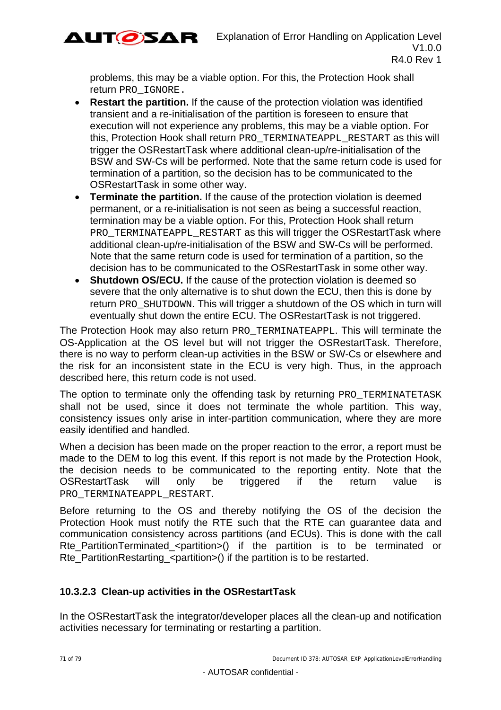

problems, this may be a viable option. For this, the Protection Hook shall return PRO\_IGNORE.

- **Restart the partition.** If the cause of the protection violation was identified transient and a re-initialisation of the partition is foreseen to ensure that execution will not experience any problems, this may be a viable option. For this, Protection Hook shall return PRO\_TERMINATEAPPL\_RESTART as this will trigger the OSRestartTask where additional clean-up/re-initialisation of the BSW and SW-Cs will be performed. Note that the same return code is used for termination of a partition, so the decision has to be communicated to the OSRestartTask in some other way.
- **Terminate the partition.** If the cause of the protection violation is deemed permanent, or a re-initialisation is not seen as being a successful reaction, termination may be a viable option. For this, Protection Hook shall return PRO\_TERMINATEAPPL\_RESTART as this will trigger the OSRestartTask where additional clean-up/re-initialisation of the BSW and SW-Cs will be performed. Note that the same return code is used for termination of a partition, so the decision has to be communicated to the OSRestartTask in some other way.
- **Shutdown OS/ECU.** If the cause of the protection violation is deemed so severe that the only alternative is to shut down the ECU, then this is done by return PRO SHUTDOWN. This will trigger a shutdown of the OS which in turn will eventually shut down the entire ECU. The OSRestartTask is not triggered.

The Protection Hook may also return PRO\_TERMINATEAPPL. This will terminate the OS-Application at the OS level but will not trigger the OSRestartTask. Therefore, there is no way to perform clean-up activities in the BSW or SW-Cs or elsewhere and the risk for an inconsistent state in the ECU is very high. Thus, in the approach described here, this return code is not used.

The option to terminate only the offending task by returning PRO\_TERMINATETASK shall not be used, since it does not terminate the whole partition. This way, consistency issues only arise in inter-partition communication, where they are more easily identified and handled.

When a decision has been made on the proper reaction to the error, a report must be made to the DEM to log this event. If this report is not made by the Protection Hook, the decision needs to be communicated to the reporting entity. Note that the OSRestartTask will only be triggered if the return value is PRO\_TERMINATEAPPL\_RESTART.

Before returning to the OS and thereby notifying the OS of the decision the Protection Hook must notify the RTE such that the RTE can guarantee data and communication consistency across partitions (and ECUs). This is done with the call Rte PartitionTerminated <partition>() if the partition is to be terminated or Rte\_PartitionRestarting\_<partition>() if the partition is to be restarted.

## **10.3.2.3 Clean-up activities in the OSRestartTask**

In the OSRestartTask the integrator/developer places all the clean-up and notification activities necessary for terminating or restarting a partition.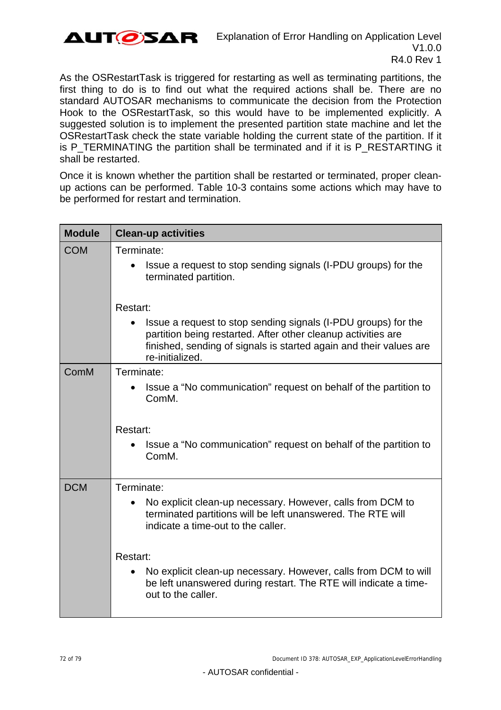

As the OSRestartTask is triggered for restarting as well as terminating partitions, the first thing to do is to find out what the required actions shall be. There are no standard AUTOSAR mechanisms to communicate the decision from the Protection Hook to the OSRestartTask, so this would have to be implemented explicitly. A suggested solution is to implement the presented partition state machine and let the OSRestartTask check the state variable holding the current state of the partition. If it is P\_TERMINATING the partition shall be terminated and if it is P\_RESTARTING it shall be restarted.

Once it is known whether the partition shall be restarted or terminated, proper cleanup actions can be performed. [Table 10-3](#page-73-0) contains some actions which may have to be performed for restart and termination.

| <b>Module</b> | <b>Clean-up activities</b>                                                                                                                                                                                               |  |  |
|---------------|--------------------------------------------------------------------------------------------------------------------------------------------------------------------------------------------------------------------------|--|--|
| <b>COM</b>    | Terminate:<br>Issue a request to stop sending signals (I-PDU groups) for the<br>terminated partition.                                                                                                                    |  |  |
|               | Restart:                                                                                                                                                                                                                 |  |  |
|               | Issue a request to stop sending signals (I-PDU groups) for the<br>partition being restarted. After other cleanup activities are<br>finished, sending of signals is started again and their values are<br>re-initialized. |  |  |
| ComM          | Terminate:                                                                                                                                                                                                               |  |  |
|               | Issue a "No communication" request on behalf of the partition to<br>ComM.                                                                                                                                                |  |  |
|               | Restart:                                                                                                                                                                                                                 |  |  |
|               | Issue a "No communication" request on behalf of the partition to<br>ComM.                                                                                                                                                |  |  |
| <b>DCM</b>    | Terminate:                                                                                                                                                                                                               |  |  |
|               | No explicit clean-up necessary. However, calls from DCM to<br>terminated partitions will be left unanswered. The RTE will<br>indicate a time-out to the caller.                                                          |  |  |
|               | Restart:<br>No explicit clean-up necessary. However, calls from DCM to will<br>be left unanswered during restart. The RTE will indicate a time-<br>out to the caller.                                                    |  |  |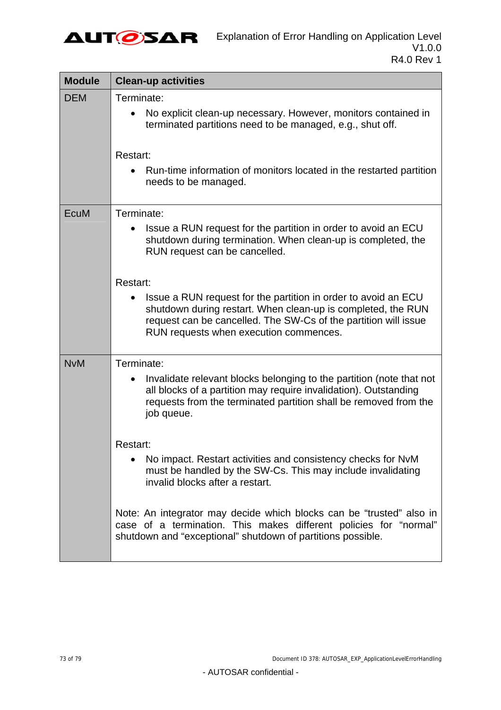

| <b>Module</b> | <b>Clean-up activities</b>                                                                                                                                                                                                                              |
|---------------|---------------------------------------------------------------------------------------------------------------------------------------------------------------------------------------------------------------------------------------------------------|
| <b>DEM</b>    | Terminate:<br>No explicit clean-up necessary. However, monitors contained in<br>terminated partitions need to be managed, e.g., shut off.                                                                                                               |
|               | Restart:<br>Run-time information of monitors located in the restarted partition<br>needs to be managed.                                                                                                                                                 |
| EcuM          | Terminate:<br>Issue a RUN request for the partition in order to avoid an ECU<br>$\bullet$<br>shutdown during termination. When clean-up is completed, the<br>RUN request can be cancelled.                                                              |
|               | Restart:<br>Issue a RUN request for the partition in order to avoid an ECU<br>shutdown during restart. When clean-up is completed, the RUN<br>request can be cancelled. The SW-Cs of the partition will issue<br>RUN requests when execution commences. |
| <b>NvM</b>    | Terminate:<br>Invalidate relevant blocks belonging to the partition (note that not<br>all blocks of a partition may require invalidation). Outstanding<br>requests from the terminated partition shall be removed from the<br>job queue.                |
|               | Restart:<br>No impact. Restart activities and consistency checks for NvM<br>must be handled by the SW-Cs. This may include invalidating<br>invalid blocks after a restart.                                                                              |
|               | Note: An integrator may decide which blocks can be "trusted" also in<br>case of a termination. This makes different policies for "normal"<br>shutdown and "exceptional" shutdown of partitions possible.                                                |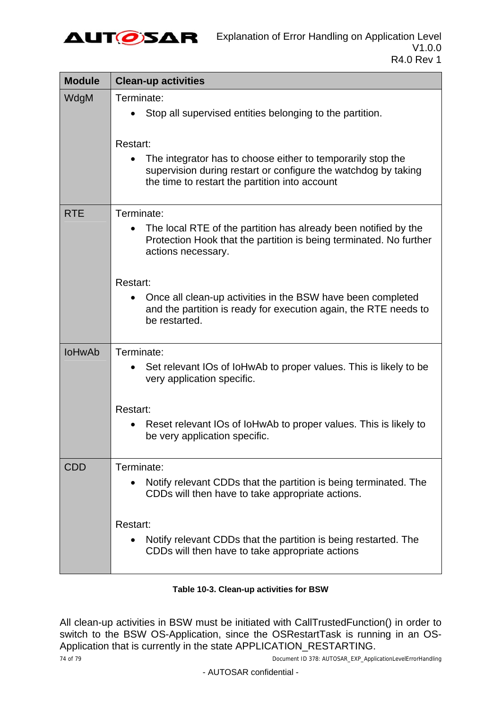

| <b>Module</b> | <b>Clean-up activities</b>                                                                                                                                                                  |
|---------------|---------------------------------------------------------------------------------------------------------------------------------------------------------------------------------------------|
| WdgM          | Terminate:<br>Stop all supervised entities belonging to the partition.                                                                                                                      |
|               | Restart:<br>The integrator has to choose either to temporarily stop the<br>supervision during restart or configure the watchdog by taking<br>the time to restart the partition into account |
| <b>RTE</b>    | Terminate:<br>The local RTE of the partition has already been notified by the<br>Protection Hook that the partition is being terminated. No further<br>actions necessary.                   |
|               | Restart:<br>Once all clean-up activities in the BSW have been completed<br>and the partition is ready for execution again, the RTE needs to<br>be restarted.                                |
| <b>IoHwAb</b> | Terminate:<br>Set relevant IOs of IoHwAb to proper values. This is likely to be<br>very application specific.                                                                               |
|               | Restart:<br>Reset relevant IOs of IoHwAb to proper values. This is likely to<br>be very application specific.                                                                               |
| CDD           | Terminate:<br>Notify relevant CDDs that the partition is being terminated. The<br>CDDs will then have to take appropriate actions.                                                          |
|               | Restart:<br>Notify relevant CDDs that the partition is being restarted. The<br>CDDs will then have to take appropriate actions                                                              |

#### **Table 10-3. Clean-up activities for BSW**

All clean-up activities in BSW must be initiated with CallTrustedFunction() in order to switch to the BSW OS-Application, since the OSRestartTask is running in an OS-Application that is currently in the state APPLICATION\_RESTARTING.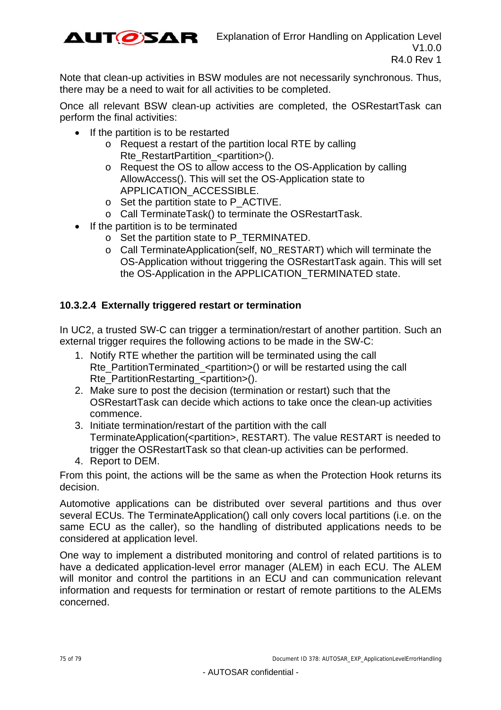

Note that clean-up activities in BSW modules are not necessarily synchronous. Thus, there may be a need to wait for all activities to be completed.

Once all relevant BSW clean-up activities are completed, the OSRestartTask can perform the final activities:

- $\bullet$  If the partition is to be restarted
	- o Request a restart of the partition local RTE by calling Rte\_RestartPartition\_<partition>().
	- o Request the OS to allow access to the OS-Application by calling AllowAccess(). This will set the OS-Application state to APPLICATION\_ACCESSIBLE.
	- o Set the partition state to P\_ACTIVE.
	- o Call TerminateTask() to terminate the OSRestartTask.
- If the partition is to be terminated
	- o Set the partition state to P\_TERMINATED.
	- o Call TerminateApplication(self, NO\_RESTART) which will terminate the OS-Application without triggering the OSRestartTask again. This will set the OS-Application in the APPLICATION\_TERMINATED state.

#### **10.3.2.4 Externally triggered restart or termination**

In UC2, a trusted SW-C can trigger a termination/restart of another partition. Such an external trigger requires the following actions to be made in the SW-C:

- 1. Notify RTE whether the partition will be terminated using the call Rte\_PartitionTerminated\_<partition>() or will be restarted using the call Rte\_PartitionRestarting\_<partition>().
- 2. Make sure to post the decision (termination or restart) such that the OSRestartTask can decide which actions to take once the clean-up activities commence.
- 3. Initiate termination/restart of the partition with the call TerminateApplication(<partition>, RESTART). The value RESTART is needed to trigger the OSRestartTask so that clean-up activities can be performed.
- 4. Report to DEM.

From this point, the actions will be the same as when the Protection Hook returns its decision.

Automotive applications can be distributed over several partitions and thus over several ECUs. The TerminateApplication() call only covers local partitions (i.e. on the same ECU as the caller), so the handling of distributed applications needs to be considered at application level.

One way to implement a distributed monitoring and control of related partitions is to have a dedicated application-level error manager (ALEM) in each ECU. The ALEM will monitor and control the partitions in an ECU and can communication relevant information and requests for termination or restart of remote partitions to the ALEMs concerned.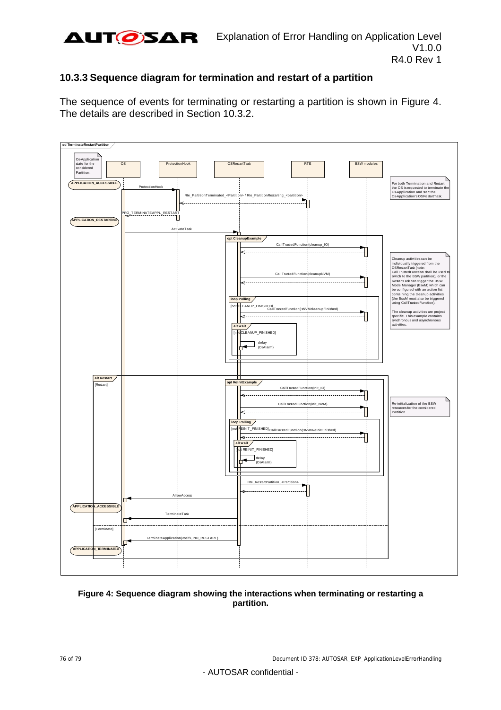

### **10.3.3 Sequence diagram for termination and restart of a partition**

The sequence of events for terminating or restarting a partition is shown in [Figure 4.](#page-75-0) The details are described in Section [10.3.2](#page-62-0).



#### <span id="page-75-0"></span>**Figure 4: Sequence diagram showing the interactions when terminating or restarting a partition.**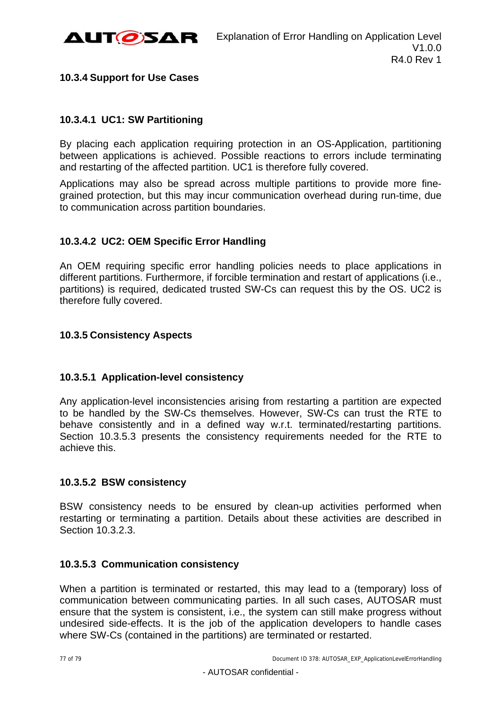

### **10.3.4 Support for Use Cases**

### **10.3.4.1 UC1: SW Partitioning**

By placing each application requiring protection in an OS-Application, partitioning between applications is achieved. Possible reactions to errors include terminating and restarting of the affected partition. UC1 is therefore fully covered.

Applications may also be spread across multiple partitions to provide more finegrained protection, but this may incur communication overhead during run-time, due to communication across partition boundaries.

## **10.3.4.2 UC2: OEM Specific Error Handling**

An OEM requiring specific error handling policies needs to place applications in different partitions. Furthermore, if forcible termination and restart of applications (i.e., partitions) is required, dedicated trusted SW-Cs can request this by the OS. UC2 is therefore fully covered.

### **10.3.5 Consistency Aspects**

### **10.3.5.1 Application-level consistency**

Any application-level inconsistencies arising from restarting a partition are expected to be handled by the SW-Cs themselves. However, SW-Cs can trust the RTE to behave consistently and in a defined way w.r.t. terminated/restarting partitions. Section [10.3.5.3](#page-76-0) presents the consistency requirements needed for the RTE to achieve this.

#### **10.3.5.2 BSW consistency**

BSW consistency needs to be ensured by clean-up activities performed when restarting or terminating a partition. Details about these activities are described in Section [10.3.2.3.](#page-70-0)

#### <span id="page-76-0"></span>**10.3.5.3 Communication consistency**

When a partition is terminated or restarted, this may lead to a (temporary) loss of communication between communicating parties. In all such cases, AUTOSAR must ensure that the system is consistent, i.e., the system can still make progress without undesired side-effects. It is the job of the application developers to handle cases where SW-Cs (contained in the partitions) are terminated or restarted.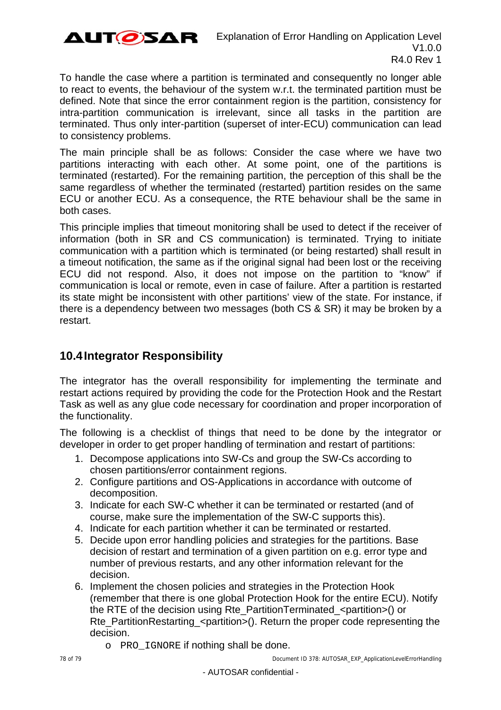

To handle the case where a partition is terminated and consequently no longer able to react to events, the behaviour of the system w.r.t. the terminated partition must be defined. Note that since the error containment region is the partition, consistency for intra-partition communication is irrelevant, since all tasks in the partition are terminated. Thus only inter-partition (superset of inter-ECU) communication can lead to consistency problems.

The main principle shall be as follows: Consider the case where we have two partitions interacting with each other. At some point, one of the partitions is terminated (restarted). For the remaining partition, the perception of this shall be the same regardless of whether the terminated (restarted) partition resides on the same ECU or another ECU. As a consequence, the RTE behaviour shall be the same in both cases.

This principle implies that timeout monitoring shall be used to detect if the receiver of information (both in SR and CS communication) is terminated. Trying to initiate communication with a partition which is terminated (or being restarted) shall result in a timeout notification, the same as if the original signal had been lost or the receiving ECU did not respond. Also, it does not impose on the partition to "know" if communication is local or remote, even in case of failure. After a partition is restarted its state might be inconsistent with other partitions' view of the state. For instance, if there is a dependency between two messages (both CS & SR) it may be broken by a restart.

# **10.4 Integrator Responsibility**

The integrator has the overall responsibility for implementing the terminate and restart actions required by providing the code for the Protection Hook and the Restart Task as well as any glue code necessary for coordination and proper incorporation of the functionality.

The following is a checklist of things that need to be done by the integrator or developer in order to get proper handling of termination and restart of partitions:

- 1. Decompose applications into SW-Cs and group the SW-Cs according to chosen partitions/error containment regions.
- 2. Configure partitions and OS-Applications in accordance with outcome of decomposition.
- 3. Indicate for each SW-C whether it can be terminated or restarted (and of course, make sure the implementation of the SW-C supports this).
- 4. Indicate for each partition whether it can be terminated or restarted.
- 5. Decide upon error handling policies and strategies for the partitions. Base decision of restart and termination of a given partition on e.g. error type and number of previous restarts, and any other information relevant for the decision.
- 6. Implement the chosen policies and strategies in the Protection Hook (remember that there is one global Protection Hook for the entire ECU). Notify the RTE of the decision using Rte\_PartitionTerminated\_<partition>() or Rte\_PartitionRestarting\_<partition>(). Return the proper code representing the decision.
	- o PRO\_IGNORE if nothing shall be done.